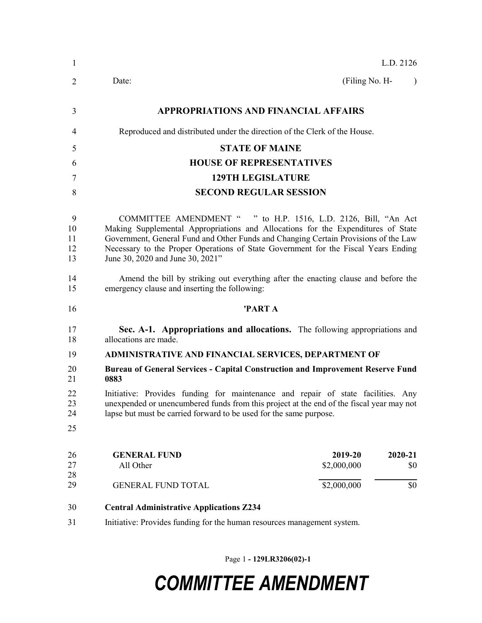| $\mathbf{1}$              | L.D. 2126                                                                                                                                                                                                                                                                                                                                                           |
|---------------------------|---------------------------------------------------------------------------------------------------------------------------------------------------------------------------------------------------------------------------------------------------------------------------------------------------------------------------------------------------------------------|
| 2                         | (Filing No. H-<br>Date:<br>$\lambda$                                                                                                                                                                                                                                                                                                                                |
| 3                         | <b>APPROPRIATIONS AND FINANCIAL AFFAIRS</b>                                                                                                                                                                                                                                                                                                                         |
| 4                         | Reproduced and distributed under the direction of the Clerk of the House.                                                                                                                                                                                                                                                                                           |
| 5                         | <b>STATE OF MAINE</b>                                                                                                                                                                                                                                                                                                                                               |
| 6                         | <b>HOUSE OF REPRESENTATIVES</b>                                                                                                                                                                                                                                                                                                                                     |
| 7                         | <b>129TH LEGISLATURE</b>                                                                                                                                                                                                                                                                                                                                            |
| 8                         | <b>SECOND REGULAR SESSION</b>                                                                                                                                                                                                                                                                                                                                       |
| 9<br>10<br>11<br>12<br>13 | COMMITTEE AMENDMENT " " to H.P. 1516, L.D. 2126, Bill, "An Act<br>Making Supplemental Appropriations and Allocations for the Expenditures of State<br>Government, General Fund and Other Funds and Changing Certain Provisions of the Law<br>Necessary to the Proper Operations of State Government for the Fiscal Years Ending<br>June 30, 2020 and June 30, 2021" |
| 14<br>15                  | Amend the bill by striking out everything after the enacting clause and before the<br>emergency clause and inserting the following:                                                                                                                                                                                                                                 |
| 16                        | 'PART A                                                                                                                                                                                                                                                                                                                                                             |
| 17<br>18                  | Sec. A-1. Appropriations and allocations. The following appropriations and<br>allocations are made.                                                                                                                                                                                                                                                                 |
| 19                        | ADMINISTRATIVE AND FINANCIAL SERVICES, DEPARTMENT OF                                                                                                                                                                                                                                                                                                                |
| 20<br>21                  | <b>Bureau of General Services - Capital Construction and Improvement Reserve Fund</b><br>0883                                                                                                                                                                                                                                                                       |
| 22<br>23<br>24<br>25      | Initiative: Provides funding for maintenance and repair of state facilities. Any<br>unexpended or unencumbered funds from this project at the end of the fiscal year may not<br>lapse but must be carried forward to be used for the same purpose.                                                                                                                  |
|                           |                                                                                                                                                                                                                                                                                                                                                                     |
| 26<br>27<br>28            | <b>GENERAL FUND</b><br>2019-20<br>2020-21<br>\$2,000,000<br>All Other<br>\$0                                                                                                                                                                                                                                                                                        |
| 29                        | \$2,000,000<br><b>GENERAL FUND TOTAL</b><br>\$0                                                                                                                                                                                                                                                                                                                     |
| 30                        | <b>Central Administrative Applications Z234</b>                                                                                                                                                                                                                                                                                                                     |
| 31                        | Initiative: Provides funding for the human resources management system.                                                                                                                                                                                                                                                                                             |

Page 1 - 129LR3206(02)-1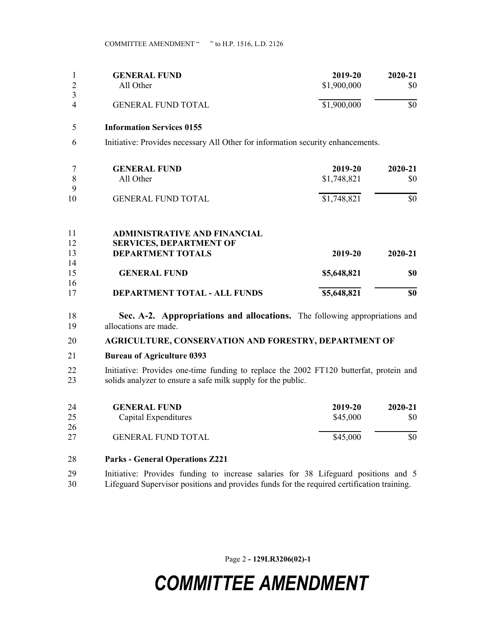|          | <b>GENERAL FUND</b>       | 2019-20     | 2020-21 |
|----------|---------------------------|-------------|---------|
|          | All Other                 | \$1,900,000 | \$0     |
| 3        |                           |             |         |
| $\Delta$ | <b>GENERAL FUND TOTAL</b> | \$1,900,000 | \$0     |

#### 5 Information Services 0155

6 Initiative: Provides necessary All Other for information security enhancements.

|         | <b>GENERAL FUND</b><br>All Other | 2019-20<br>\$1,748,821 | 2020-21<br>\$0 |
|---------|----------------------------------|------------------------|----------------|
| Q<br>10 | <b>GENERAL FUND TOTAL</b>        | \$1,748,821            | \$0            |
|         | A DMINISTRATIVE AND EINANCIAI    |                        |                |

| 17       | <b>DEPARTMENT TOTAL - ALL FUNDS</b> | \$5,648,821 | \$0     |
|----------|-------------------------------------|-------------|---------|
| 15<br>16 | <b>GENERAL FUND</b>                 | \$5,648,821 | SO.     |
| 14       |                                     |             |         |
| 13       | <b>DEPARTMENT TOTALS</b>            | 2019-20     | 2020-21 |
| 12       | <b>SERVICES, DEPARTMENT OF</b>      |             |         |
| 11       | <b>ADMINISTRATIVE AND FINANCIAL</b> |             |         |

18 Sec. A-2. Appropriations and allocations. The following appropriations and 19 allocations are made.

### 20 AGRICULTURE, CONSERVATION AND FORESTRY, DEPARTMENT OF

#### 21 Bureau of Agriculture 0393

22 Initiative: Provides one-time funding to replace the 2002 FT120 butterfat, protein and 23 solids analyzer to ensure a safe milk supply for the public.

| 24 | <b>GENERAL FUND</b>       | 2019-20  | 2020-21 |
|----|---------------------------|----------|---------|
| 25 | Capital Expenditures      | \$45,000 | \$0     |
| 26 |                           |          |         |
| 27 | <b>GENERAL FUND TOTAL</b> | \$45,000 | \$0     |

- 28 Parks General Operations Z221
- 29 Initiative: Provides funding to increase salaries for 38 Lifeguard positions and 5 30 Lifeguard Supervisor positions and provides funds for the required certification training.

Page 2 - 129LR3206(02)-1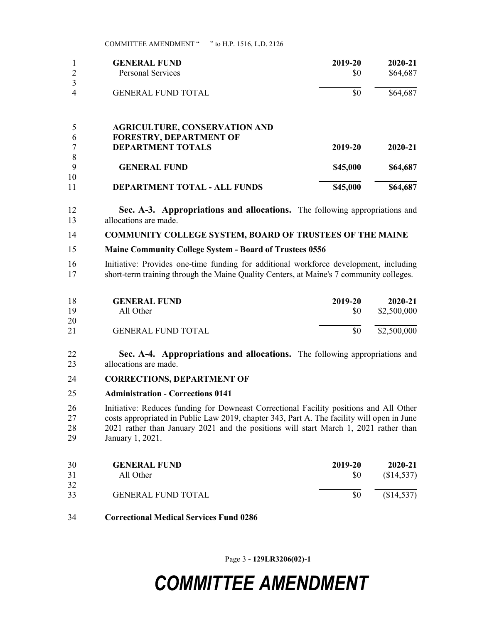|        | <b>GENERAL FUND</b>                                                    | 2019-20  | 2020-21  |
|--------|------------------------------------------------------------------------|----------|----------|
|        | <b>Personal Services</b>                                               | \$0      | \$64,687 |
|        |                                                                        |          |          |
| 4      | <b>GENERAL FUND TOTAL</b>                                              | \$0      | \$64,687 |
| 6      | <b>AGRICULTURE, CONSERVATION AND</b><br><b>FORESTRY, DEPARTMENT OF</b> |          |          |
|        | <b>DEPARTMENT TOTALS</b>                                               | 2019-20  | 2020-21  |
| 8<br>9 |                                                                        |          |          |
| 10     | <b>GENERAL FUND</b>                                                    | \$45,000 | \$64,687 |
| 11     | DEPARTMENT TOTAL - ALL FUNDS                                           | \$45,000 | \$64,687 |

- 12 Sec. A-3. Appropriations and allocations. The following appropriations and 13 allocations are made.
- 14 COMMUNITY COLLEGE SYSTEM, BOARD OF TRUSTEES OF THE MAINE
- 15 Maine Community College System Board of Trustees 0556
- 16 Initiative: Provides one-time funding for additional workforce development, including 17 short-term training through the Maine Quality Centers, at Maine's 7 community colleges.

| 18 | <b>GENERAL FUND</b>       | 2019-20 | $2020 - 21$ |
|----|---------------------------|---------|-------------|
| 19 | All Other                 | \$0     | \$2,500,000 |
| 20 |                           |         |             |
| 21 | <b>GENERAL FUND TOTAL</b> | \$0     | \$2,500,000 |

- 22 Sec. A-4. Appropriations and allocations. The following appropriations and 23 allocations are made.
- 24 CORRECTIONS, DEPARTMENT OF
- 25 Administration Corrections 0141

26 Initiative: Reduces funding for Downeast Correctional Facility positions and All Other 27 costs appropriated in Public Law 2019, chapter 343, Part A. The facility will open in June 28 2021 rather than January 2021 and the positions will start March 1, 2021 rather than 29 January 1, 2021.

| 30<br>31 | <b>GENERAL FUND</b><br>All Other | 2019-20<br>SO. | 2020-21<br>(\$14,537) |
|----------|----------------------------------|----------------|-----------------------|
| 32       |                                  |                |                       |
| 33       | <b>GENERAL FUND TOTAL</b>        | \$0            | (\$14,537)            |

34 Correctional Medical Services Fund 0286

Page 3 - 129LR3206(02)-1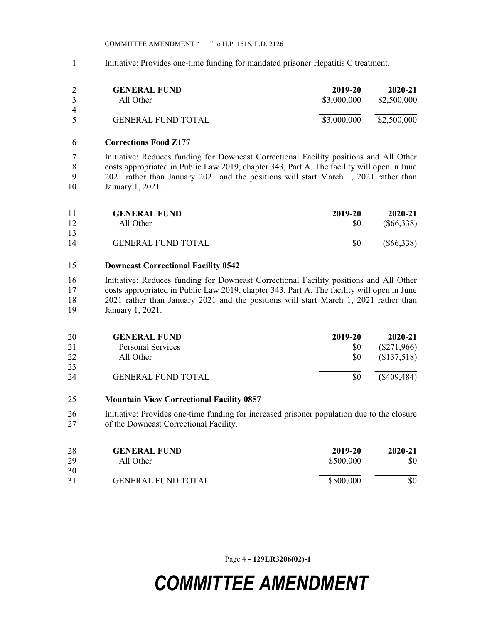1 Initiative: Provides one-time funding for mandated prisoner Hepatitis C treatment.

| $\mathcal{R}$  | <b>GENERAL FUND</b>       | 2019-20     | 2020-21     |
|----------------|---------------------------|-------------|-------------|
|                | All Other                 | \$3,000,000 | \$2,500,000 |
| $\overline{4}$ | <b>GENERAL FUND TOTAL</b> | \$3,000,000 | \$2,500,000 |

### 6 Corrections Food Z177

7 Initiative: Reduces funding for Downeast Correctional Facility positions and All Other 8 costs appropriated in Public Law 2019, chapter 343, Part A. The facility will open in June 9 2021 rather than January 2021 and the positions will start March 1, 2021 rather than 10 January 1, 2021.

| 11       | <b>GENERAL FUND</b>       | 2019-20 | $2020 - 21$  |
|----------|---------------------------|---------|--------------|
| 12       | All Other                 | \$0     | $(\$66,338)$ |
| 13<br>14 | <b>GENERAL FUND TOTAL</b> | \$0     | $(\$66,338)$ |

### 15 Downeast Correctional Facility 0542

16 Initiative: Reduces funding for Downeast Correctional Facility positions and All Other 17 costs appropriated in Public Law 2019, chapter 343, Part A. The facility will open in June 18 2021 rather than January 2021 and the positions will start March 1, 2021 rather than 19 January 1, 2021.

| 20       | <b>GENERAL FUND</b>       | 2019-20 | 2020-21       |
|----------|---------------------------|---------|---------------|
| 21       | Personal Services         | \$0     | $(\$271,966)$ |
| 22       | All Other                 | \$0     | (\$137,518)   |
| 23<br>24 | <b>GENERAL FUND TOTAL</b> | \$0     | (\$409,484)   |

#### 25 Mountain View Correctional Facility 0857

26 Initiative: Provides one-time funding for increased prisoner population due to the closure 27 of the Downeast Correctional Facility.

| 28 | <b>GENERAL FUND</b>       | 2019-20   | 2020-21 |
|----|---------------------------|-----------|---------|
| 29 | All Other                 | \$500,000 | \$0     |
| 30 |                           |           |         |
| 31 | <b>GENERAL FUND TOTAL</b> | \$500,000 | \$0     |

Page 4 - 129LR3206(02)-1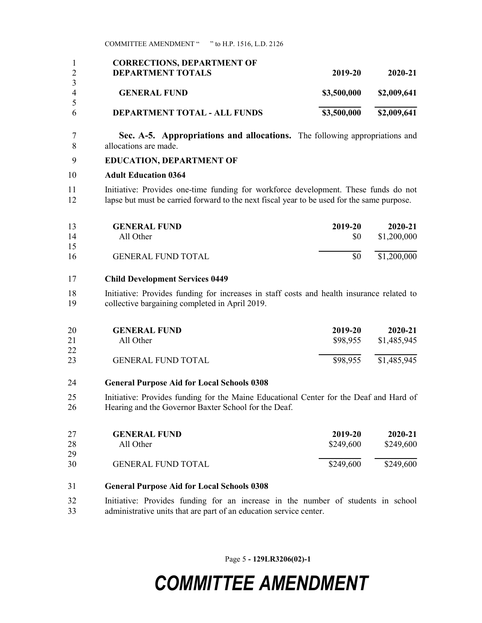|   | <b>CORRECTIONS, DEPARTMENT OF</b>   |             |             |
|---|-------------------------------------|-------------|-------------|
|   | <b>DEPARTMENT TOTALS</b>            | 2019-20     | 2020-21     |
|   |                                     |             |             |
| 4 | <b>GENERAL FUND</b>                 | \$3,500,000 | \$2,009,641 |
|   |                                     |             |             |
| 6 | <b>DEPARTMENT TOTAL - ALL FUNDS</b> | \$3,500,000 | \$2,009,641 |

7 Sec. A-5. Appropriations and allocations. The following appropriations and 8 allocations are made.

### 9 EDUCATION, DEPARTMENT OF

### 10 Adult Education 0364

11 Initiative: Provides one-time funding for workforce development. These funds do not 12 lapse but must be carried forward to the next fiscal year to be used for the same purpose.

| 13 | <b>GENERAL FUND</b>       | 2019-20 | $2020 - 21$ |
|----|---------------------------|---------|-------------|
| 14 | All Other                 | SO.     | \$1,200,000 |
| 15 |                           |         |             |
| 16 | <b>GENERAL FUND TOTAL</b> | SO.     | \$1,200,000 |

### 17 Child Development Services 0449

18 Initiative: Provides funding for increases in staff costs and health insurance related to 19 collective bargaining completed in April 2019.

| 20 | <b>GENERAL FUND</b>       | 2019-20  | 2020-21     |
|----|---------------------------|----------|-------------|
| 21 | All Other                 | \$98,955 | \$1,485,945 |
| 22 |                           |          |             |
| 23 | <b>GENERAL FUND TOTAL</b> | \$98,955 | \$1,485,945 |

### 24 General Purpose Aid for Local Schools 0308

25 Initiative: Provides funding for the Maine Educational Center for the Deaf and Hard of 26 Hearing and the Governor Baxter School for the Deaf.

| 27<br>28 | <b>GENERAL FUND</b><br>All Other | 2019-20<br>\$249,600 | 2020-21<br>\$249,600 |
|----------|----------------------------------|----------------------|----------------------|
| 29       |                                  |                      |                      |
| 30       | <b>GENERAL FUND TOTAL</b>        | \$249,600            | \$249,600            |

### 31 General Purpose Aid for Local Schools 0308

32 Initiative: Provides funding for an increase in the number of students in school 33 administrative units that are part of an education service center.

Page 5 - 129LR3206(02)-1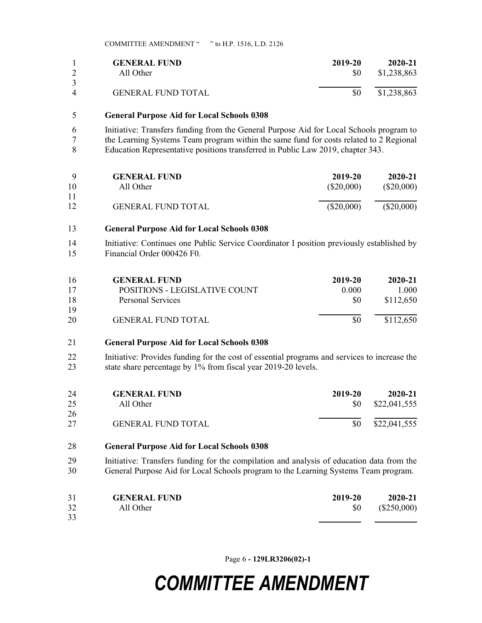|          | <b>GENERAL FUND</b>       | 2019-20 | 2020-21     |
|----------|---------------------------|---------|-------------|
|          | All Other                 | \$0     | \$1,238,863 |
| $\Delta$ | <b>GENERAL FUND TOTAL</b> | \$0     | \$1,238,863 |

### 5 General Purpose Aid for Local Schools 0308

6 Initiative: Transfers funding from the General Purpose Aid for Local Schools program to 7 the Learning Systems Team program within the same fund for costs related to 2 Regional 8 Education Representative positions transferred in Public Law 2019, chapter 343.

| - Q | <b>GENERAL FUND</b>       | 2019-20      | 2020-21      |
|-----|---------------------------|--------------|--------------|
| 10  | All Other                 | $(\$20,000)$ | $(\$20,000)$ |
| 11  |                           |              |              |
| 12  | <b>GENERAL FUND TOTAL</b> | $(\$20,000)$ | $(\$20,000)$ |

### 13 General Purpose Aid for Local Schools 0308

14 Initiative: Continues one Public Service Coordinator I position previously established by 15 Financial Order 000426 F0.

| 16 | <b>GENERAL FUND</b>           | 2019-20 | 2020-21   |
|----|-------------------------------|---------|-----------|
| 17 | POSITIONS - LEGISLATIVE COUNT | 0.000   | 1.000     |
| 18 | Personal Services             | \$0     | \$112,650 |
| 19 |                               |         |           |
| 20 | <b>GENERAL FUND TOTAL</b>     | \$0     | \$112,650 |

### 21 General Purpose Aid for Local Schools 0308

22 Initiative: Provides funding for the cost of essential programs and services to increase the 23 state share percentage by 1% from fiscal year 2019-20 levels.

| 24 | <b>GENERAL FUND</b>       | 2019-20 | 2020-21      |
|----|---------------------------|---------|--------------|
| 25 | All Other                 | SO.     | \$22,041,555 |
| 26 |                           |         |              |
| 27 | <b>GENERAL FUND TOTAL</b> | \$0     | \$22,041,555 |

#### 28 General Purpose Aid for Local Schools 0308

29 Initiative: Transfers funding for the compilation and analysis of education data from the 30 General Purpose Aid for Local Schools program to the Learning Systems Team program.

| 31 | <b>GENERAL FUND</b> | 2019-20 | 2020-21       |
|----|---------------------|---------|---------------|
| 32 | All Other           | \$0     | $(\$250,000)$ |
| 33 |                     |         |               |

Page 6 - 129LR3206(02)-1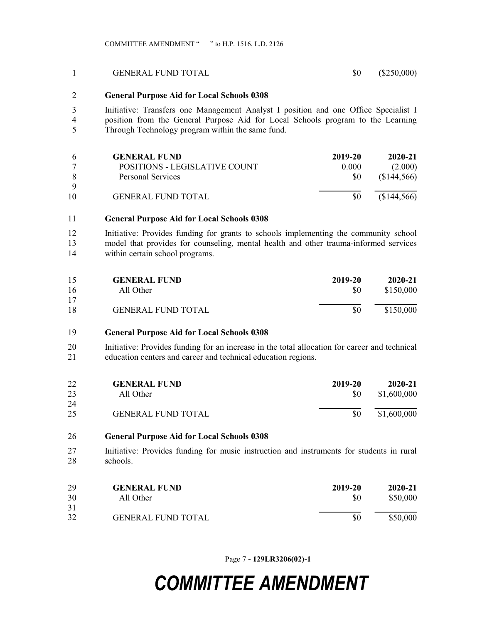#### 1 GENERAL FUND TOTAL \$0 (\$250,000)

### 2 General Purpose Aid for Local Schools 0308

3 Initiative: Transfers one Management Analyst I position and one Office Specialist I 4 position from the General Purpose Aid for Local Schools program to the Learning 5 Through Technology program within the same fund.

|    | <b>GENERAL FUND</b>           | 2019-20       | 2020-21   |
|----|-------------------------------|---------------|-----------|
|    | POSITIONS - LEGISLATIVE COUNT | 0.000         | (2.000)   |
|    | Personal Services             | <sup>SO</sup> | \$144,566 |
| Q  |                               |               |           |
| 10 | <b>GENERAL FUND TOTAL</b>     | \$0           | \$144,566 |
|    |                               |               |           |

### 11 General Purpose Aid for Local Schools 0308

12 Initiative: Provides funding for grants to schools implementing the community school 13 model that provides for counseling, mental health and other trauma-informed services 14 within certain school programs.

| 15 | <b>GENERAL FUND</b>       | 2019-20 | 2020-21   |
|----|---------------------------|---------|-----------|
| 16 | All Other                 | \$0     | \$150,000 |
| 17 |                           |         |           |
| 18 | <b>GENERAL FUND TOTAL</b> | \$0     | \$150,000 |

#### 19 General Purpose Aid for Local Schools 0308

20 Initiative: Provides funding for an increase in the total allocation for career and technical 21 education centers and career and technical education regions.

| 22 | <b>GENERAL FUND</b>       | 2019-20 | 2020-21     |
|----|---------------------------|---------|-------------|
| 23 | All Other                 | SO.     | \$1,600,000 |
| 24 |                           |         |             |
| 25 | <b>GENERAL FUND TOTAL</b> | \$0     | \$1,600,000 |

#### 26 General Purpose Aid for Local Schools 0308

27 Initiative: Provides funding for music instruction and instruments for students in rural 28 schools.

| 29 | <b>GENERAL FUND</b>       | 2019-20 | 2020-21  |
|----|---------------------------|---------|----------|
| 30 | All Other                 | \$0     | \$50,000 |
| 31 |                           |         |          |
| 32 | <b>GENERAL FUND TOTAL</b> | \$0     | \$50,000 |

Page 7 - 129LR3206(02)-1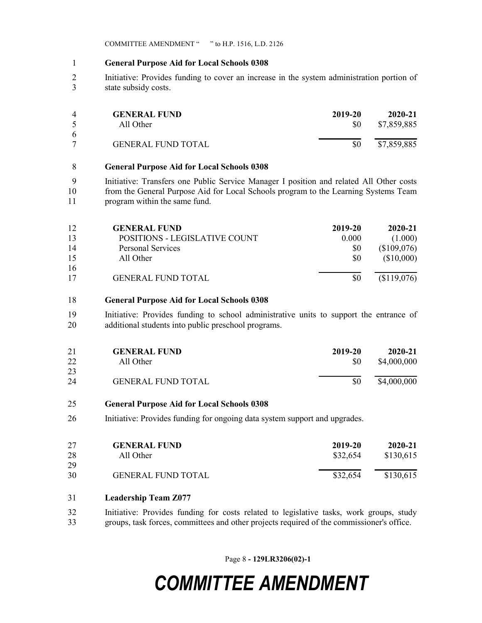- 1 General Purpose Aid for Local Schools 0308
- 2 Initiative: Provides funding to cover an increase in the system administration portion of 3 state subsidy costs.

| $\overline{4}$ | <b>GENERAL FUND</b>       | 2019-20 | 2020-21     |
|----------------|---------------------------|---------|-------------|
|                | All Other                 | SO.     | \$7,859,885 |
| -6             |                           |         |             |
|                | <b>GENERAL FUND TOTAL</b> | \$0     | \$7,859,885 |

### 8 General Purpose Aid for Local Schools 0308

9 Initiative: Transfers one Public Service Manager I position and related All Other costs 10 from the General Purpose Aid for Local Schools program to the Learning Systems Team 11 program within the same fund.

| 12 | <b>GENERAL FUND</b>           | 2019-20 | 2020-21     |
|----|-------------------------------|---------|-------------|
| 13 | POSITIONS - LEGISLATIVE COUNT | 0.000   | (1.000)     |
| 14 | Personal Services             | \$0     | (\$109,076) |
| 15 | All Other                     | \$0     | (\$10,000)  |
| 16 |                               |         |             |
| 17 | <b>GENERAL FUND TOTAL</b>     | \$0     | (\$119,076) |

### 18 General Purpose Aid for Local Schools 0308

19 Initiative: Provides funding to school administrative units to support the entrance of 20 additional students into public preschool programs.

| 21 | <b>GENERAL FUND</b>       | 2019-20 | 2020-21     |
|----|---------------------------|---------|-------------|
| 22 | All Other                 | \$0     | \$4,000,000 |
| 23 |                           |         |             |
| 24 | <b>GENERAL FUND TOTAL</b> | \$0     | \$4,000,000 |

### 25 General Purpose Aid for Local Schools 0308

26 Initiative: Provides funding for ongoing data system support and upgrades.

| 27 | <b>GENERAL FUND</b>       | 2019-20  | 2020-21   |
|----|---------------------------|----------|-----------|
| 28 | All Other                 | \$32,654 | \$130,615 |
| 29 |                           |          |           |
| 30 | <b>GENERAL FUND TOTAL</b> | \$32,654 | \$130,615 |

### 31 Leadership Team Z077

32 Initiative: Provides funding for costs related to legislative tasks, work groups, study 33 groups, task forces, committees and other projects required of the commissioner's office.

Page 8 - 129LR3206(02)-1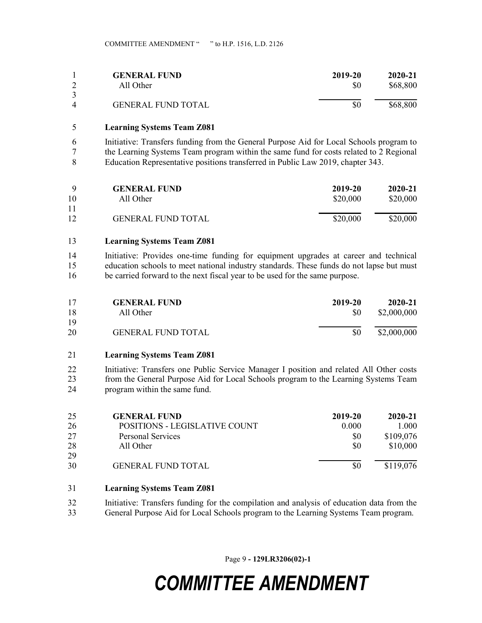|          | <b>GENERAL FUND</b>       | 2019-20 | $2020 - 21$ |
|----------|---------------------------|---------|-------------|
|          | All Other                 | \$0     | \$68,800    |
| $\Delta$ | <b>GENERAL FUND TOTAL</b> | \$0     | \$68,800    |

### 5 Learning Systems Team Z081

6 Initiative: Transfers funding from the General Purpose Aid for Local Schools program to 7 the Learning Systems Team program within the same fund for costs related to 2 Regional 8 Education Representative positions transferred in Public Law 2019, chapter 343.

| Q  | <b>GENERAL FUND</b>       | 2019-20  | $2020 - 21$ |
|----|---------------------------|----------|-------------|
| 10 | All Other                 | \$20,000 | \$20,000    |
| 11 |                           |          |             |
| 12 | <b>GENERAL FUND TOTAL</b> | \$20,000 | \$20,000    |

#### 13 Learning Systems Team Z081

14 Initiative: Provides one-time funding for equipment upgrades at career and technical 15 education schools to meet national industry standards. These funds do not lapse but must 16 be carried forward to the next fiscal year to be used for the same purpose.

| 17<br>18 | <b>GENERAL FUND</b><br>All Other | 2019-20<br>SO. | $2020 - 21$<br>\$2,000,000 |
|----------|----------------------------------|----------------|----------------------------|
| 19       |                                  |                |                            |
| 20       | <b>GENERAL FUND TOTAL</b>        | \$0            | \$2,000,000                |

## 21 Learning Systems Team Z081

22 Initiative: Transfers one Public Service Manager I position and related All Other costs 23 from the General Purpose Aid for Local Schools program to the Learning Systems Team 24 program within the same fund.

| 25 | <b>GENERAL FUND</b>           | 2019-20        | $2020 - 21$ |
|----|-------------------------------|----------------|-------------|
| 26 | POSITIONS - LEGISLATIVE COUNT | 0.000          | 1.000       |
| 27 | Personal Services             | <sup>SO</sup>  | \$109,076   |
| 28 | All Other                     | S <sub>0</sub> | \$10,000    |
| 29 |                               |                |             |
| 30 | <b>GENERAL FUND TOTAL</b>     | \$0            | \$119,076   |

## 31 Learning Systems Team Z081

- 32 Initiative: Transfers funding for the compilation and analysis of education data from the
- 33 General Purpose Aid for Local Schools program to the Learning Systems Team program.

Page 9 - 129LR3206(02)-1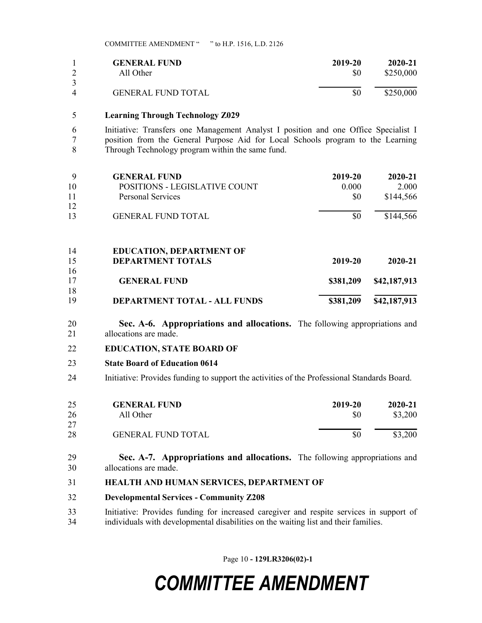|                | <b>GENERAL FUND</b>       | 2019-20 | $2020 - 21$ |
|----------------|---------------------------|---------|-------------|
|                | All Other                 | \$0     | \$250,000   |
| $\overline{4}$ | <b>GENERAL FUND TOTAL</b> | \$0     | \$250,000   |

### 5 Learning Through Technology Z029

6 Initiative: Transfers one Management Analyst I position and one Office Specialist I 7 position from the General Purpose Aid for Local Schools program to the Learning 8 Through Technology program within the same fund.

| 9  | <b>GENERAL FUND</b>                  | 2019-20   | 2020-21      |
|----|--------------------------------------|-----------|--------------|
| 10 | <b>POSITIONS - LEGISLATIVE COUNT</b> | 0.000     | 2.000        |
| 11 | Personal Services                    | \$0       | \$144,566    |
| 12 |                                      |           |              |
| 13 | <b>GENERAL FUND TOTAL</b>            | \$0       | \$144,566    |
| 14 | <b>EDUCATION, DEPARTMENT OF</b>      |           |              |
| 15 | <b>DEPARTMENT TOTALS</b>             | 2019-20   | 2020-21      |
| 16 |                                      |           |              |
| 17 | <b>GENERAL FUND</b>                  | \$381,209 | \$42,187,913 |
| 18 |                                      |           |              |
| 19 | <b>DEPARTMENT TOTAL - ALL FUNDS</b>  | \$381,209 | \$42,187,913 |

20 Sec. A-6. Appropriations and allocations. The following appropriations and 21 allocations are made.

#### 22 EDUCATION, STATE BOARD OF

#### 23 State Board of Education 0614

24 Initiative: Provides funding to support the activities of the Professional Standards Board.

| 25 | <b>GENERAL FUND</b>       | 2019-20 | 2020-21 |
|----|---------------------------|---------|---------|
| 26 | All Other                 | S0      | \$3,200 |
| 27 |                           |         |         |
| 28 | <b>GENERAL FUND TOTAL</b> |         | \$3,200 |

- 29 Sec. A-7. Appropriations and allocations. The following appropriations and 30 allocations are made.
- 31 HEALTH AND HUMAN SERVICES, DEPARTMENT OF
- 32 Developmental Services Community Z208
- 33 Initiative: Provides funding for increased caregiver and respite services in support of 34 individuals with developmental disabilities on the waiting list and their families.

Page 10 - 129LR3206(02)-1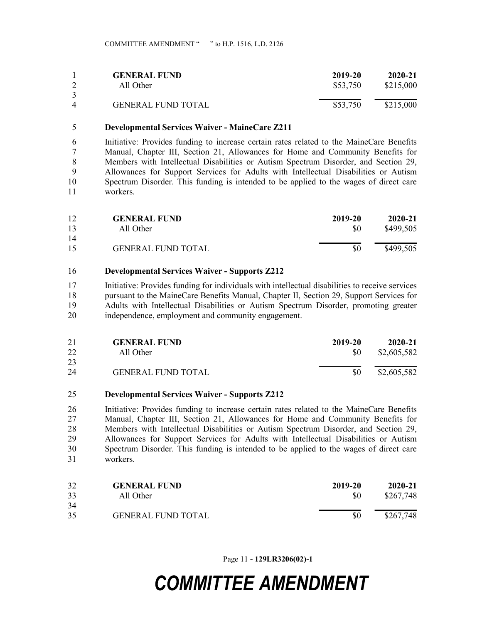|   | <b>GENERAL FUND</b>       | 2019-20  | 2020-21   |
|---|---------------------------|----------|-----------|
|   | All Other                 | \$53,750 | \$215,000 |
|   |                           |          |           |
| 4 | <b>GENERAL FUND TOTAL</b> | \$53,750 | \$215,000 |

#### 5 Developmental Services Waiver - MaineCare Z211

6 Initiative: Provides funding to increase certain rates related to the MaineCare Benefits 7 Manual, Chapter III, Section 21, Allowances for Home and Community Benefits for 8 Members with Intellectual Disabilities or Autism Spectrum Disorder, and Section 29, 9 Allowances for Support Services for Adults with Intellectual Disabilities or Autism 10 Spectrum Disorder. This funding is intended to be applied to the wages of direct care 11 workers.

| 12 | <b>GENERAL FUND</b>       | 2019-20 | $2020 - 21$ |
|----|---------------------------|---------|-------------|
| 13 | All Other                 | \$0     | \$499,505   |
| 14 |                           |         |             |
| 15 | <b>GENERAL FUND TOTAL</b> | \$0     | \$499,505   |

#### 16 Developmental Services Waiver - Supports Z212

17 Initiative: Provides funding for individuals with intellectual disabilities to receive services 18 pursuant to the MaineCare Benefits Manual, Chapter II, Section 29, Support Services for 19 Adults with Intellectual Disabilities or Autism Spectrum Disorder, promoting greater 20 independence, employment and community engagement.

| 21 | <b>GENERAL FUND</b>       | 2019-20 | 2020-21     |
|----|---------------------------|---------|-------------|
| 22 | All Other                 | SO.     | \$2,605,582 |
| 23 |                           |         |             |
| 24 | <b>GENERAL FUND TOTAL</b> | \$0     | \$2,605,582 |

#### 25 Developmental Services Waiver - Supports Z212

26 Initiative: Provides funding to increase certain rates related to the MaineCare Benefits 27 Manual, Chapter III, Section 21, Allowances for Home and Community Benefits for 28 Members with Intellectual Disabilities or Autism Spectrum Disorder, and Section 29, 29 Allowances for Support Services for Adults with Intellectual Disabilities or Autism 30 Spectrum Disorder. This funding is intended to be applied to the wages of direct care 31 workers.

| 32 | <b>GENERAL FUND</b>       | 2019-20 | $2020 - 21$ |
|----|---------------------------|---------|-------------|
| 33 | All Other                 | \$0     | \$267,748   |
| 34 |                           |         |             |
| 35 | <b>GENERAL FUND TOTAL</b> | \$0     | \$267,748   |

Page 11 - 129LR3206(02)-1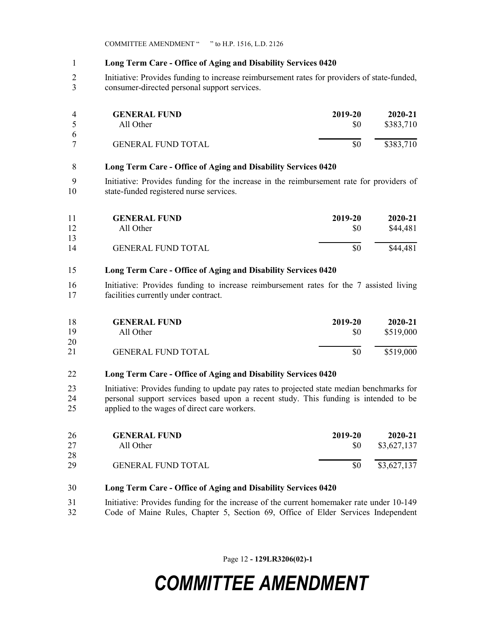## 1 Long Term Care - Office of Aging and Disability Services 0420

2 Initiative: Provides funding to increase reimbursement rates for providers of state-funded, 3 consumer-directed personal support services.

| $\Delta$ | <b>GENERAL FUND</b>       | 2019-20 | $2020 - 21$ |
|----------|---------------------------|---------|-------------|
|          | All Other                 | \$0     | \$383,710   |
| -6       |                           |         |             |
|          | <b>GENERAL FUND TOTAL</b> |         | \$383,710   |

### 8 Long Term Care - Office of Aging and Disability Services 0420

9 Initiative: Provides funding for the increase in the reimbursement rate for providers of 10 state-funded registered nurse services.

| 11       | <b>GENERAL FUND</b>       | 2019-20 | 2020-21  |
|----------|---------------------------|---------|----------|
| 12       | All Other                 | \$0     | \$44,481 |
| 13<br>14 | <b>GENERAL FUND TOTAL</b> | \$0     | \$44,481 |

## 15 Long Term Care - Office of Aging and Disability Services 0420

16 Initiative: Provides funding to increase reimbursement rates for the 7 assisted living 17 facilities currently under contract.

| -18 | <b>GENERAL FUND</b>       | 2019-20 | $2020 - 21$ |
|-----|---------------------------|---------|-------------|
| 19  | All Other                 | \$0     | \$519,000   |
| 20  |                           |         |             |
| 21  | <b>GENERAL FUND TOTAL</b> | \$0     | \$519,000   |

## 22 Long Term Care - Office of Aging and Disability Services 0420

23 Initiative: Provides funding to update pay rates to projected state median benchmarks for 24 personal support services based upon a recent study. This funding is intended to be 25 applied to the wages of direct care workers.

| 26<br>27 | <b>GENERAL FUND</b><br>All Other | 2019-20<br>SO. | 2020-21<br>\$3,627,137 |
|----------|----------------------------------|----------------|------------------------|
| 28       |                                  |                |                        |
| 29       | <b>GENERAL FUND TOTAL</b>        | \$0            | \$3,627,137            |

## 30 Long Term Care - Office of Aging and Disability Services 0420

- 31 Initiative: Provides funding for the increase of the current homemaker rate under 10-149
- 32 Code of Maine Rules, Chapter 5, Section 69, Office of Elder Services Independent

Page 12 - 129LR3206(02)-1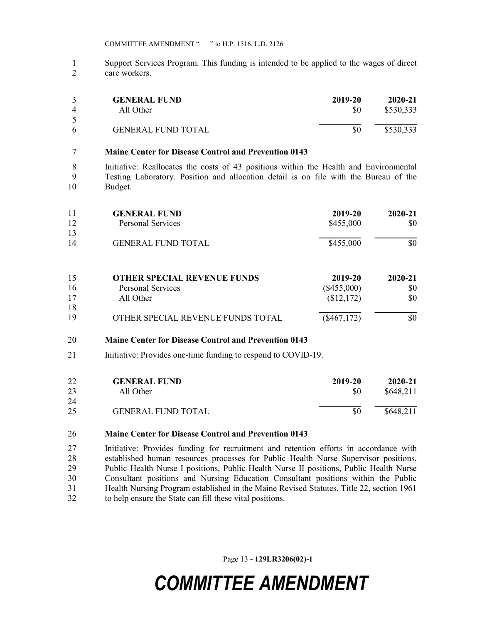1 Support Services Program. This funding is intended to be applied to the wages of direct 2 care workers.

| $\overline{4}$ | <b>GENERAL FUND</b>       | 2019-20 | $2020 - 21$ |
|----------------|---------------------------|---------|-------------|
|                | All Other                 | \$0     | \$530,333   |
| -6             | <b>GENERAL FUND TOTAL</b> | \$0     | \$530,333   |

### 7 Maine Center for Disease Control and Prevention 0143

8 Initiative: Reallocates the costs of 43 positions within the Health and Environmental 9 Testing Laboratory. Position and allocation detail is on file with the Bureau of the 10 Budget.

| 11<br>12 | <b>GENERAL FUND</b><br><b>Personal Services</b> | 2019-20<br>\$455,000 | 2020-21<br>\$0 |
|----------|-------------------------------------------------|----------------------|----------------|
| 13<br>14 | <b>GENERAL FUND TOTAL</b>                       | \$455,000            | \$0            |
| 15       | <b>OTHER SPECIAL REVENUE FUNDS</b>              | 2019-20              | 2020-21        |
| 16       | <b>Personal Services</b>                        | $(\$455,000)$        | \$0            |
| 17<br>18 | All Other                                       | (\$12,172)           | \$0            |

19 OTHER SPECIAL REVENUE FUNDS TOTAL (\$467,172) \$0

### 20 Maine Center for Disease Control and Prevention 0143

21 Initiative: Provides one-time funding to respond to COVID-19.

| 22 | <b>GENERAL FUND</b>       | 2019-20 | 2020-21   |
|----|---------------------------|---------|-----------|
| 23 | All Other                 | \$0     | \$648,211 |
| 24 |                           |         |           |
| 25 | <b>GENERAL FUND TOTAL</b> | \$0     | \$648,211 |

### 26 Maine Center for Disease Control and Prevention 0143

27 Initiative: Provides funding for recruitment and retention efforts in accordance with 28 established human resources processes for Public Health Nurse Supervisor positions, 29 Public Health Nurse I positions, Public Health Nurse II positions, Public Health Nurse 30 Consultant positions and Nursing Education Consultant positions within the Public 31 Health Nursing Program established in the Maine Revised Statutes, Title 22, section 1961 32 to help ensure the State can fill these vital positions.

Page 13 - 129LR3206(02)-1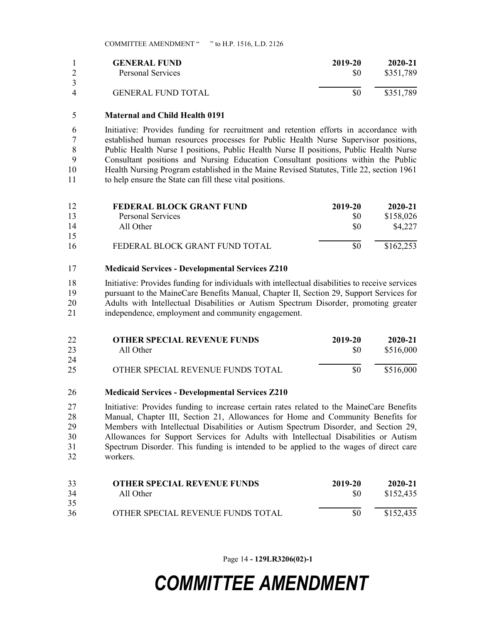|          | <b>GENERAL FUND</b>       | 2019-20 | 2020-21   |
|----------|---------------------------|---------|-----------|
|          | Personal Services         | \$0     | \$351,789 |
| $\Delta$ | <b>GENERAL FUND TOTAL</b> | \$0     | \$351,789 |

### 5 Maternal and Child Health 0191

6 Initiative: Provides funding for recruitment and retention efforts in accordance with 7 established human resources processes for Public Health Nurse Supervisor positions, 8 Public Health Nurse I positions, Public Health Nurse II positions, Public Health Nurse 9 Consultant positions and Nursing Education Consultant positions within the Public 10 Health Nursing Program established in the Maine Revised Statutes, Title 22, section 1961 11 to help ensure the State can fill these vital positions.

| 12 | <b>FEDERAL BLOCK GRANT FUND</b> | 2019-20 | 2020-21   |
|----|---------------------------------|---------|-----------|
| 13 | Personal Services               | \$0     | \$158,026 |
| 14 | All Other                       | \$0     | \$4,227   |
| 15 |                                 |         |           |
| 16 | FEDERAL BLOCK GRANT FUND TOTAL  | \$0     | \$162,253 |

### 17 Medicaid Services - Developmental Services Z210

18 Initiative: Provides funding for individuals with intellectual disabilities to receive services 19 pursuant to the MaineCare Benefits Manual, Chapter II, Section 29, Support Services for 20 Adults with Intellectual Disabilities or Autism Spectrum Disorder, promoting greater 21 independence, employment and community engagement.

| 22 | <b>OTHER SPECIAL REVENUE FUNDS</b> | 2019-20 | 2020-21   |
|----|------------------------------------|---------|-----------|
| 23 | All Other                          | \$0     | \$516,000 |
| 24 |                                    |         |           |
| 25 | OTHER SPECIAL REVENUE FUNDS TOTAL  | \$0     | \$516,000 |

### 26 Medicaid Services - Developmental Services Z210

27 Initiative: Provides funding to increase certain rates related to the MaineCare Benefits 28 Manual, Chapter III, Section 21, Allowances for Home and Community Benefits for 29 Members with Intellectual Disabilities or Autism Spectrum Disorder, and Section 29, 30 Allowances for Support Services for Adults with Intellectual Disabilities or Autism 31 Spectrum Disorder. This funding is intended to be applied to the wages of direct care 32 workers.

| 33 | <b>OTHER SPECIAL REVENUE FUNDS</b> | 2019-20 | 2020-21   |
|----|------------------------------------|---------|-----------|
| 34 | All Other                          | \$0     | \$152,435 |
| 35 |                                    |         |           |
| 36 | OTHER SPECIAL REVENUE FUNDS TOTAL  | \$0     | \$152,435 |

Page 14 - 129LR3206(02)-1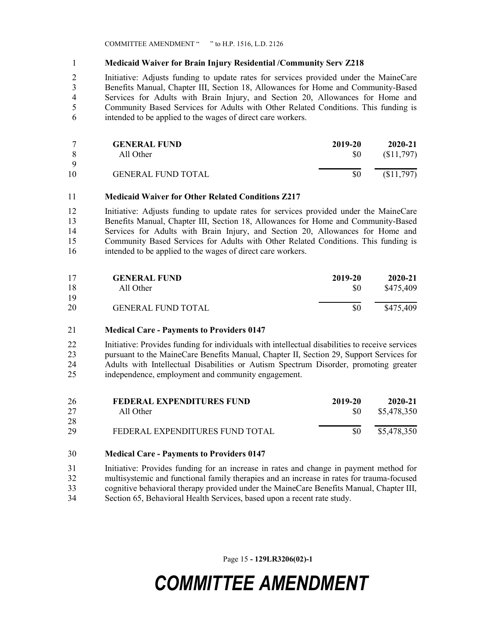## 1 Medicaid Waiver for Brain Injury Residential /Community Serv Z218

2 Initiative: Adjusts funding to update rates for services provided under the MaineCare 3 Benefits Manual, Chapter III, Section 18, Allowances for Home and Community-Based 4 Services for Adults with Brain Injury, and Section 20, Allowances for Home and 5 Community Based Services for Adults with Other Related Conditions. This funding is 6 intended to be applied to the wages of direct care workers.

|    | <b>GENERAL FUND</b>       | 2019-20 | $2020 - 21$ |
|----|---------------------------|---------|-------------|
| -8 | All Other                 | \$0     | (S11,797)   |
| Q  |                           |         |             |
| 10 | <b>GENERAL FUND TOTAL</b> | \$0     | (\$11,797)  |

### 11 Medicaid Waiver for Other Related Conditions Z217

12 Initiative: Adjusts funding to update rates for services provided under the MaineCare 13 Benefits Manual, Chapter III, Section 18, Allowances for Home and Community-Based 14 Services for Adults with Brain Injury, and Section 20, Allowances for Home and 15 Community Based Services for Adults with Other Related Conditions. This funding is 16 intended to be applied to the wages of direct care workers.

| 17 | <b>GENERAL FUND</b>       | 2019-20 | 2020-21   |
|----|---------------------------|---------|-----------|
| 18 | All Other                 | \$0     | \$475,409 |
| 19 |                           |         |           |
| 20 | <b>GENERAL FUND TOTAL</b> | \$0     | \$475,409 |

### 21 Medical Care - Payments to Providers 0147

22 Initiative: Provides funding for individuals with intellectual disabilities to receive services 23 pursuant to the MaineCare Benefits Manual, Chapter II, Section 29, Support Services for 24 Adults with Intellectual Disabilities or Autism Spectrum Disorder, promoting greater 25 independence, employment and community engagement.

| 26 | FEDERAL EXPENDITURES FUND       | 2019-20 | 2020-21     |
|----|---------------------------------|---------|-------------|
| 27 | All Other                       | -SO     | \$5,478,350 |
| 28 |                                 |         |             |
| 29 | FEDERAL EXPENDITURES FUND TOTAL | 80      | \$5,478,350 |

### 30 Medical Care - Payments to Providers 0147

31 Initiative: Provides funding for an increase in rates and change in payment method for 32 multisystemic and functional family therapies and an increase in rates for trauma-focused 33 cognitive behavioral therapy provided under the MaineCare Benefits Manual, Chapter III, 34 Section 65, Behavioral Health Services, based upon a recent rate study.

Page 15 - 129LR3206(02)-1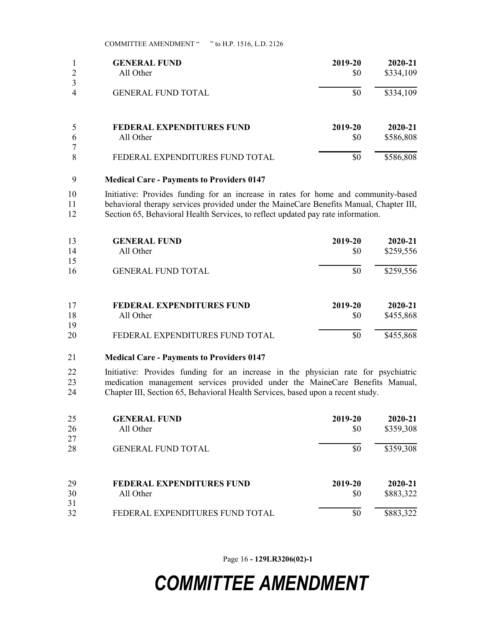|                | <b>GENERAL FUND</b>              | 2019-20 | 2020-21   |
|----------------|----------------------------------|---------|-----------|
| $\overline{2}$ | All Other                        | \$0     | \$334,109 |
| 3              |                                  |         |           |
| 4              | <b>GENERAL FUND TOTAL</b>        | \$0     | \$334,109 |
| 5              | <b>FEDERAL EXPENDITURES FUND</b> | 2019-20 | 2020-21   |
| 6              | All Other                        | \$0     | \$586,808 |
| 7              |                                  |         |           |
| 8              | FEDERAL EXPENDITURES FUND TOTAL  | \$0     | \$586,808 |

### 9 Medical Care - Payments to Providers 0147

10 Initiative: Provides funding for an increase in rates for home and community-based 11 behavioral therapy services provided under the MaineCare Benefits Manual, Chapter III, 12 Section 65, Behavioral Health Services, to reflect updated pay rate information.

| 13<br>14<br>15 | <b>GENERAL FUND</b><br>All Other | 2019-20<br>\$0 | $2020 - 21$<br>\$259,556 |
|----------------|----------------------------------|----------------|--------------------------|
| 16             | <b>GENERAL FUND TOTAL</b>        | \$0            | \$259,556                |
| 17             | FEDERAL EXPENDITURES FUND        | 2019-20        | 2020-21                  |
| 18             | All Other                        | \$0            | \$455,868                |
| 19             |                                  |                |                          |
| 20             | FEDERAL EXPENDITURES FUND TOTAL  | \$0            | \$455,868                |

#### 21 Medical Care - Payments to Providers 0147

22 Initiative: Provides funding for an increase in the physician rate for psychiatric 23 medication management services provided under the MaineCare Benefits Manual, 24 Chapter III, Section 65, Behavioral Health Services, based upon a recent study.

| 25 | <b>GENERAL FUND</b>              | 2019-20 | 2020-21   |
|----|----------------------------------|---------|-----------|
| 26 | All Other                        | \$0     | \$359,308 |
| 27 |                                  |         |           |
| 28 | <b>GENERAL FUND TOTAL</b>        | \$0     | \$359,308 |
| 29 | <b>FEDERAL EXPENDITURES FUND</b> | 2019-20 | 2020-21   |
| 30 | All Other                        | \$0     | \$883,322 |
| 31 |                                  |         |           |
| 32 | FEDERAL EXPENDITURES FUND TOTAL  | \$0     | \$883,322 |

Page 16 - 129LR3206(02)-1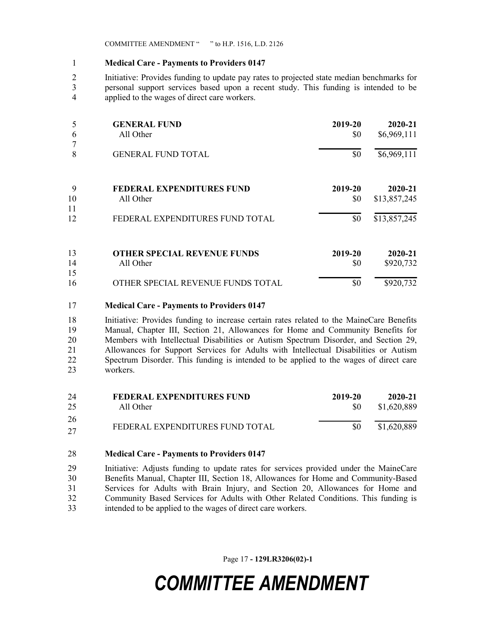### 1 Medical Care - Payments to Providers 0147

2 Initiative: Provides funding to update pay rates to projected state median benchmarks for 3 personal support services based upon a recent study. This funding is intended to be 4 applied to the wages of direct care workers.

|               | <b>GENERAL FUND</b>                | 2019-20 | 2020-21      |
|---------------|------------------------------------|---------|--------------|
| $\mathfrak b$ | All Other                          | \$0     | \$6,969,111  |
| 8             | <b>GENERAL FUND TOTAL</b>          | \$0     | \$6,969,111  |
| 9             | <b>FEDERAL EXPENDITURES FUND</b>   | 2019-20 | 2020-21      |
| 10<br>11      | All Other                          | \$0     | \$13,857,245 |
| 12            | FEDERAL EXPENDITURES FUND TOTAL    | \$0     | \$13,857,245 |
| 13            | <b>OTHER SPECIAL REVENUE FUNDS</b> | 2019-20 | 2020-21      |
| 14<br>15      | All Other                          | \$0     | \$920,732    |
| 16            | OTHER SPECIAL REVENUE FUNDS TOTAL  | \$0     | \$920,732    |

### 17 Medical Care - Payments to Providers 0147

18 Initiative: Provides funding to increase certain rates related to the MaineCare Benefits 19 Manual, Chapter III, Section 21, Allowances for Home and Community Benefits for 20 Members with Intellectual Disabilities or Autism Spectrum Disorder, and Section 29, 21 Allowances for Support Services for Adults with Intellectual Disabilities or Autism 22 Spectrum Disorder. This funding is intended to be applied to the wages of direct care 23 workers.

| 24       | FEDERAL EXPENDITURES FUND       | 2019-20 | 2020-21     |
|----------|---------------------------------|---------|-------------|
| 25       | All Other                       | SO.     | \$1,620,889 |
| 26<br>27 | FEDERAL EXPENDITURES FUND TOTAL | \$0     | \$1,620,889 |

### 28 Medical Care - Payments to Providers 0147

29 Initiative: Adjusts funding to update rates for services provided under the MaineCare 30 Benefits Manual, Chapter III, Section 18, Allowances for Home and Community-Based 31 Services for Adults with Brain Injury, and Section 20, Allowances for Home and 32 Community Based Services for Adults with Other Related Conditions. This funding is 33 intended to be applied to the wages of direct care workers.

Page 17 - 129LR3206(02)-1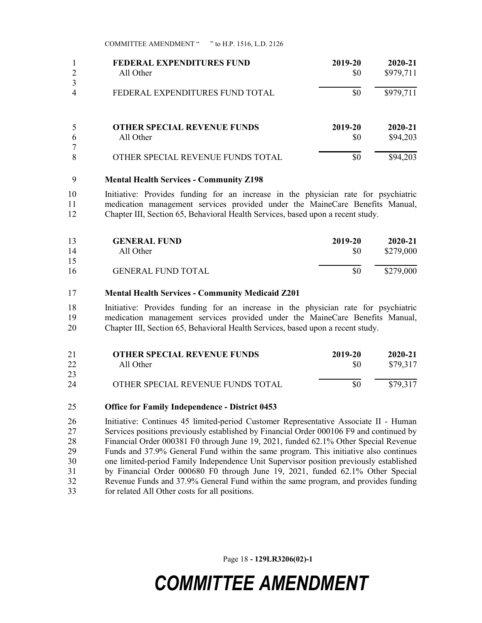| 2                   | FEDERAL EXPENDITURES FUND          | 2019-20 | 2020-21   |
|---------------------|------------------------------------|---------|-----------|
|                     | All Other                          | \$0     | \$979,711 |
| 3<br>$\overline{4}$ | FEDERAL EXPENDITURES FUND TOTAL    | \$0     | \$979,711 |
| 6                   | <b>OTHER SPECIAL REVENUE FUNDS</b> | 2019-20 | 2020-21   |
|                     | All Other                          | \$0     | \$94,203  |
| 7<br>8              | OTHER SPECIAL REVENUE FUNDS TOTAL  | \$0     | \$94,203  |

#### 9 Mental Health Services - Community Z198

10 Initiative: Provides funding for an increase in the physician rate for psychiatric 11 medication management services provided under the MaineCare Benefits Manual, 12 Chapter III, Section 65, Behavioral Health Services, based upon a recent study.

| 13<br>14 | <b>GENERAL FUND</b><br>All Other | 2019-20<br>\$0 | 2020-21<br>\$279,000 |
|----------|----------------------------------|----------------|----------------------|
| 15       |                                  |                |                      |
| 16       | <b>GENERAL FUND TOTAL</b>        | \$0            | \$279,000            |

#### 17 Mental Health Services - Community Medicaid Z201

18 Initiative: Provides funding for an increase in the physician rate for psychiatric 19 medication management services provided under the MaineCare Benefits Manual, 20 Chapter III, Section 65, Behavioral Health Services, based upon a recent study.

| 21 | <b>OTHER SPECIAL REVENUE FUNDS</b> | 2019-20 | 2020-21  |
|----|------------------------------------|---------|----------|
| 22 | All Other                          | \$0     | \$79,317 |
| 23 |                                    |         |          |
| 24 | OTHER SPECIAL REVENUE FUNDS TOTAL  | \$0     | \$79,317 |

#### 25 Office for Family Independence - District 0453

26 Initiative: Continues 45 limited-period Customer Representative Associate II - Human 27 Services positions previously established by Financial Order 000106 F9 and continued by 28 Financial Order 000381 F0 through June 19, 2021, funded 62.1% Other Special Revenue 29 Funds and 37.9% General Fund within the same program. This initiative also continues 30 one limited-period Family Independence Unit Supervisor position previously established 31 by Financial Order 000680 F0 through June 19, 2021, funded 62.1% Other Special 32 Revenue Funds and 37.9% General Fund within the same program, and provides funding 33 for related All Other costs for all positions.

Page 18 - 129LR3206(02)-1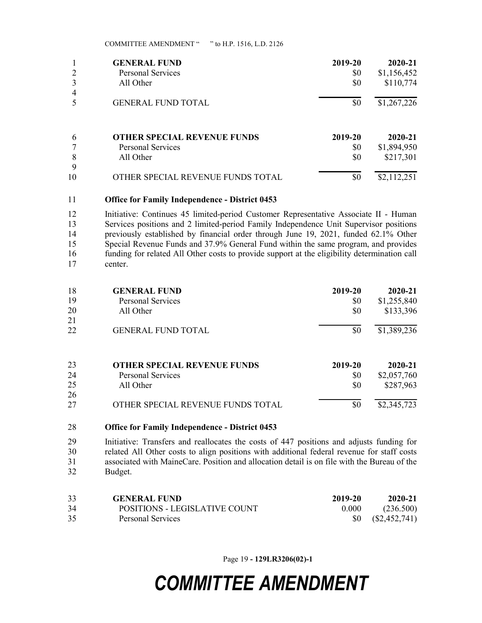|                | <b>GENERAL FUND</b>                | 2019-20 | 2020-21     |
|----------------|------------------------------------|---------|-------------|
|                | Personal Services                  | \$0     | \$1,156,452 |
| $\overline{4}$ | All Other                          | \$0     | \$110,774   |
|                | <b>GENERAL FUND TOTAL</b>          | \$0     | \$1,267,226 |
| 6              | <b>OTHER SPECIAL REVENUE FUNDS</b> | 2019-20 | 2020-21     |
|                | <b>Personal Services</b>           | \$0     | \$1,894,950 |
| 8              | All Other                          | \$0     | \$217,301   |
| 9              |                                    |         |             |
| 10             | OTHER SPECIAL REVENUE FUNDS TOTAL  | \$0     | \$2,112,251 |

#### 11 Office for Family Independence - District 0453

12 Initiative: Continues 45 limited-period Customer Representative Associate II - Human 13 Services positions and 2 limited-period Family Independence Unit Supervisor positions 14 previously established by financial order through June 19, 2021, funded 62.1% Other 15 Special Revenue Funds and 37.9% General Fund within the same program, and provides 16 funding for related All Other costs to provide support at the eligibility determination call 17 center.

| 18 | <b>GENERAL FUND</b>                | 2019-20 | 2020-21     |
|----|------------------------------------|---------|-------------|
| 19 | <b>Personal Services</b>           | \$0     | \$1,255,840 |
| 20 | All Other                          | \$0     | \$133,396   |
| 21 |                                    |         |             |
| 22 | <b>GENERAL FUND TOTAL</b>          | \$0     | \$1,389,236 |
| 23 | <b>OTHER SPECIAL REVENUE FUNDS</b> | 2019-20 | 2020-21     |
| 24 | Personal Services                  | \$0     | \$2,057,760 |
| 25 | All Other                          | \$0     | \$287,963   |
| 26 |                                    |         |             |
|    |                                    |         |             |

27 OTHER SPECIAL REVENUE FUNDS TOTAL \$0 \$2,345,723

### 28 Office for Family Independence - District 0453

29 Initiative: Transfers and reallocates the costs of 447 positions and adjusts funding for 30 related All Other costs to align positions with additional federal revenue for staff costs 31 associated with MaineCare. Position and allocation detail is on file with the Bureau of the 32 Budget.

| 33 | <b>GENERAL FUND</b>           | 2019-20 | 2020-21                  |
|----|-------------------------------|---------|--------------------------|
| 34 | POSITIONS - LEGISLATIVE COUNT | 0.000   | (236.500)                |
| 35 | Personal Services             |         | $$0 \quad (\$2,452,741)$ |

Page 19 - 129LR3206(02)-1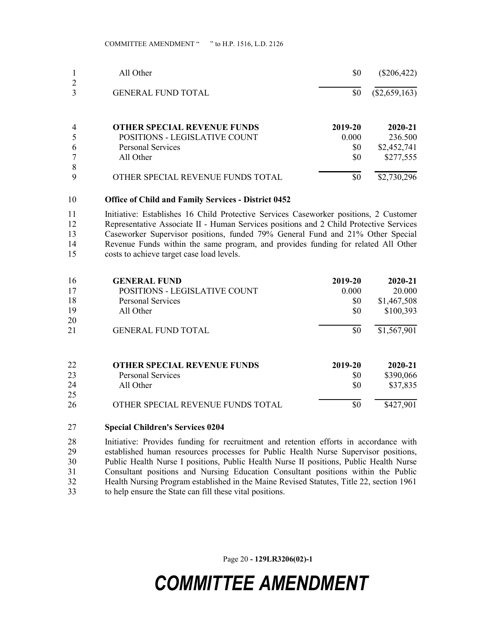|                | All Other                          | \$0     | $(\$206,422)$   |
|----------------|------------------------------------|---------|-----------------|
| 2<br>3         | <b>GENERAL FUND TOTAL</b>          | \$0     | $(\$2,659,163)$ |
| $\overline{4}$ | <b>OTHER SPECIAL REVENUE FUNDS</b> | 2019-20 | 2020-21         |
| 5              | POSITIONS - LEGISLATIVE COUNT      | 0.000   | 236.500         |
| 6              | <b>Personal Services</b>           | \$0     | \$2,452,741     |
| 7              | All Other                          | \$0     | \$277,555       |
| 8              |                                    |         |                 |
| 9              | OTHER SPECIAL REVENUE FUNDS TOTAL  | \$0     | \$2,730,296     |

### 10 Office of Child and Family Services - District 0452

11 Initiative: Establishes 16 Child Protective Services Caseworker positions, 2 Customer 12 Representative Associate II - Human Services positions and 2 Child Protective Services 13 Caseworker Supervisor positions, funded 79% General Fund and 21% Other Special 14 Revenue Funds within the same program, and provides funding for related All Other 15 costs to achieve target case load levels.

| 16 | <b>GENERAL FUND</b>                | 2019-20 | 2020-21     |
|----|------------------------------------|---------|-------------|
| 17 | POSITIONS - LEGISLATIVE COUNT      | 0.000   | 20.000      |
| 18 | <b>Personal Services</b>           | \$0     | \$1,467,508 |
| 19 | All Other                          | \$0     | \$100,393   |
| 20 |                                    |         |             |
| 21 | <b>GENERAL FUND TOTAL</b>          | \$0     | \$1,567,901 |
| 22 | <b>OTHER SPECIAL REVENUE FUNDS</b> | 2019-20 | 2020-21     |
| 23 | Personal Services                  | \$0     | \$390,066   |
| 24 | All Other                          | \$0     | \$37,835    |
| 25 |                                    |         |             |
| 26 | OTHER SPECIAL REVENUE FUNDS TOTAL  | \$0     | \$427,901   |

### 27 Special Children's Services 0204

28 Initiative: Provides funding for recruitment and retention efforts in accordance with 29 established human resources processes for Public Health Nurse Supervisor positions, 30 Public Health Nurse I positions, Public Health Nurse II positions, Public Health Nurse 31 Consultant positions and Nursing Education Consultant positions within the Public 32 Health Nursing Program established in the Maine Revised Statutes, Title 22, section 1961 33 to help ensure the State can fill these vital positions.

Page 20 - 129LR3206(02)-1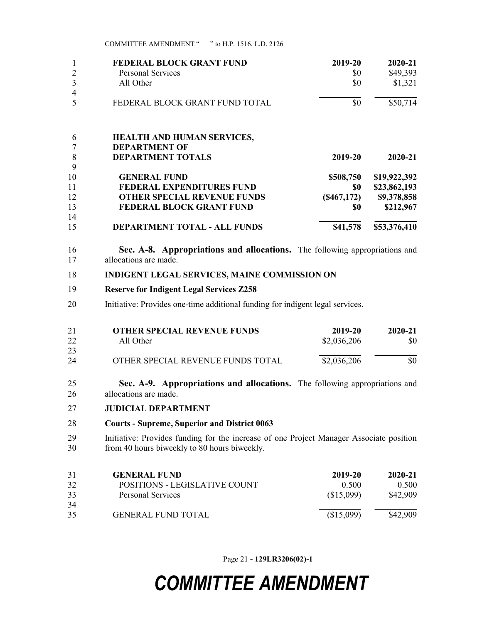|    | <b>FEDERAL BLOCK GRANT FUND</b>    | 2019-20     | 2020-21      |
|----|------------------------------------|-------------|--------------|
| 2  | <b>Personal Services</b>           | \$0         | \$49,393     |
| 3  | All Other                          | \$0         | \$1,321      |
| 4  |                                    |             |              |
|    | FEDERAL BLOCK GRANT FUND TOTAL     | \$0         | \$50,714     |
| 6  | <b>HEALTH AND HUMAN SERVICES,</b>  |             |              |
|    | <b>DEPARTMENT OF</b>               |             |              |
| 8  | <b>DEPARTMENT TOTALS</b>           | 2019-20     | $2020 - 21$  |
| 9  |                                    |             |              |
| 10 | <b>GENERAL FUND</b>                | \$508,750   | \$19,922,392 |
| 11 | <b>FEDERAL EXPENDITURES FUND</b>   | \$0         | \$23,862,193 |
| 12 | <b>OTHER SPECIAL REVENUE FUNDS</b> | (S467, 172) | \$9,378,858  |
| 13 | <b>FEDERAL BLOCK GRANT FUND</b>    | \$0         | \$212,967    |
| 14 |                                    |             |              |
| 15 | DEPARTMENT TOTAL - ALL FUNDS       | \$41,578    | \$53,376,410 |

16 Sec. A-8. Appropriations and allocations. The following appropriations and 17 allocations are made.

### 18 INDIGENT LEGAL SERVICES, MAINE COMMISSION ON

### 19 Reserve for Indigent Legal Services Z258

20 Initiative: Provides one-time additional funding for indigent legal services.

| 21 | <b>OTHER SPECIAL REVENUE FUNDS</b> | 2019-20     | 2020-21 |
|----|------------------------------------|-------------|---------|
| 22 | All Other                          | \$2,036,206 | SO.     |
| 23 |                                    |             |         |
| 24 | OTHER SPECIAL REVENUE FUNDS TOTAL  | \$2,036,206 | \$0     |

- 25 Sec. A-9. Appropriations and allocations. The following appropriations and 26 allocations are made.
- 27 JUDICIAL DEPARTMENT

#### 28 Courts - Supreme, Superior and District 0063

29 Initiative: Provides funding for the increase of one Project Manager Associate position 30 from 40 hours biweekly to 80 hours biweekly.

| 31 | <b>GENERAL FUND</b>           | 2019-20    | 2020-21  |
|----|-------------------------------|------------|----------|
| 32 | POSITIONS - LEGISLATIVE COUNT | 0.500      | 0.500    |
| 33 | Personal Services             | (\$15,099) | \$42,909 |
| 34 |                               |            |          |
| 35 | <b>GENERAL FUND TOTAL</b>     | (\$15,099) | \$42,909 |

Page 21 - 129LR3206(02)-1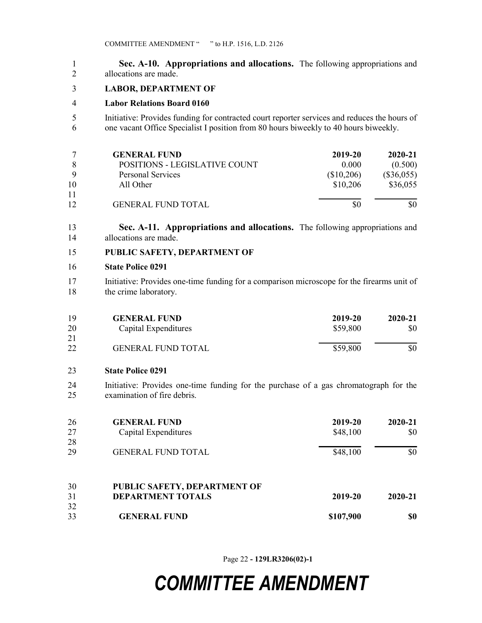1 Sec. A-10. Appropriations and allocations. The following appropriations and 2 allocations are made.

### 3 LABOR, DEPARTMENT OF

### 4 Labor Relations Board 0160

5 Initiative: Provides funding for contracted court reporter services and reduces the hours of 6 one vacant Office Specialist I position from 80 hours biweekly to 40 hours biweekly.

|    | <b>GENERAL FUND</b>           | 2019-20    | 2020-21      |
|----|-------------------------------|------------|--------------|
|    | POSITIONS - LEGISLATIVE COUNT | 0.000      | (0.500)      |
|    | Personal Services             | (\$10,206) | $(\$36,055)$ |
| 10 | All Other                     | \$10,206   | \$36,055     |
| 11 |                               |            |              |
| 12 | <b>GENERAL FUND TOTAL</b>     |            | \$0          |

13 Sec. A-11. Appropriations and allocations. The following appropriations and 14 allocations are made.

15 PUBLIC SAFETY, DEPARTMENT OF

#### 16 State Police 0291

17 Initiative: Provides one-time funding for a comparison microscope for the firearms unit of 18 the crime laboratory.

| 19 | <b>GENERAL FUND</b>       | 2019-20  | $2020 - 21$ |
|----|---------------------------|----------|-------------|
| 20 | Capital Expenditures      | \$59,800 | \$0         |
| 21 |                           |          |             |
| 22 | <b>GENERAL FUND TOTAL</b> | \$59,800 | \$0         |

#### 23 State Police 0291

24 Initiative: Provides one-time funding for the purchase of a gas chromatograph for the 25 examination of fire debris.

| 26       | <b>GENERAL FUND</b>                                      | 2019-20   | 2020-21     |
|----------|----------------------------------------------------------|-----------|-------------|
| 27       | Capital Expenditures                                     | \$48,100  | \$0         |
| 28       |                                                          |           |             |
| 29       | <b>GENERAL FUND TOTAL</b>                                | \$48,100  | \$0         |
| 30<br>31 | PUBLIC SAFETY, DEPARTMENT OF<br><b>DEPARTMENT TOTALS</b> | 2019-20   | $2020 - 21$ |
| 32       |                                                          |           |             |
| 33       | <b>GENERAL FUND</b>                                      | \$107,900 | \$0         |

Page 22 - 129LR3206(02)-1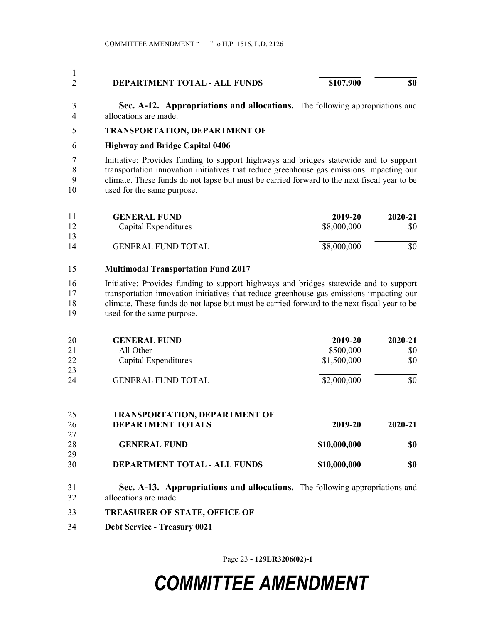#### 1 2 DEPARTMENT TOTAL - ALL FUNDS \$107,900 \$0

3 Sec. A-12. Appropriations and allocations. The following appropriations and 4 allocations are made.

### 5 TRANSPORTATION, DEPARTMENT OF

### 6 Highway and Bridge Capital 0406

7 Initiative: Provides funding to support highways and bridges statewide and to support 8 transportation innovation initiatives that reduce greenhouse gas emissions impacting our 9 climate. These funds do not lapse but must be carried forward to the next fiscal year to be 10 used for the same purpose.

|    | <b>GENERAL FUND</b>       | 2019-20     | 2020-21 |
|----|---------------------------|-------------|---------|
| 12 | Capital Expenditures      | \$8,000,000 | \$0     |
| 13 |                           |             |         |
| 14 | <b>GENERAL FUND TOTAL</b> | \$8,000,000 | \$0     |

## 15 Multimodal Transportation Fund Z017

16 Initiative: Provides funding to support highways and bridges statewide and to support 17 transportation innovation initiatives that reduce greenhouse gas emissions impacting our 18 climate. These funds do not lapse but must be carried forward to the next fiscal year to be 19 used for the same purpose.

| 20 | <b>GENERAL FUND</b>       | 2019-20     | 2020-21 |
|----|---------------------------|-------------|---------|
| 21 | All Other                 | \$500,000   | \$0     |
| 22 | Capital Expenditures      | \$1,500,000 | \$0     |
| 23 |                           |             |         |
| 24 | <b>GENERAL FUND TOTAL</b> | \$2,000,000 | \$0     |

| 25 | <b>TRANSPORTATION, DEPARTMENT OF</b> |              |         |
|----|--------------------------------------|--------------|---------|
| 26 | <b>DEPARTMENT TOTALS</b>             | 2019-20      | 2020-21 |
| 27 |                                      |              |         |
| 28 | <b>GENERAL FUND</b>                  | \$10,000,000 | \$0     |
| 29 |                                      |              |         |
| 30 | DEPARTMENT TOTAL - ALL FUNDS         | \$10,000,000 | \$0     |

- 31 Sec. A-13. Appropriations and allocations. The following appropriations and 32 allocations are made.
- 33 TREASURER OF STATE, OFFICE OF
- 34 Debt Service Treasury 0021

Page 23 - 129LR3206(02)-1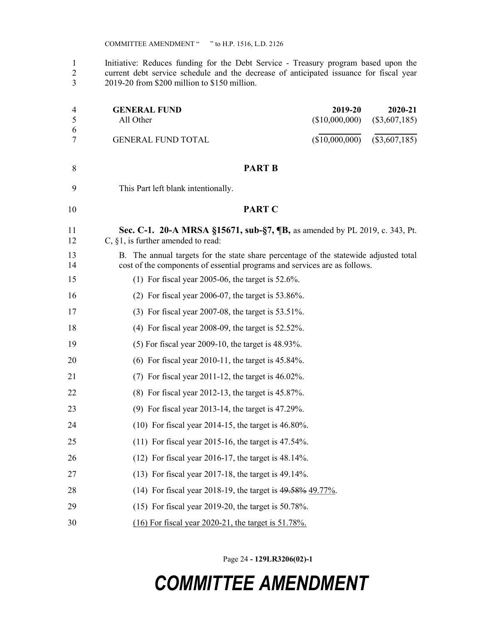1 Initiative: Reduces funding for the Debt Service - Treasury program based upon the 2 current debt service schedule and the decrease of anticipated issuance for fiscal year 3 2019-20 from \$200 million to \$150 million.

| 4<br>5   | <b>GENERAL FUND</b><br>All Other                                                                                                                                  | 2019-20<br>2020-21<br>(\$10,000,000)<br>$(\$3,607,185)$ |
|----------|-------------------------------------------------------------------------------------------------------------------------------------------------------------------|---------------------------------------------------------|
| 6<br>7   | <b>GENERAL FUND TOTAL</b>                                                                                                                                         | (\$10,000,000)<br>$(\$3,607,185)$                       |
| 8        | <b>PART B</b>                                                                                                                                                     |                                                         |
| 9        | This Part left blank intentionally.                                                                                                                               |                                                         |
| 10       | <b>PART C</b>                                                                                                                                                     |                                                         |
| 11<br>12 | Sec. C-1. 20-A MRSA §15671, sub-§7, ¶B, as amended by PL 2019, c. 343, Pt.<br>C, $§1$ , is further amended to read:                                               |                                                         |
| 13<br>14 | B. The annual targets for the state share percentage of the statewide adjusted total<br>cost of the components of essential programs and services are as follows. |                                                         |
| 15       | (1) For fiscal year 2005-06, the target is $52.6\%$ .                                                                                                             |                                                         |
| 16       | $(2)$ For fiscal year 2006-07, the target is 53.86%.                                                                                                              |                                                         |
| 17       | $(3)$ For fiscal year 2007-08, the target is 53.51%.                                                                                                              |                                                         |
| 18       | $(4)$ For fiscal year 2008-09, the target is 52.52%.                                                                                                              |                                                         |
| 19       | $(5)$ For fiscal year 2009-10, the target is 48.93%.                                                                                                              |                                                         |
| 20       | $(6)$ For fiscal year 2010-11, the target is 45.84%.                                                                                                              |                                                         |
| 21       | $(7)$ For fiscal year 2011-12, the target is 46.02%.                                                                                                              |                                                         |
| 22       | $(8)$ For fiscal year 2012-13, the target is 45.87%.                                                                                                              |                                                         |
| 23       | $(9)$ For fiscal year 2013-14, the target is 47.29%.                                                                                                              |                                                         |
| 24       | $(10)$ For fiscal year 2014-15, the target is 46.80%.                                                                                                             |                                                         |
| 25       | $(11)$ For fiscal year 2015-16, the target is 47.54%.                                                                                                             |                                                         |
| 26       | $(12)$ For fiscal year 2016-17, the target is 48.14%.                                                                                                             |                                                         |
| 27       | $(13)$ For fiscal year 2017-18, the target is 49.14%.                                                                                                             |                                                         |
| 28       | (14) For fiscal year 2018-19, the target is 49.58% 49.77%.                                                                                                        |                                                         |
| 29       | $(15)$ For fiscal year 2019-20, the target is 50.78%.                                                                                                             |                                                         |
| 30       | $(16)$ For fiscal year 2020-21, the target is 51.78%.                                                                                                             |                                                         |

Page 24 - 129LR3206(02)-1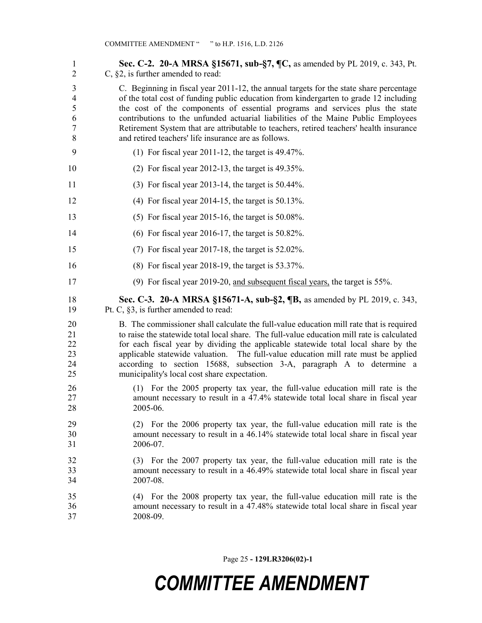| $\mathbf{1}$<br>$\overline{2}$                     | Sec. C-2. 20-A MRSA §15671, sub-§7, ¶C, as amended by PL 2019, c. 343, Pt.<br>$C$ , §2, is further amended to read:                                                                                                                                                                                                                                                                                                                                                                                     |
|----------------------------------------------------|---------------------------------------------------------------------------------------------------------------------------------------------------------------------------------------------------------------------------------------------------------------------------------------------------------------------------------------------------------------------------------------------------------------------------------------------------------------------------------------------------------|
| 3<br>$\overline{4}$<br>5<br>6<br>7<br>8            | C. Beginning in fiscal year 2011-12, the annual targets for the state share percentage<br>of the total cost of funding public education from kindergarten to grade 12 including<br>the cost of the components of essential programs and services plus the state<br>contributions to the unfunded actuarial liabilities of the Maine Public Employees<br>Retirement System that are attributable to teachers, retired teachers' health insurance<br>and retired teachers' life insurance are as follows. |
| 9                                                  | (1) For fiscal year $2011-12$ , the target is 49.47%.                                                                                                                                                                                                                                                                                                                                                                                                                                                   |
| 10                                                 | $(2)$ For fiscal year 2012-13, the target is 49.35%.                                                                                                                                                                                                                                                                                                                                                                                                                                                    |
| 11                                                 | $(3)$ For fiscal year 2013-14, the target is 50.44%.                                                                                                                                                                                                                                                                                                                                                                                                                                                    |
| 12                                                 | $(4)$ For fiscal year 2014-15, the target is 50.13%.                                                                                                                                                                                                                                                                                                                                                                                                                                                    |
| 13                                                 | $(5)$ For fiscal year 2015-16, the target is 50.08%.                                                                                                                                                                                                                                                                                                                                                                                                                                                    |
| 14                                                 | $(6)$ For fiscal year 2016-17, the target is 50.82%.                                                                                                                                                                                                                                                                                                                                                                                                                                                    |
| 15                                                 | $(7)$ For fiscal year 2017-18, the target is 52.02%.                                                                                                                                                                                                                                                                                                                                                                                                                                                    |
| 16                                                 | $(8)$ For fiscal year 2018-19, the target is 53.37%.                                                                                                                                                                                                                                                                                                                                                                                                                                                    |
| 17                                                 | (9) For fiscal year 2019-20, and subsequent fiscal years, the target is $55\%$ .                                                                                                                                                                                                                                                                                                                                                                                                                        |
|                                                    |                                                                                                                                                                                                                                                                                                                                                                                                                                                                                                         |
| 18<br>19                                           | Sec. C-3. 20-A MRSA §15671-A, sub-§2, ¶B, as amended by PL 2019, c. 343,<br>Pt. C, $\S3$ , is further amended to read:                                                                                                                                                                                                                                                                                                                                                                                  |
|                                                    | B. The commissioner shall calculate the full-value education mill rate that is required<br>to raise the statewide total local share. The full-value education mill rate is calculated<br>for each fiscal year by dividing the applicable statewide total local share by the<br>applicable statewide valuation. The full-value education mill rate must be applied<br>according to section 15688, subsection 3-A, paragraph A to determine a<br>municipality's local cost share expectation.             |
| 20<br>21<br>22<br>23<br>24<br>25<br>26<br>27<br>28 | (1) For the 2005 property tax year, the full-value education mill rate is the<br>amount necessary to result in a 47.4% statewide total local share in fiscal year<br>2005-06.                                                                                                                                                                                                                                                                                                                           |
| 29<br>30<br>31                                     | For the 2006 property tax year, the full-value education mill rate is the<br>(2)<br>amount necessary to result in a 46.14% statewide total local share in fiscal year<br>2006-07.                                                                                                                                                                                                                                                                                                                       |
| 32<br>33<br>34                                     | (3) For the 2007 property tax year, the full-value education mill rate is the<br>amount necessary to result in a 46.49% statewide total local share in fiscal year<br>2007-08.                                                                                                                                                                                                                                                                                                                          |

Page 25 - 129LR3206(02)-1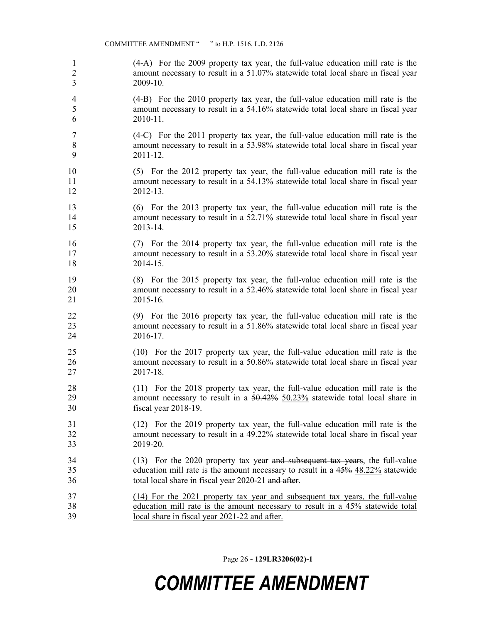1 (4-A) For the 2009 property tax year, the full-value education mill rate is the 2 amount necessary to result in a 51.07% statewide total local share in fiscal year 3 2009-10.

4 (4-B) For the 2010 property tax year, the full-value education mill rate is the 5 amount necessary to result in a 54.16% statewide total local share in fiscal year 6 2010-11.

7 (4-C) For the 2011 property tax year, the full-value education mill rate is the 8 amount necessary to result in a 53.98% statewide total local share in fiscal year 9 2011-12.

10 (5) For the 2012 property tax year, the full-value education mill rate is the 11 amount necessary to result in a 54.13% statewide total local share in fiscal year 12 2012-13.

13 (6) For the 2013 property tax year, the full-value education mill rate is the 14 amount necessary to result in a 52.71% statewide total local share in fiscal year 15 2013-14.

16 (7) For the 2014 property tax year, the full-value education mill rate is the 17 amount necessary to result in a 53.20% statewide total local share in fiscal year 18 2014-15.

19 (8) For the 2015 property tax year, the full-value education mill rate is the 20 amount necessary to result in a 52.46% statewide total local share in fiscal year 21 2015-16.

22 (9) For the 2016 property tax year, the full-value education mill rate is the 23 amount necessary to result in a 51.86% statewide total local share in fiscal year 24 2016-17.

25 (10) For the 2017 property tax year, the full-value education mill rate is the 26 amount necessary to result in a 50.86% statewide total local share in fiscal year 27 2017-18.

28 (11) For the 2018 property tax year, the full-value education mill rate is the 29 amount necessary to result in a 50.42% 50.23% statewide total local share in 30 fiscal year 2018-19.

31 (12) For the 2019 property tax year, the full-value education mill rate is the 32 amount necessary to result in a 49.22% statewide total local share in fiscal year 33 2019-20.

34 (13) For the 2020 property tax year and subsequent tax years, the full-value 35 education mill rate is the amount necessary to result in a 45% 48.22% statewide 36 total local share in fiscal year 2020-21 and after.

37 (14) For the 2021 property tax year and subsequent tax years, the full-value 38 education mill rate is the amount necessary to result in a 45% statewide total 39 local share in fiscal year 2021-22 and after.

Page 26 - 129LR3206(02)-1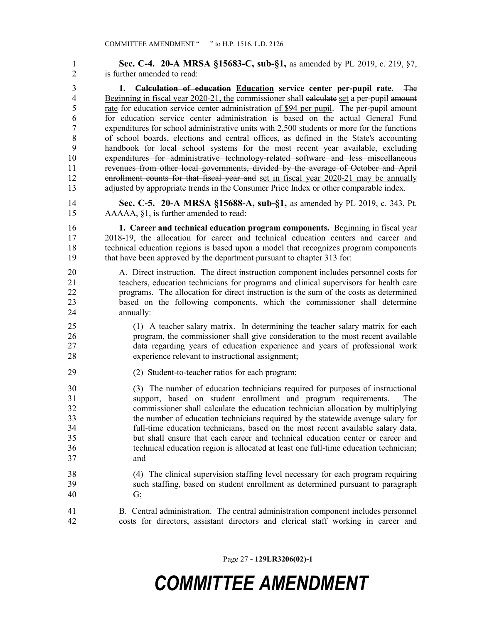1 **Sec. C-4. 20-A MRSA §15683-C, sub-§1,** as amended by PL 2019, c. 219, §7, 2 is further amended to read: 3 1. Calculation of education Education service center per-pupil rate. The 4 Beginning in fiscal year 2020-21, the commissioner shall calculate set a per-pupil amount 5 rate for education service center administration of \$94 per pupil. The per-pupil amount 6 for education service center administration is based on the actual General Fund 7 expenditures for school administrative units with 2,500 students or more for the functions 8 of school boards, elections and central offices, as defined in the State's accounting 9 handbook for local school systems for the most recent year available, excluding 10 expenditures for administrative technology-related software and less miscellaneous 11 revenues from other local governments, divided by the average of October and April 12 enrollment counts for that fiscal year and set in fiscal year 2020-21 may be annually 13 adjusted by appropriate trends in the Consumer Price Index or other comparable index. 14 Sec. C-5. 20-A MRSA §15688-A, sub-§1, as amended by PL 2019, c. 343, Pt. 15 AAAAA, §1, is further amended to read: 16 1. Career and technical education program components. Beginning in fiscal year 17 2018-19, the allocation for career and technical education centers and career and 18 technical education regions is based upon a model that recognizes program components 19 that have been approved by the department pursuant to chapter 313 for: 20 A. Direct instruction. The direct instruction component includes personnel costs for 21 teachers, education technicians for programs and clinical supervisors for health care 22 programs. The allocation for direct instruction is the sum of the costs as determined 23 based on the following components, which the commissioner shall determine 24 annually: 25 (1) A teacher salary matrix. In determining the teacher salary matrix for each 26 program, the commissioner shall give consideration to the most recent available 27 data regarding years of education experience and years of professional work 28 experience relevant to instructional assignment; 29 (2) Student-to-teacher ratios for each program; 30 (3) The number of education technicians required for purposes of instructional 31 support, based on student enrollment and program requirements. The 32 commissioner shall calculate the education technician allocation by multiplying 33 the number of education technicians required by the statewide average salary for 34 full-time education technicians, based on the most recent available salary data, 35 but shall ensure that each career and technical education center or career and 36 technical education region is allocated at least one full-time education technician; 37 and 38 (4) The clinical supervision staffing level necessary for each program requiring 39 such staffing, based on student enrollment as determined pursuant to paragraph 40 G; 41 B. Central administration. The central administration component includes personnel 42 costs for directors, assistant directors and clerical staff working in career and

Page 27 - 129LR3206(02)-1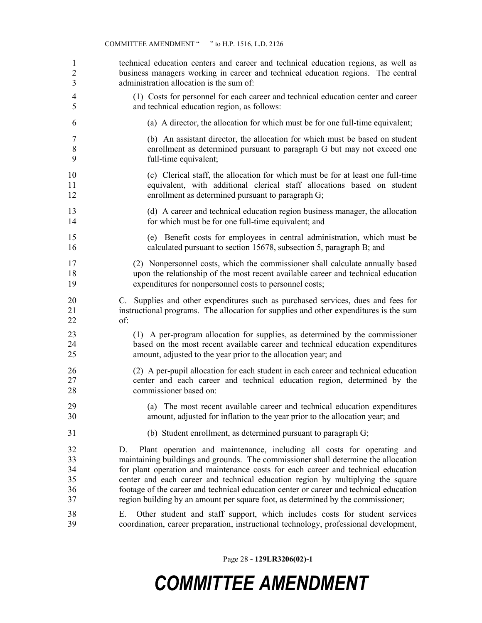| 1                                | technical education centers and career and technical education regions, as well as                                                                                                                                                                                                                                                                                                                                                                                                                                       |
|----------------------------------|--------------------------------------------------------------------------------------------------------------------------------------------------------------------------------------------------------------------------------------------------------------------------------------------------------------------------------------------------------------------------------------------------------------------------------------------------------------------------------------------------------------------------|
| $\overline{2}$                   | business managers working in career and technical education regions. The central                                                                                                                                                                                                                                                                                                                                                                                                                                         |
| 3                                | administration allocation is the sum of:                                                                                                                                                                                                                                                                                                                                                                                                                                                                                 |
| 4                                | (1) Costs for personnel for each career and technical education center and career                                                                                                                                                                                                                                                                                                                                                                                                                                        |
| 5                                | and technical education region, as follows:                                                                                                                                                                                                                                                                                                                                                                                                                                                                              |
| 6                                | (a) A director, the allocation for which must be for one full-time equivalent;                                                                                                                                                                                                                                                                                                                                                                                                                                           |
| 7                                | (b) An assistant director, the allocation for which must be based on student                                                                                                                                                                                                                                                                                                                                                                                                                                             |
| $\,$ $\,$                        | enrollment as determined pursuant to paragraph G but may not exceed one                                                                                                                                                                                                                                                                                                                                                                                                                                                  |
| 9                                | full-time equivalent;                                                                                                                                                                                                                                                                                                                                                                                                                                                                                                    |
| 10                               | (c) Clerical staff, the allocation for which must be for at least one full-time                                                                                                                                                                                                                                                                                                                                                                                                                                          |
| 11                               | equivalent, with additional clerical staff allocations based on student                                                                                                                                                                                                                                                                                                                                                                                                                                                  |
| 12                               | enrollment as determined pursuant to paragraph G;                                                                                                                                                                                                                                                                                                                                                                                                                                                                        |
| 13                               | (d) A career and technical education region business manager, the allocation                                                                                                                                                                                                                                                                                                                                                                                                                                             |
| 14                               | for which must be for one full-time equivalent; and                                                                                                                                                                                                                                                                                                                                                                                                                                                                      |
| 15                               | (e) Benefit costs for employees in central administration, which must be                                                                                                                                                                                                                                                                                                                                                                                                                                                 |
| 16                               | calculated pursuant to section 15678, subsection 5, paragraph B; and                                                                                                                                                                                                                                                                                                                                                                                                                                                     |
| 17                               | (2) Nonpersonnel costs, which the commissioner shall calculate annually based                                                                                                                                                                                                                                                                                                                                                                                                                                            |
| 18                               | upon the relationship of the most recent available career and technical education                                                                                                                                                                                                                                                                                                                                                                                                                                        |
| 19                               | expenditures for nonpersonnel costs to personnel costs;                                                                                                                                                                                                                                                                                                                                                                                                                                                                  |
| 20                               | C. Supplies and other expenditures such as purchased services, dues and fees for                                                                                                                                                                                                                                                                                                                                                                                                                                         |
| 21                               | instructional programs. The allocation for supplies and other expenditures is the sum                                                                                                                                                                                                                                                                                                                                                                                                                                    |
| 22                               | of:                                                                                                                                                                                                                                                                                                                                                                                                                                                                                                                      |
| 23                               | (1) A per-program allocation for supplies, as determined by the commissioner                                                                                                                                                                                                                                                                                                                                                                                                                                             |
| 24                               | based on the most recent available career and technical education expenditures                                                                                                                                                                                                                                                                                                                                                                                                                                           |
| 25                               | amount, adjusted to the year prior to the allocation year; and                                                                                                                                                                                                                                                                                                                                                                                                                                                           |
| 26                               | (2) A per-pupil allocation for each student in each career and technical education                                                                                                                                                                                                                                                                                                                                                                                                                                       |
| 27                               | center and each career and technical education region, determined by the                                                                                                                                                                                                                                                                                                                                                                                                                                                 |
| 28                               | commissioner based on:                                                                                                                                                                                                                                                                                                                                                                                                                                                                                                   |
| 29                               | (a) The most recent available career and technical education expenditures                                                                                                                                                                                                                                                                                                                                                                                                                                                |
| 30                               | amount, adjusted for inflation to the year prior to the allocation year; and                                                                                                                                                                                                                                                                                                                                                                                                                                             |
| 31                               | (b) Student enrollment, as determined pursuant to paragraph G;                                                                                                                                                                                                                                                                                                                                                                                                                                                           |
| 32<br>33<br>34<br>35<br>36<br>37 | Plant operation and maintenance, including all costs for operating and<br>D.<br>maintaining buildings and grounds. The commissioner shall determine the allocation<br>for plant operation and maintenance costs for each career and technical education<br>center and each career and technical education region by multiplying the square<br>footage of the career and technical education center or career and technical education<br>region building by an amount per square foot, as determined by the commissioner; |

Page 28 - 129LR3206(02)-1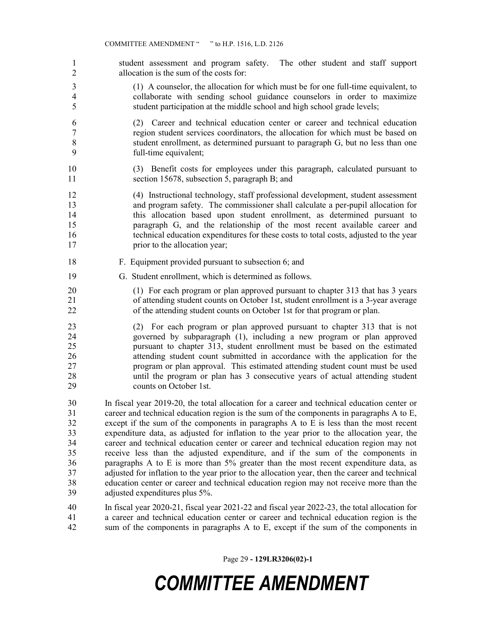- 1 student assessment and program safety. The other student and staff support 2 allocation is the sum of the costs for:
- 3 (1) A counselor, the allocation for which must be for one full-time equivalent, to 4 collaborate with sending school guidance counselors in order to maximize 5 student participation at the middle school and high school grade levels;
- 6 (2) Career and technical education center or career and technical education 7 region student services coordinators, the allocation for which must be based on 8 student enrollment, as determined pursuant to paragraph G, but no less than one 9 full-time equivalent;
- 10 (3) Benefit costs for employees under this paragraph, calculated pursuant to 11 section 15678, subsection 5, paragraph B; and
- 12 (4) Instructional technology, staff professional development, student assessment 13 and program safety. The commissioner shall calculate a per-pupil allocation for 14 this allocation based upon student enrollment, as determined pursuant to 15 paragraph G, and the relationship of the most recent available career and 16 technical education expenditures for these costs to total costs, adjusted to the year 17 **prior to the allocation year;**
- 18 F. Equipment provided pursuant to subsection 6; and
- 19 G. Student enrollment, which is determined as follows.
- 20 (1) For each program or plan approved pursuant to chapter 313 that has 3 years 21 of attending student counts on October 1st, student enrollment is a 3-year average 22 of the attending student counts on October 1st for that program or plan.
- 23 (2) For each program or plan approved pursuant to chapter 313 that is not 24 governed by subparagraph (1), including a new program or plan approved 25 pursuant to chapter 313, student enrollment must be based on the estimated 26 attending student count submitted in accordance with the application for the 27 program or plan approval. This estimated attending student count must be used 28 until the program or plan has 3 consecutive years of actual attending student 29 counts on October 1st.
- 30 In fiscal year 2019-20, the total allocation for a career and technical education center or 31 career and technical education region is the sum of the components in paragraphs A to E, 32 except if the sum of the components in paragraphs A to E is less than the most recent 33 expenditure data, as adjusted for inflation to the year prior to the allocation year, the 34 career and technical education center or career and technical education region may not 35 receive less than the adjusted expenditure, and if the sum of the components in 36 paragraphs A to E is more than 5% greater than the most recent expenditure data, as 37 adjusted for inflation to the year prior to the allocation year, then the career and technical 38 education center or career and technical education region may not receive more than the 39 adjusted expenditures plus 5%.
- 40 In fiscal year 2020-21, fiscal year 2021-22 and fiscal year 2022-23, the total allocation for 41 a career and technical education center or career and technical education region is the 42 sum of the components in paragraphs A to E, except if the sum of the components in

Page 29 - 129LR3206(02)-1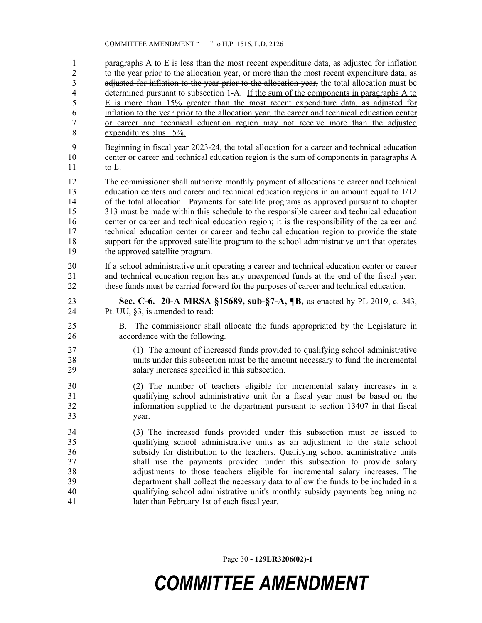1 paragraphs A to E is less than the most recent expenditure data, as adjusted for inflation 2 to the year prior to the allocation year, or more than the most recent expenditure data, as 3 adjusted for inflation to the year prior to the allocation year, the total allocation must be 4 determined pursuant to subsection 1-A. If the sum of the components in paragraphs A to 5 E is more than 15% greater than the most recent expenditure data, as adjusted for 6 inflation to the year prior to the allocation year, the career and technical education center 7 or career and technical education region may not receive more than the adjusted 8 expenditures plus 15%.

9 Beginning in fiscal year 2023-24, the total allocation for a career and technical education 10 center or career and technical education region is the sum of components in paragraphs A 11 to E.

12 The commissioner shall authorize monthly payment of allocations to career and technical 13 education centers and career and technical education regions in an amount equal to 1/12 14 of the total allocation. Payments for satellite programs as approved pursuant to chapter 15 313 must be made within this schedule to the responsible career and technical education 16 center or career and technical education region; it is the responsibility of the career and 17 technical education center or career and technical education region to provide the state 18 support for the approved satellite program to the school administrative unit that operates 19 the approved satellite program.

20 If a school administrative unit operating a career and technical education center or career 21 and technical education region has any unexpended funds at the end of the fiscal year, 22 these funds must be carried forward for the purposes of career and technical education.

- 23 Sec. C-6. 20-A MRSA §15689, sub-§7-A, ¶B, as enacted by PL 2019, c. 343, 24 Pt. UU, §3, is amended to read:
- 25 B. The commissioner shall allocate the funds appropriated by the Legislature in 26 accordance with the following.
- 27 (1) The amount of increased funds provided to qualifying school administrative 28 units under this subsection must be the amount necessary to fund the incremental 29 salary increases specified in this subsection.
- 30 (2) The number of teachers eligible for incremental salary increases in a 31 qualifying school administrative unit for a fiscal year must be based on the 32 information supplied to the department pursuant to section 13407 in that fiscal 33 year.
- 34 (3) The increased funds provided under this subsection must be issued to 35 qualifying school administrative units as an adjustment to the state school 36 subsidy for distribution to the teachers. Qualifying school administrative units 37 shall use the payments provided under this subsection to provide salary 38 adjustments to those teachers eligible for incremental salary increases. The 39 department shall collect the necessary data to allow the funds to be included in a 40 qualifying school administrative unit's monthly subsidy payments beginning no 41 later than February 1st of each fiscal year.

Page 30 - 129LR3206(02)-1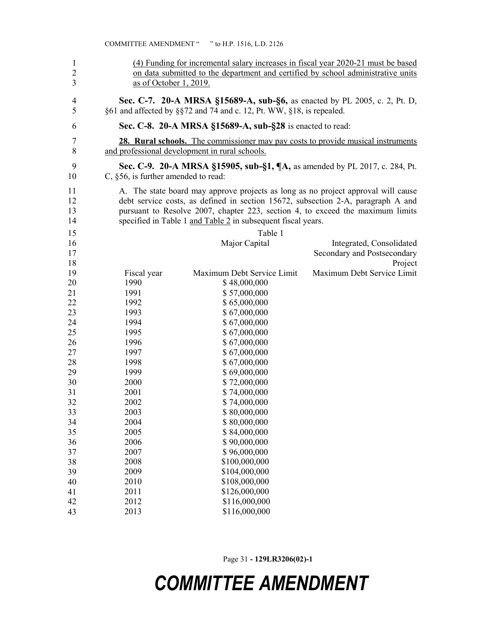| $\mathbf{1}$<br>$\overline{c}$<br>$\overline{\mathbf{3}}$ | (4) Funding for incremental salary increases in fiscal year 2020-21 must be based<br>on data submitted to the department and certified by school administrative units<br>as of October 1, 2019. |                                                                                         |                             |  |
|-----------------------------------------------------------|-------------------------------------------------------------------------------------------------------------------------------------------------------------------------------------------------|-----------------------------------------------------------------------------------------|-----------------------------|--|
| 4                                                         | Sec. C-7. 20-A MRSA §15689-A, sub-§6, as enacted by PL 2005, c. 2, Pt. D,                                                                                                                       |                                                                                         |                             |  |
| 5                                                         |                                                                                                                                                                                                 | §61 and affected by §§72 and 74 and c. 12, Pt. WW, §18, is repealed.                    |                             |  |
| 6                                                         |                                                                                                                                                                                                 | Sec. C-8. 20-A MRSA §15689-A, sub-§28 is enacted to read:                               |                             |  |
| 7                                                         |                                                                                                                                                                                                 | <b>28. Rural schools.</b> The commissioner may pay costs to provide musical instruments |                             |  |
| 8                                                         |                                                                                                                                                                                                 | and professional development in rural schools.                                          |                             |  |
| 9                                                         |                                                                                                                                                                                                 | Sec. C-9. 20-A MRSA §15905, sub-§1, ¶A, as amended by PL 2017, c. 284, Pt.              |                             |  |
| 10                                                        | C, $§56$ , is further amended to read:                                                                                                                                                          |                                                                                         |                             |  |
| 11                                                        |                                                                                                                                                                                                 | A. The state board may approve projects as long as no project approval will cause       |                             |  |
| 12                                                        |                                                                                                                                                                                                 | debt service costs, as defined in section 15672, subsection 2-A, paragraph A and        |                             |  |
| 13                                                        |                                                                                                                                                                                                 | pursuant to Resolve 2007, chapter 223, section 4, to exceed the maximum limits          |                             |  |
| 14                                                        |                                                                                                                                                                                                 | specified in Table 1 and Table 2 in subsequent fiscal years.                            |                             |  |
| 15                                                        |                                                                                                                                                                                                 | Table 1                                                                                 |                             |  |
| 16                                                        |                                                                                                                                                                                                 | Major Capital                                                                           | Integrated, Consolidated    |  |
| 17                                                        |                                                                                                                                                                                                 |                                                                                         | Secondary and Postsecondary |  |
| 18                                                        |                                                                                                                                                                                                 |                                                                                         | Project                     |  |
| 19                                                        | Fiscal year                                                                                                                                                                                     | Maximum Debt Service Limit                                                              | Maximum Debt Service Limit  |  |
| 20                                                        | 1990                                                                                                                                                                                            | \$48,000,000                                                                            |                             |  |
| 21                                                        | 1991                                                                                                                                                                                            | \$57,000,000                                                                            |                             |  |
| 22                                                        | 1992                                                                                                                                                                                            | \$65,000,000                                                                            |                             |  |
| 23                                                        | 1993                                                                                                                                                                                            | \$67,000,000                                                                            |                             |  |
| 24                                                        | 1994                                                                                                                                                                                            | \$67,000,000                                                                            |                             |  |
| 25                                                        | 1995                                                                                                                                                                                            | \$67,000,000                                                                            |                             |  |
| 26                                                        | 1996                                                                                                                                                                                            | \$67,000,000                                                                            |                             |  |
| 27                                                        | 1997                                                                                                                                                                                            | \$67,000,000                                                                            |                             |  |
| 28                                                        | 1998                                                                                                                                                                                            | \$67,000,000                                                                            |                             |  |
| 29                                                        | 1999                                                                                                                                                                                            | \$69,000,000                                                                            |                             |  |
| 30                                                        | 2000                                                                                                                                                                                            | \$72,000,000                                                                            |                             |  |
| 31                                                        | 2001                                                                                                                                                                                            | \$74,000,000                                                                            |                             |  |
| 32                                                        | 2002                                                                                                                                                                                            | \$74,000,000                                                                            |                             |  |
| 33                                                        | 2003                                                                                                                                                                                            | \$80,000,000                                                                            |                             |  |
| 34                                                        | 2004                                                                                                                                                                                            | \$80,000,000                                                                            |                             |  |
| 35<br>36                                                  | 2005<br>2006                                                                                                                                                                                    | \$84,000,000                                                                            |                             |  |
| 37                                                        | 2007                                                                                                                                                                                            | \$90,000,000<br>\$96,000,000                                                            |                             |  |
| 38                                                        | 2008                                                                                                                                                                                            | \$100,000,000                                                                           |                             |  |
| 39                                                        | 2009                                                                                                                                                                                            | \$104,000,000                                                                           |                             |  |
| 40                                                        | 2010                                                                                                                                                                                            | \$108,000,000                                                                           |                             |  |
| 41                                                        | 2011                                                                                                                                                                                            | \$126,000,000                                                                           |                             |  |
| 42                                                        | 2012                                                                                                                                                                                            | \$116,000,000                                                                           |                             |  |
| 43                                                        | 2013                                                                                                                                                                                            | \$116,000,000                                                                           |                             |  |

Page 31 - 129LR3206(02)-1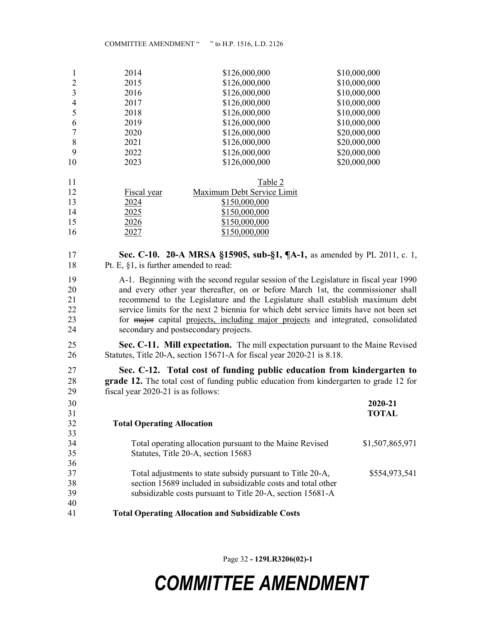|    | 2014 | \$126,000,000 | \$10,000,000 |
|----|------|---------------|--------------|
|    | 2015 | \$126,000,000 | \$10,000,000 |
| 3  | 2016 | \$126,000,000 | \$10,000,000 |
| 4  | 2017 | \$126,000,000 | \$10,000,000 |
|    | 2018 | \$126,000,000 | \$10,000,000 |
| 6  | 2019 | \$126,000,000 | \$10,000,000 |
|    | 2020 | \$126,000,000 | \$20,000,000 |
| 8  | 2021 | \$126,000,000 | \$20,000,000 |
| 9  | 2022 | \$126,000,000 | \$20,000,000 |
| 10 | 2023 | \$126,000,000 | \$20,000,000 |
|    |      |               |              |

| 11 |             | Table 2                    |
|----|-------------|----------------------------|
| 12 | Fiscal year | Maximum Debt Service Limit |
| 13 | 2024        | \$150,000,000              |
| 14 | 2025        | \$150,000,000              |
| 15 | 2026        | \$150,000,000              |
| 16 |             | \$150,000,000              |

### **Sec. C-10. 20-A MRSA §15905, sub-§1, ¶A-1,** as amended by PL 2011, c. 1, 18 Pt. E, §1, is further amended to read:

19 A-1. Beginning with the second regular session of the Legislature in fiscal year 1990 20 and every other year thereafter, on or before March 1st, the commissioner shall 21 recommend to the Legislature and the Legislature shall establish maximum debt 22 service limits for the next 2 biennia for which debt service limits have not been set 23 for major capital projects, including major projects and integrated, consolidated 24 secondary and postsecondary projects.

Sec. C-11. Mill expectation. The mill expectation pursuant to the Maine Revised 26 Statutes, Title 20-A, section 15671-A for fiscal year 2020-21 is 8.18.

Sec. C-12. Total cost of funding public education from kindergarten to 28 grade 12. The total cost of funding public education from kindergarten to grade 12 for 29 fiscal year 2020-21 is as follows:

| 30 |                                                              | 2020-21         |
|----|--------------------------------------------------------------|-----------------|
| 31 |                                                              | <b>TOTAL</b>    |
| 32 | <b>Total Operating Allocation</b>                            |                 |
| 33 |                                                              |                 |
| 34 | Total operating allocation pursuant to the Maine Revised     | \$1,507,865,971 |
| 35 | Statutes, Title 20-A, section 15683                          |                 |
| 36 |                                                              |                 |
| 37 | Total adjustments to state subsidy pursuant to Title 20-A,   | \$554,973,541   |
| 38 | section 15689 included in subsidizable costs and total other |                 |
| 39 | subsidizable costs pursuant to Title 20-A, section 15681-A   |                 |
| 40 |                                                              |                 |
| 41 | <b>Total Operating Allocation and Subsidizable Costs</b>     |                 |

Page 32 - 129LR3206(02)-1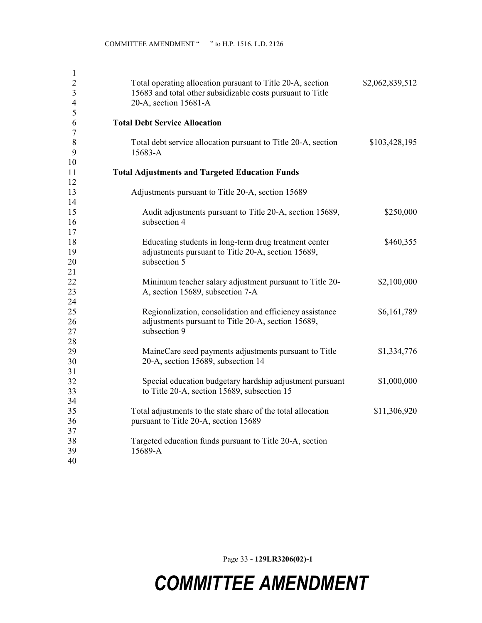| $\mathbf{1}$   |                                                               |                 |
|----------------|---------------------------------------------------------------|-----------------|
| $\overline{2}$ | Total operating allocation pursuant to Title 20-A, section    | \$2,062,839,512 |
| 3              | 15683 and total other subsidizable costs pursuant to Title    |                 |
| $\overline{4}$ | 20-A, section 15681-A                                         |                 |
| 5              |                                                               |                 |
| 6              | <b>Total Debt Service Allocation</b>                          |                 |
| $\tau$         |                                                               |                 |
| $\,8\,$        | Total debt service allocation pursuant to Title 20-A, section | \$103,428,195   |
| 9              | 15683-A                                                       |                 |
| 10             |                                                               |                 |
| 11             | <b>Total Adjustments and Targeted Education Funds</b>         |                 |
| 12             |                                                               |                 |
| 13             | Adjustments pursuant to Title 20-A, section 15689             |                 |
| 14             |                                                               |                 |
| 15             | Audit adjustments pursuant to Title 20-A, section 15689,      | \$250,000       |
| 16             | subsection 4                                                  |                 |
| 17             |                                                               |                 |
| 18             | Educating students in long-term drug treatment center         | \$460,355       |
| 19             | adjustments pursuant to Title 20-A, section 15689,            |                 |
| 20             | subsection 5                                                  |                 |
| 21             |                                                               |                 |
| 22             | Minimum teacher salary adjustment pursuant to Title 20-       | \$2,100,000     |
| 23             | A, section 15689, subsection 7-A                              |                 |
| 24             |                                                               |                 |
| 25             | Regionalization, consolidation and efficiency assistance      | \$6,161,789     |
| 26             | adjustments pursuant to Title 20-A, section 15689,            |                 |
| 27             | subsection 9                                                  |                 |
| 28             |                                                               |                 |
| 29             | MaineCare seed payments adjustments pursuant to Title         | \$1,334,776     |
| 30             | 20-A, section 15689, subsection 14                            |                 |
| 31             |                                                               |                 |
| 32             | Special education budgetary hardship adjustment pursuant      | \$1,000,000     |
| 33             | to Title 20-A, section 15689, subsection 15                   |                 |
| 34             |                                                               |                 |
| 35             | Total adjustments to the state share of the total allocation  | \$11,306,920    |
| 36             | pursuant to Title 20-A, section 15689                         |                 |
| 37             |                                                               |                 |
| 38             | Targeted education funds pursuant to Title 20-A, section      |                 |
| 39             | 15689-A                                                       |                 |
| 40             |                                                               |                 |
|                |                                                               |                 |

Page 33 - 129LR3206(02)-1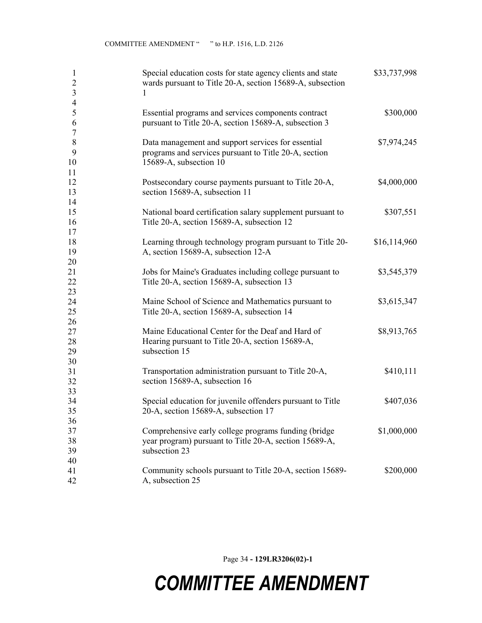| 1<br>$\overline{2}$<br>$\mathfrak{Z}$<br>$\overline{4}$ | Special education costs for state agency clients and state<br>wards pursuant to Title 20-A, section 15689-A, subsection<br>1          | \$33,737,998 |
|---------------------------------------------------------|---------------------------------------------------------------------------------------------------------------------------------------|--------------|
| $\mathfrak{S}$<br>6<br>$\tau$                           | Essential programs and services components contract<br>pursuant to Title 20-A, section 15689-A, subsection 3                          | \$300,000    |
| $\,8\,$<br>9<br>10<br>11                                | Data management and support services for essential<br>programs and services pursuant to Title 20-A, section<br>15689-A, subsection 10 | \$7,974,245  |
| 12<br>13<br>14                                          | Postsecondary course payments pursuant to Title 20-A,<br>section 15689-A, subsection 11                                               | \$4,000,000  |
| 15<br>16                                                | National board certification salary supplement pursuant to<br>Title 20-A, section 15689-A, subsection 12                              | \$307,551    |
| 17<br>18<br>19                                          | Learning through technology program pursuant to Title 20-<br>A, section 15689-A, subsection 12-A                                      | \$16,114,960 |
| 20<br>21<br>22                                          | Jobs for Maine's Graduates including college pursuant to<br>Title 20-A, section 15689-A, subsection 13                                | \$3,545,379  |
| 23<br>24<br>25                                          | Maine School of Science and Mathematics pursuant to<br>Title 20-A, section 15689-A, subsection 14                                     | \$3,615,347  |
| 26<br>27<br>28<br>29                                    | Maine Educational Center for the Deaf and Hard of<br>Hearing pursuant to Title 20-A, section 15689-A,<br>subsection 15                | \$8,913,765  |
| 30<br>31<br>32                                          | Transportation administration pursuant to Title 20-A,<br>section 15689-A, subsection 16                                               | \$410,111    |
| 33<br>34<br>35                                          | Special education for juvenile offenders pursuant to Title<br>20-A, section 15689-A, subsection 17                                    | \$407,036    |
| 36<br>37<br>38<br>39                                    | Comprehensive early college programs funding (bridge<br>year program) pursuant to Title 20-A, section 15689-A,<br>subsection 23       | \$1,000,000  |
| 40<br>41<br>42                                          | Community schools pursuant to Title 20-A, section 15689-<br>A, subsection 25                                                          | \$200,000    |

Page 34 - 129LR3206(02)-1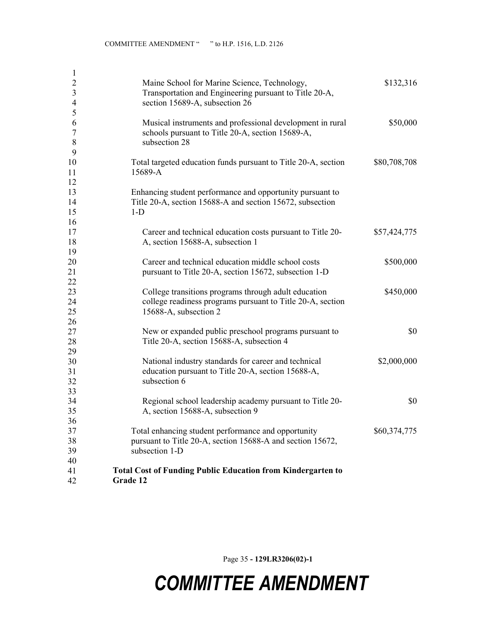| $\mathbf{1}$   |                                                                    |              |
|----------------|--------------------------------------------------------------------|--------------|
| $\overline{2}$ | Maine School for Marine Science, Technology,                       | \$132,316    |
| $\mathfrak{Z}$ | Transportation and Engineering pursuant to Title 20-A,             |              |
| $\overline{4}$ | section 15689-A, subsection 26                                     |              |
| 5              |                                                                    |              |
| 6              | Musical instruments and professional development in rural          | \$50,000     |
| $\tau$         | schools pursuant to Title 20-A, section 15689-A,                   |              |
| 8              | subsection 28                                                      |              |
| 9              |                                                                    |              |
| 10             | Total targeted education funds pursuant to Title 20-A, section     | \$80,708,708 |
| 11             | 15689-A                                                            |              |
| 12             |                                                                    |              |
| 13             | Enhancing student performance and opportunity pursuant to          |              |
| 14             | Title 20-A, section 15688-A and section 15672, subsection          |              |
| 15             | $1-D$                                                              |              |
| 16             |                                                                    |              |
| 17             | Career and technical education costs pursuant to Title 20-         | \$57,424,775 |
| 18             | A, section 15688-A, subsection 1                                   |              |
| 19             |                                                                    |              |
| 20             | Career and technical education middle school costs                 | \$500,000    |
| 21             | pursuant to Title 20-A, section 15672, subsection 1-D              |              |
| 22             |                                                                    |              |
| 23             | College transitions programs through adult education               | \$450,000    |
| 24             | college readiness programs pursuant to Title 20-A, section         |              |
| 25             | 15688-A, subsection 2                                              |              |
| 26             |                                                                    |              |
| 27             | New or expanded public preschool programs pursuant to              | \$0          |
| 28             | Title 20-A, section 15688-A, subsection 4                          |              |
| 29             |                                                                    |              |
| 30             | National industry standards for career and technical               | \$2,000,000  |
| 31<br>32       | education pursuant to Title 20-A, section 15688-A,<br>subsection 6 |              |
| 33             |                                                                    |              |
|                | Regional school leadership academy pursuant to Title 20-           | \$0          |
| 34<br>35       | A, section 15688-A, subsection 9                                   |              |
|                |                                                                    |              |
| 36<br>37       | Total enhancing student performance and opportunity                | \$60,374,775 |
| 38             | pursuant to Title 20-A, section 15688-A and section 15672,         |              |
| 39             | subsection 1-D                                                     |              |
| 40             |                                                                    |              |
| 41             | <b>Total Cost of Funding Public Education from Kindergarten to</b> |              |
| 42             | Grade 12                                                           |              |
|                |                                                                    |              |

Page 35 - 129LR3206(02)-1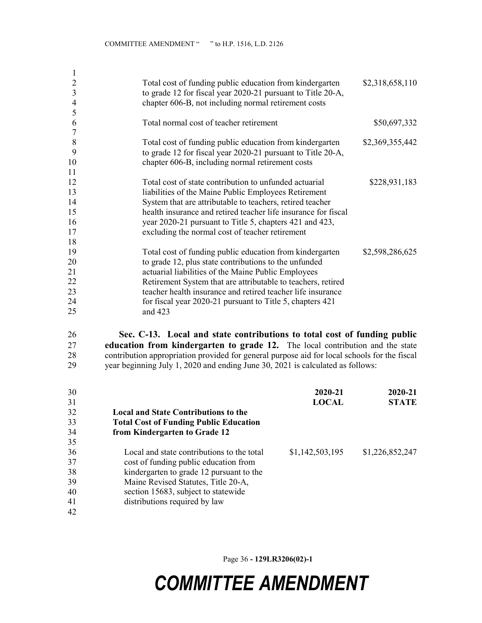| $\overline{2}$ | Total cost of funding public education from kindergarten       | \$2,318,658,110 |
|----------------|----------------------------------------------------------------|-----------------|
| 3              | to grade 12 for fiscal year 2020-21 pursuant to Title 20-A,    |                 |
| 4              | chapter 606-B, not including normal retirement costs           |                 |
| 5              |                                                                |                 |
| 6              | Total normal cost of teacher retirement                        | \$50,697,332    |
| $\overline{7}$ |                                                                |                 |
| 8              | Total cost of funding public education from kindergarten       | \$2,369,355,442 |
| 9              | to grade 12 for fiscal year 2020-21 pursuant to Title 20-A,    |                 |
| 10             | chapter 606-B, including normal retirement costs               |                 |
| 11             |                                                                |                 |
| 12             | Total cost of state contribution to unfunded actuarial         | \$228,931,183   |
| 13             | liabilities of the Maine Public Employees Retirement           |                 |
| 14             | System that are attributable to teachers, retired teacher      |                 |
| 15             | health insurance and retired teacher life insurance for fiscal |                 |
| 16             | year 2020-21 pursuant to Title 5, chapters 421 and 423,        |                 |
| 17             | excluding the normal cost of teacher retirement                |                 |
| 18             |                                                                |                 |
| 19             | Total cost of funding public education from kindergarten       | \$2,598,286,625 |
| 20             | to grade 12, plus state contributions to the unfunded          |                 |
| 21             | actuarial liabilities of the Maine Public Employees            |                 |
| 22             | Retirement System that are attributable to teachers, retired   |                 |
| 23             | teacher health insurance and retired teacher life insurance    |                 |
| 24             | for fiscal year 2020-21 pursuant to Title 5, chapters 421      |                 |
| 25             | and 423                                                        |                 |
|                |                                                                |                 |

26 Sec. C-13. Local and state contributions to total cost of funding public 27 education from kindergarten to grade 12. The local contribution and the state 28 contribution appropriation provided for general purpose aid for local schools for the fiscal<br>29 vear beginning July 1, 2020 and ending June 30, 2021 is calculated as follows: year beginning July 1, 2020 and ending June 30, 2021 is calculated as follows:

| 30 |                                               | 2020-21         | 2020-21         |
|----|-----------------------------------------------|-----------------|-----------------|
| 31 |                                               | <b>LOCAL</b>    | <b>STATE</b>    |
| 32 | <b>Local and State Contributions to the</b>   |                 |                 |
| 33 | <b>Total Cost of Funding Public Education</b> |                 |                 |
| 34 | from Kindergarten to Grade 12                 |                 |                 |
| 35 |                                               |                 |                 |
| 36 | Local and state contributions to the total    | \$1,142,503,195 | \$1,226,852,247 |
| 37 | cost of funding public education from         |                 |                 |
| 38 | kindergarten to grade 12 pursuant to the      |                 |                 |
| 39 | Maine Revised Statutes, Title 20-A,           |                 |                 |
| 40 | section 15683, subject to statewide           |                 |                 |
| 41 | distributions required by law                 |                 |                 |
| 42 |                                               |                 |                 |

Page 36 - 129LR3206(02)-1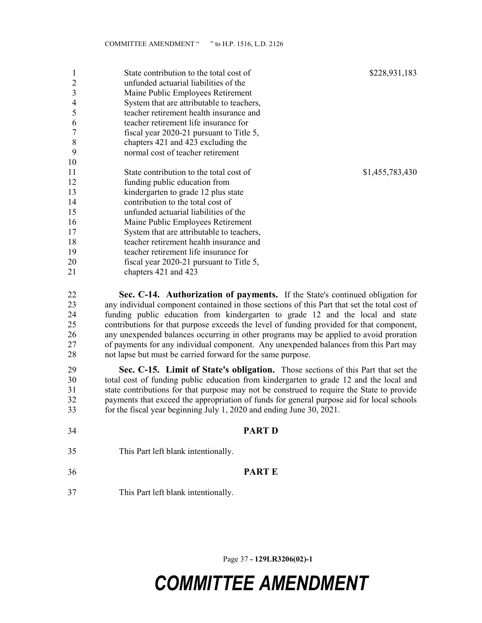|    | State contribution to the total cost of   | \$228,931,183   |
|----|-------------------------------------------|-----------------|
| 2  | unfunded actuarial liabilities of the     |                 |
| 3  | Maine Public Employees Retirement         |                 |
| 4  | System that are attributable to teachers, |                 |
| 5  | teacher retirement health insurance and   |                 |
| 6  | teacher retirement life insurance for     |                 |
|    | fiscal year 2020-21 pursuant to Title 5,  |                 |
| 8  | chapters 421 and 423 excluding the        |                 |
| 9  | normal cost of teacher retirement         |                 |
| 10 |                                           |                 |
| 11 | State contribution to the total cost of   | \$1,455,783,430 |
| 12 | funding public education from             |                 |
| 13 | kindergarten to grade 12 plus state       |                 |
| 14 | contribution to the total cost of         |                 |
| 15 | unfunded actuarial liabilities of the     |                 |
| 16 | Maine Public Employees Retirement         |                 |
| 17 | System that are attributable to teachers, |                 |
| 18 | teacher retirement health insurance and   |                 |
| 19 | teacher retirement life insurance for     |                 |
| 20 | fiscal year 2020-21 pursuant to Title 5,  |                 |
| 21 | chapters 421 and 423                      |                 |

22 Sec. C-14. Authorization of payments. If the State's continued obligation for 23 any individual component contained in those sections of this Part that set the total cost of 24 funding public education from kindergarten to grade 12 and the local and state 25 contributions for that purpose exceeds the level of funding provided for that component, 26 any unexpended balances occurring in other programs may be applied to avoid proration 27 of payments for any individual component. Any unexpended balances from this Part may 28 not lapse but must be carried forward for the same purpose.

29 Sec. C-15. Limit of State's obligation. Those sections of this Part that set the 30 total cost of funding public education from kindergarten to grade 12 and the local and 31 state contributions for that purpose may not be construed to require the State to provide 32 payments that exceed the appropriation of funds for general purpose aid for local schools 33 for the fiscal year beginning July 1, 2020 and ending June 30, 2021.

34 PART D 35 This Part left blank intentionally. 36 PART E 37 This Part left blank intentionally.

Page 37 - 129LR3206(02)-1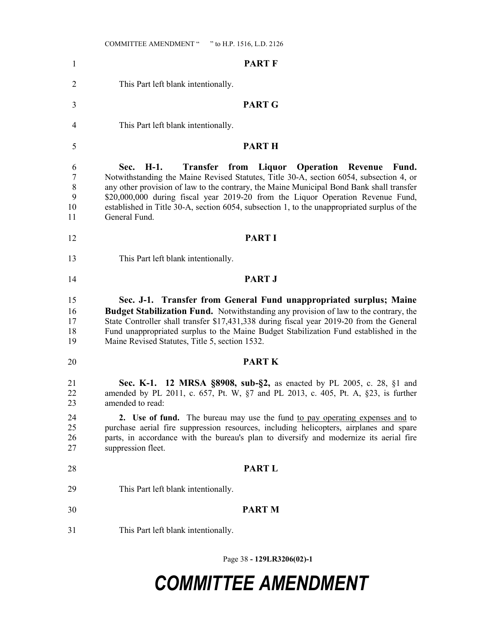| $\mathbf{1}$                 | <b>PART F</b>                                                                                                                                                                                                                                                                                                                                                                                                                                                   |
|------------------------------|-----------------------------------------------------------------------------------------------------------------------------------------------------------------------------------------------------------------------------------------------------------------------------------------------------------------------------------------------------------------------------------------------------------------------------------------------------------------|
| 2                            | This Part left blank intentionally.                                                                                                                                                                                                                                                                                                                                                                                                                             |
| 3                            | <b>PART G</b>                                                                                                                                                                                                                                                                                                                                                                                                                                                   |
| $\overline{4}$               | This Part left blank intentionally.                                                                                                                                                                                                                                                                                                                                                                                                                             |
| 5                            | <b>PARTH</b>                                                                                                                                                                                                                                                                                                                                                                                                                                                    |
| 6<br>7<br>8<br>9<br>10<br>11 | Sec. H-1.<br><b>Transfer</b> from<br>Liquor Operation Revenue<br>Fund.<br>Notwithstanding the Maine Revised Statutes, Title 30-A, section 6054, subsection 4, or<br>any other provision of law to the contrary, the Maine Municipal Bond Bank shall transfer<br>\$20,000,000 during fiscal year 2019-20 from the Liquor Operation Revenue Fund,<br>established in Title 30-A, section 6054, subsection 1, to the unappropriated surplus of the<br>General Fund. |
| 12                           | <b>PART I</b>                                                                                                                                                                                                                                                                                                                                                                                                                                                   |
| 13                           | This Part left blank intentionally.                                                                                                                                                                                                                                                                                                                                                                                                                             |
| 14                           | <b>PART J</b>                                                                                                                                                                                                                                                                                                                                                                                                                                                   |
| 15<br>16<br>17<br>18<br>19   | Sec. J-1. Transfer from General Fund unappropriated surplus; Maine<br>Budget Stabilization Fund. Notwithstanding any provision of law to the contrary, the<br>State Controller shall transfer \$17,431,338 during fiscal year 2019-20 from the General<br>Fund unappropriated surplus to the Maine Budget Stabilization Fund established in the<br>Maine Revised Statutes, Title 5, section 1532.                                                               |
| 20                           | <b>PART K</b>                                                                                                                                                                                                                                                                                                                                                                                                                                                   |
| 21<br>22<br>23               | <b>Sec. K-1. 12 MRSA §8908, sub-§2,</b> as enacted by PL 2005, c. 28, §1 and<br>amended by PL 2011, c. 657, Pt. W, §7 and PL 2013, c. 405, Pt. A, §23, is further<br>amended to read:                                                                                                                                                                                                                                                                           |
| 24<br>25<br>26<br>27         | 2. Use of fund. The bureau may use the fund to pay operating expenses and to<br>purchase aerial fire suppression resources, including helicopters, airplanes and spare<br>parts, in accordance with the bureau's plan to diversify and modernize its aerial fire<br>suppression fleet.                                                                                                                                                                          |
| 28                           | <b>PART L</b>                                                                                                                                                                                                                                                                                                                                                                                                                                                   |
| 29                           | This Part left blank intentionally.                                                                                                                                                                                                                                                                                                                                                                                                                             |
| 30                           | <b>PART M</b>                                                                                                                                                                                                                                                                                                                                                                                                                                                   |
| 31                           | This Part left blank intentionally.                                                                                                                                                                                                                                                                                                                                                                                                                             |

Page 38 - 129LR3206(02)-1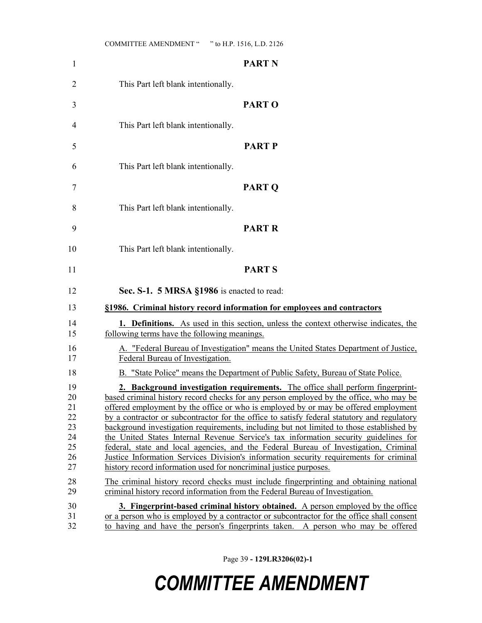| $\mathbf{1}$                                       | <b>PART N</b>                                                                                                                                                                                                                                                                                                                                                                                                                                                                                                                                                                                                                                                                                                                                                                                              |
|----------------------------------------------------|------------------------------------------------------------------------------------------------------------------------------------------------------------------------------------------------------------------------------------------------------------------------------------------------------------------------------------------------------------------------------------------------------------------------------------------------------------------------------------------------------------------------------------------------------------------------------------------------------------------------------------------------------------------------------------------------------------------------------------------------------------------------------------------------------------|
| 2                                                  | This Part left blank intentionally.                                                                                                                                                                                                                                                                                                                                                                                                                                                                                                                                                                                                                                                                                                                                                                        |
| 3                                                  | <b>PARTO</b>                                                                                                                                                                                                                                                                                                                                                                                                                                                                                                                                                                                                                                                                                                                                                                                               |
| 4                                                  | This Part left blank intentionally.                                                                                                                                                                                                                                                                                                                                                                                                                                                                                                                                                                                                                                                                                                                                                                        |
| 5                                                  | <b>PART P</b>                                                                                                                                                                                                                                                                                                                                                                                                                                                                                                                                                                                                                                                                                                                                                                                              |
| 6                                                  | This Part left blank intentionally.                                                                                                                                                                                                                                                                                                                                                                                                                                                                                                                                                                                                                                                                                                                                                                        |
| 7                                                  | <b>PART Q</b>                                                                                                                                                                                                                                                                                                                                                                                                                                                                                                                                                                                                                                                                                                                                                                                              |
| 8                                                  | This Part left blank intentionally.                                                                                                                                                                                                                                                                                                                                                                                                                                                                                                                                                                                                                                                                                                                                                                        |
| 9                                                  | <b>PART R</b>                                                                                                                                                                                                                                                                                                                                                                                                                                                                                                                                                                                                                                                                                                                                                                                              |
| 10                                                 | This Part left blank intentionally.                                                                                                                                                                                                                                                                                                                                                                                                                                                                                                                                                                                                                                                                                                                                                                        |
| 11                                                 | <b>PARTS</b>                                                                                                                                                                                                                                                                                                                                                                                                                                                                                                                                                                                                                                                                                                                                                                                               |
| 12                                                 | Sec. S-1. 5 MRSA §1986 is enacted to read:                                                                                                                                                                                                                                                                                                                                                                                                                                                                                                                                                                                                                                                                                                                                                                 |
| 13                                                 | §1986. Criminal history record information for employees and contractors                                                                                                                                                                                                                                                                                                                                                                                                                                                                                                                                                                                                                                                                                                                                   |
| 14<br>15                                           | 1. Definitions. As used in this section, unless the context otherwise indicates, the<br>following terms have the following meanings.                                                                                                                                                                                                                                                                                                                                                                                                                                                                                                                                                                                                                                                                       |
| 16<br>17                                           | A. "Federal Bureau of Investigation" means the United States Department of Justice,<br>Federal Bureau of Investigation.                                                                                                                                                                                                                                                                                                                                                                                                                                                                                                                                                                                                                                                                                    |
| 18                                                 | B. "State Police" means the Department of Public Safety, Bureau of State Police.                                                                                                                                                                                                                                                                                                                                                                                                                                                                                                                                                                                                                                                                                                                           |
| 19<br>20<br>21<br>22<br>23<br>24<br>25<br>26<br>27 | 2. Background investigation requirements. The office shall perform fingerprint-<br>based criminal history record checks for any person employed by the office, who may be<br>offered employment by the office or who is employed by or may be offered employment<br>by a contractor or subcontractor for the office to satisfy federal statutory and regulatory<br>background investigation requirements, including but not limited to those established by<br>the United States Internal Revenue Service's tax information security guidelines for<br>federal, state and local agencies, and the Federal Bureau of Investigation, Criminal<br>Justice Information Services Division's information security requirements for criminal<br>history record information used for noncriminal justice purposes. |
| 28<br>29                                           | The criminal history record checks must include fingerprinting and obtaining national<br>criminal history record information from the Federal Bureau of Investigation.                                                                                                                                                                                                                                                                                                                                                                                                                                                                                                                                                                                                                                     |
| 30<br>31<br>32                                     | <b>3. Fingerprint-based criminal history obtained.</b> A person employed by the office<br>or a person who is employed by a contractor or subcontractor for the office shall consent<br>to having and have the person's fingerprints taken. A person who may be offered                                                                                                                                                                                                                                                                                                                                                                                                                                                                                                                                     |

Page 39 - 129LR3206(02)-1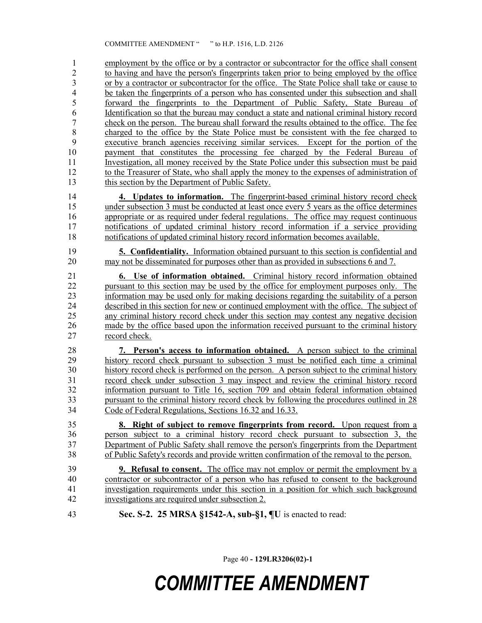1 employment by the office or by a contractor or subcontractor for the office shall consent 2 to having and have the person's fingerprints taken prior to being employed by the office 3 or by a contractor or subcontractor for the office. The State Police shall take or cause to 4 be taken the fingerprints of a person who has consented under this subsection and shall 5 forward the fingerprints to the Department of Public Safety, State Bureau of 6 Identification so that the bureau may conduct a state and national criminal history record 7 check on the person. The bureau shall forward the results obtained to the office. The fee 8 charged to the office by the State Police must be consistent with the fee charged to 9 executive branch agencies receiving similar services. Except for the portion of the 10 payment that constitutes the processing fee charged by the Federal Bureau of 11 Investigation, all money received by the State Police under this subsection must be paid 12 to the Treasurer of State, who shall apply the money to the expenses of administration of 13 this section by the Department of Public Safety.

14 4. Updates to information. The fingerprint-based criminal history record check 15 under subsection 3 must be conducted at least once every 5 years as the office determines 16 appropriate or as required under federal regulations. The office may request continuous 17 notifications of updated criminal history record information if a service providing 18 notifications of updated criminal history record information becomes available.

19 5. Confidentiality. Information obtained pursuant to this section is confidential and 20 may not be disseminated for purposes other than as provided in subsections 6 and 7.

21 6. Use of information obtained. Criminal history record information obtained 22 pursuant to this section may be used by the office for employment purposes only. The 23 information may be used only for making decisions regarding the suitability of a person 24 described in this section for new or continued employment with the office. The subject of 25 any criminal history record check under this section may contest any negative decision 26 made by the office based upon the information received pursuant to the criminal history 27 record check.

28 7. Person's access to information obtained. A person subject to the criminal 29 history record check pursuant to subsection 3 must be notified each time a criminal 30 history record check is performed on the person. A person subject to the criminal history 31 record check under subsection 3 may inspect and review the criminal history record 32 information pursuant to Title 16, section 709 and obtain federal information obtained 33 pursuant to the criminal history record check by following the procedures outlined in 28 34 Code of Federal Regulations, Sections 16.32 and 16.33.

35 8. Right of subject to remove fingerprints from record. Upon request from a 36 person subject to a criminal history record check pursuant to subsection 3, the 37 Department of Public Safety shall remove the person's fingerprints from the Department 38 of Public Safety's records and provide written confirmation of the removal to the person.

39 9. Refusal to consent. The office may not employ or permit the employment by a 40 contractor or subcontractor of a person who has refused to consent to the background 41 investigation requirements under this section in a position for which such background 42 investigations are required under subsection 2.

43 Sec. S-2. 25 MRSA §1542-A, sub-§1, ¶U is enacted to read:

Page 40 - 129LR3206(02)-1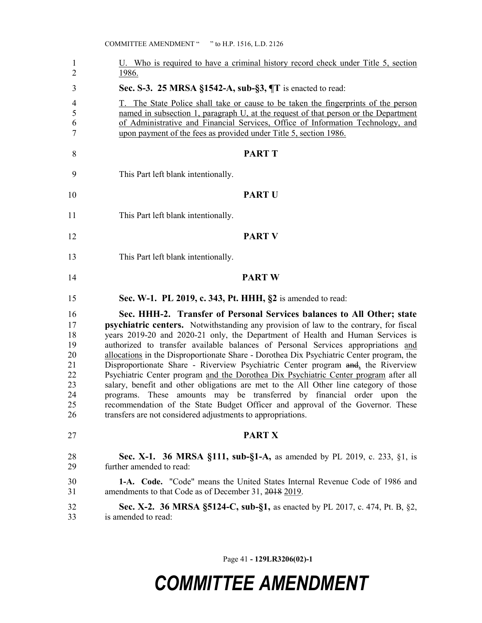| $\mathbf{1}$<br>$\overline{2}$                                 | U. Who is required to have a criminal history record check under Title 5, section<br>1986.                                                                                                                                                                                                                                                                                                                                                                                                                                                                                                                                                                                                                                                                                                                                                                                                                                                |
|----------------------------------------------------------------|-------------------------------------------------------------------------------------------------------------------------------------------------------------------------------------------------------------------------------------------------------------------------------------------------------------------------------------------------------------------------------------------------------------------------------------------------------------------------------------------------------------------------------------------------------------------------------------------------------------------------------------------------------------------------------------------------------------------------------------------------------------------------------------------------------------------------------------------------------------------------------------------------------------------------------------------|
| 3                                                              | Sec. S-3. 25 MRSA §1542-A, sub-§3, ¶T is enacted to read:                                                                                                                                                                                                                                                                                                                                                                                                                                                                                                                                                                                                                                                                                                                                                                                                                                                                                 |
| 4<br>5<br>6<br>$\tau$                                          | <u>T. The State Police shall take or cause to be taken the fingerprints of the person</u><br>named in subsection 1, paragraph U, at the request of that person or the Department<br>of Administrative and Financial Services, Office of Information Technology, and<br>upon payment of the fees as provided under Title 5, section 1986.                                                                                                                                                                                                                                                                                                                                                                                                                                                                                                                                                                                                  |
| 8                                                              | <b>PART T</b>                                                                                                                                                                                                                                                                                                                                                                                                                                                                                                                                                                                                                                                                                                                                                                                                                                                                                                                             |
| 9                                                              | This Part left blank intentionally.                                                                                                                                                                                                                                                                                                                                                                                                                                                                                                                                                                                                                                                                                                                                                                                                                                                                                                       |
| 10                                                             | <b>PART U</b>                                                                                                                                                                                                                                                                                                                                                                                                                                                                                                                                                                                                                                                                                                                                                                                                                                                                                                                             |
| 11                                                             | This Part left blank intentionally.                                                                                                                                                                                                                                                                                                                                                                                                                                                                                                                                                                                                                                                                                                                                                                                                                                                                                                       |
| 12                                                             | <b>PART V</b>                                                                                                                                                                                                                                                                                                                                                                                                                                                                                                                                                                                                                                                                                                                                                                                                                                                                                                                             |
| 13                                                             | This Part left blank intentionally.                                                                                                                                                                                                                                                                                                                                                                                                                                                                                                                                                                                                                                                                                                                                                                                                                                                                                                       |
| 14                                                             | <b>PART W</b>                                                                                                                                                                                                                                                                                                                                                                                                                                                                                                                                                                                                                                                                                                                                                                                                                                                                                                                             |
| 15                                                             | Sec. W-1. PL 2019, c. 343, Pt. HHH, §2 is amended to read:                                                                                                                                                                                                                                                                                                                                                                                                                                                                                                                                                                                                                                                                                                                                                                                                                                                                                |
| 16<br>17<br>18<br>19<br>20<br>21<br>22<br>23<br>24<br>25<br>26 | Sec. HHH-2. Transfer of Personal Services balances to All Other; state<br><b>psychiatric centers.</b> Notwithstanding any provision of law to the contrary, for fiscal<br>years 2019-20 and 2020-21 only, the Department of Health and Human Services is<br>authorized to transfer available balances of Personal Services appropriations and<br>allocations in the Disproportionate Share - Dorothea Dix Psychiatric Center program, the<br>Disproportionate Share - Riverview Psychiatric Center program and, the Riverview<br>Psychiatric Center program and the Dorothea Dix Psychiatric Center program after all<br>salary, benefit and other obligations are met to the All Other line category of those<br>programs. These amounts may be transferred by financial order upon the<br>recommendation of the State Budget Officer and approval of the Governor. These<br>transfers are not considered adjustments to appropriations. |
| 27                                                             | <b>PART X</b>                                                                                                                                                                                                                                                                                                                                                                                                                                                                                                                                                                                                                                                                                                                                                                                                                                                                                                                             |
| 28<br>29                                                       | <b>Sec. X-1. 36 MRSA §111, sub-§1-A, as amended by PL 2019, c. 233, §1, is</b><br>further amended to read:                                                                                                                                                                                                                                                                                                                                                                                                                                                                                                                                                                                                                                                                                                                                                                                                                                |
| 30<br>31                                                       | 1-A. Code. "Code" means the United States Internal Revenue Code of 1986 and<br>amendments to that Code as of December 31, 2018 2019.                                                                                                                                                                                                                                                                                                                                                                                                                                                                                                                                                                                                                                                                                                                                                                                                      |
| 32<br>33                                                       | Sec. X-2. 36 MRSA §5124-C, sub-§1, as enacted by PL 2017, c. 474, Pt. B, §2,<br>is amended to read:                                                                                                                                                                                                                                                                                                                                                                                                                                                                                                                                                                                                                                                                                                                                                                                                                                       |

Page 41 - 129LR3206(02)-1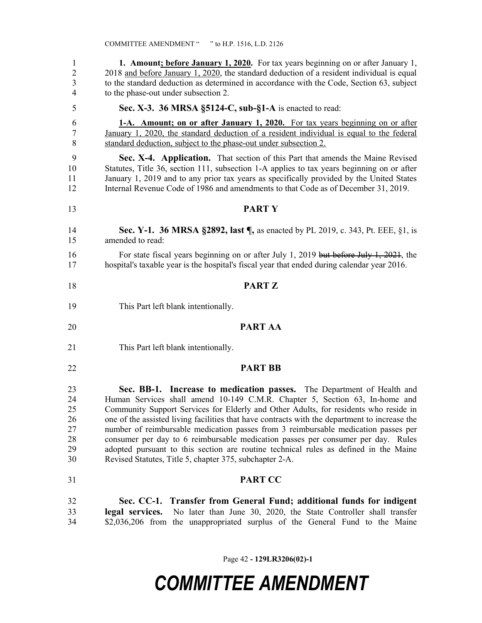1 1. Amount; before January 1, 2020. For tax years beginning on or after January 1, 2 2018 and before January 1, 2020, the standard deduction of a resident individual is equal 3 to the standard deduction as determined in accordance with the Code, Section 63, subject 4 to the phase-out under subsection 2. 5 Sec. X-3. 36 MRSA §5124-C, sub-§1-A is enacted to read: 6 1-A. Amount; on or after January 1, 2020. For tax years beginning on or after 7 January 1, 2020, the standard deduction of a resident individual is equal to the federal 8 standard deduction, subject to the phase-out under subsection 2. 9 Sec. X-4. Application. That section of this Part that amends the Maine Revised 10 Statutes, Title 36, section 111, subsection 1-A applies to tax years beginning on or after 11 January 1, 2019 and to any prior tax years as specifically provided by the United States 12 Internal Revenue Code of 1986 and amendments to that Code as of December 31, 2019. 13 PART Y 14 Sec. Y-1. 36 MRSA §2892, last ¶, as enacted by PL 2019, c. 343, Pt. EEE, §1, is 15 amended to read: 16 For state fiscal years beginning on or after July 1, 2019 but before July 1, 2021, the 17 hospital's taxable year is the hospital's fiscal year that ended during calendar year 2016. 18 PART Z 19 This Part left blank intentionally. 20 PART AA 21 This Part left blank intentionally. 22 **PART BB** 23 Sec. BB-1. Increase to medication passes. The Department of Health and 24 Human Services shall amend 10-149 C.M.R. Chapter 5, Section 63, In-home and 25 Community Support Services for Elderly and Other Adults, for residents who reside in 26 one of the assisted living facilities that have contracts with the department to increase the 27 number of reimbursable medication passes from 3 reimbursable medication passes per 28 consumer per day to 6 reimbursable medication passes per consumer per day. Rules 29 adopted pursuant to this section are routine technical rules as defined in the Maine 30 Revised Statutes, Title 5, chapter 375, subchapter 2-A. 31 PART CC 32 Sec. CC-1. Transfer from General Fund; additional funds for indigent 33 legal services. No later than June 30, 2020, the State Controller shall transfer 34 \$2,036,206 from the unappropriated surplus of the General Fund to the Maine

Page 42 - 129LR3206(02)-1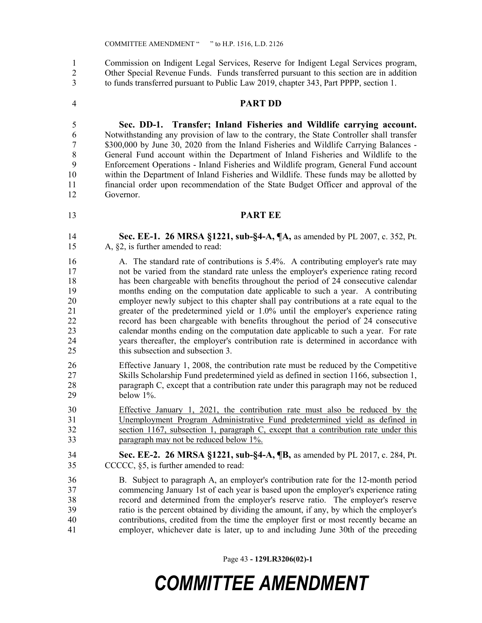1 Commission on Indigent Legal Services, Reserve for Indigent Legal Services program, 2 Other Special Revenue Funds. Funds transferred pursuant to this section are in addition 3 to funds transferred pursuant to Public Law 2019, chapter 343, Part PPPP, section 1.

4 PART DD

5 Sec. DD-1. Transfer; Inland Fisheries and Wildlife carrying account. 6 Notwithstanding any provision of law to the contrary, the State Controller shall transfer 7 \$300,000 by June 30, 2020 from the Inland Fisheries and Wildlife Carrying Balances - 8 General Fund account within the Department of Inland Fisheries and Wildlife to the 9 Enforcement Operations - Inland Fisheries and Wildlife program, General Fund account 10 within the Department of Inland Fisheries and Wildlife. These funds may be allotted by 11 financial order upon recommendation of the State Budget Officer and approval of the 12 Governor.

- 
- 13 PART EE
- 14 Sec. EE-1. 26 MRSA §1221, sub-§4-A, ¶A, as amended by PL 2007, c. 352, Pt. 15 A, §2, is further amended to read:
- 16 A. The standard rate of contributions is 5.4%. A contributing employer's rate may 17 not be varied from the standard rate unless the employer's experience rating record 18 has been chargeable with benefits throughout the period of 24 consecutive calendar 19 months ending on the computation date applicable to such a year. A contributing 20 employer newly subject to this chapter shall pay contributions at a rate equal to the 21 greater of the predetermined yield or 1.0% until the employer's experience rating 22 record has been chargeable with benefits throughout the period of 24 consecutive 23 calendar months ending on the computation date applicable to such a year. For rate 24 years thereafter, the employer's contribution rate is determined in accordance with 25 this subsection and subsection 3.
- 26 Effective January 1, 2008, the contribution rate must be reduced by the Competitive 27 Skills Scholarship Fund predetermined yield as defined in section 1166, subsection 1, 28 paragraph C, except that a contribution rate under this paragraph may not be reduced 29 below 1%.
- 30 Effective January 1, 2021, the contribution rate must also be reduced by the 31 Unemployment Program Administrative Fund predetermined yield as defined in 32 section 1167, subsection 1, paragraph C, except that a contribution rate under this 33 paragraph may not be reduced below 1%.
- 34 Sec. EE-2. 26 MRSA §1221, sub-§4-A, ¶B, as amended by PL 2017, c. 284, Pt. 35 CCCCC, §5, is further amended to read:
- 36 B. Subject to paragraph A, an employer's contribution rate for the 12-month period 37 commencing January 1st of each year is based upon the employer's experience rating 38 record and determined from the employer's reserve ratio. The employer's reserve 39 ratio is the percent obtained by dividing the amount, if any, by which the employer's 40 contributions, credited from the time the employer first or most recently became an 41 employer, whichever date is later, up to and including June 30th of the preceding

Page 43 - 129LR3206(02)-1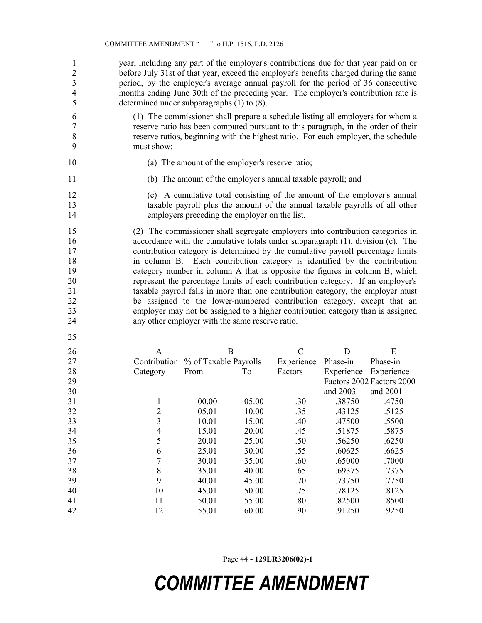1 year, including any part of the employer's contributions due for that year paid on or 2 before July 31st of that year, exceed the employer's benefits charged during the same 3 period, by the employer's average annual payroll for the period of 36 consecutive 4 months ending June 30th of the preceding year. The employer's contribution rate is 5 determined under subparagraphs (1) to (8).

6 (1) The commissioner shall prepare a schedule listing all employers for whom a 7 reserve ratio has been computed pursuant to this paragraph, in the order of their 8 reserve ratios, beginning with the highest ratio. For each employer, the schedule 9 must show:

- 
- 10 (a) The amount of the employer's reserve ratio;
- 11 (b) The amount of the employer's annual taxable payroll; and
- 12 (c) A cumulative total consisting of the amount of the employer's annual 13 taxable payroll plus the amount of the annual taxable payrolls of all other 14 employers preceding the employer on the list.

15 (2) The commissioner shall segregate employers into contribution categories in 16 accordance with the cumulative totals under subparagraph (1), division (c). The 17 contribution category is determined by the cumulative payroll percentage limits 18 in column B. Each contribution category is identified by the contribution 19 category number in column A that is opposite the figures in column B, which 20 represent the percentage limits of each contribution category. If an employer's 21 taxable payroll falls in more than one contribution category, the employer must 22 be assigned to the lower-numbered contribution category, except that an 23 employer may not be assigned to a higher contribution category than is assigned 24 any other employer with the same reserve ratio.

25

| 26 | A                                  |       | B     | C          | D          | E                         |
|----|------------------------------------|-------|-------|------------|------------|---------------------------|
| 27 | Contribution % of Taxable Payrolls |       |       | Experience | Phase-in   | Phase-in                  |
| 28 | Category                           | From  | To    | Factors    | Experience | Experience                |
| 29 |                                    |       |       |            |            | Factors 2002 Factors 2000 |
| 30 |                                    |       |       |            | and 2003   | and 2001                  |
| 31 |                                    | 00.00 | 05.00 | .30        | .38750     | .4750                     |
| 32 | 2                                  | 05.01 | 10.00 | .35        | .43125     | .5125                     |
| 33 | 3                                  | 10.01 | 15.00 | .40        | .47500     | .5500                     |
| 34 | 4                                  | 15.01 | 20.00 | .45        | .51875     | .5875                     |
| 35 | 5                                  | 20.01 | 25.00 | .50        | .56250     | .6250                     |
| 36 | 6                                  | 25.01 | 30.00 | .55        | .60625     | .6625                     |
| 37 |                                    | 30.01 | 35.00 | .60        | .65000     | .7000                     |
| 38 | 8                                  | 35.01 | 40.00 | .65        | .69375     | .7375                     |
| 39 | 9                                  | 40.01 | 45.00 | .70        | .73750     | .7750                     |
| 40 | 10                                 | 45.01 | 50.00 | .75        | .78125     | .8125                     |
| 41 | 11                                 | 50.01 | 55.00 | .80        | .82500     | .8500                     |
| 42 | 12                                 | 55.01 | 60.00 | .90        | .91250     | .9250                     |
|    |                                    |       |       |            |            |                           |

Page 44 - 129LR3206(02)-1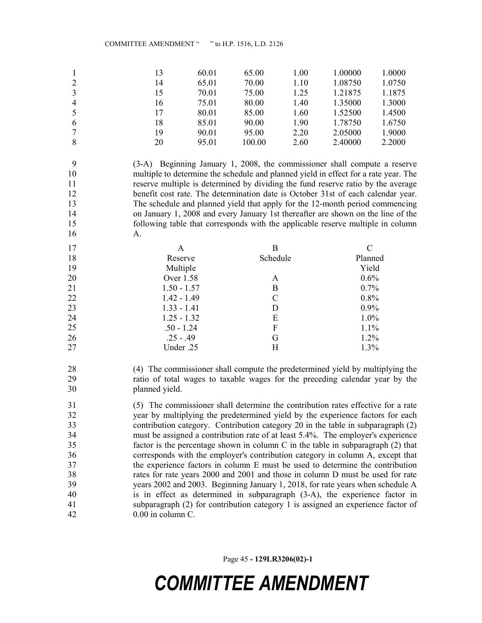|                | 13 | 60.01 | 65.00  | 1.00 | 1.00000 | 1.0000 |
|----------------|----|-------|--------|------|---------|--------|
| 2              | 14 | 65.01 | 70.00  | 1.10 | 1.08750 | 1.0750 |
| 3              | 15 | 70.01 | 75.00  | 1.25 | 1.21875 | 1.1875 |
| $\overline{4}$ | 16 | 75.01 | 80.00  | 1.40 | 1.35000 | 1.3000 |
| -5             | 17 | 80.01 | 85.00  | 1.60 | 1.52500 | 1.4500 |
| 6              | 18 | 85.01 | 90.00  | 1.90 | 1.78750 | 1.6750 |
|                | 19 | 90.01 | 95.00  | 2.20 | 2.05000 | 1.9000 |
| 8              | 20 | 95.01 | 100.00 | 2.60 | 2.40000 | 2.2000 |

9 (3-A) Beginning January 1, 2008, the commissioner shall compute a reserve 10 multiple to determine the schedule and planned yield in effect for a rate year. The 11 reserve multiple is determined by dividing the fund reserve ratio by the average 12 benefit cost rate. The determination date is October 31st of each calendar year. 13 The schedule and planned yield that apply for the 12-month period commencing 14 on January 1, 2008 and every January 1st thereafter are shown on the line of the 15 following table that corresponds with the applicable reserve multiple in column 16 A.

| 17 | A             | в        |         |
|----|---------------|----------|---------|
| 18 | Reserve       | Schedule | Planned |
| 19 | Multiple      |          | Yield   |
| 20 | Over 1.58     | A        | 0.6%    |
| 21 | $1.50 - 1.57$ | B        | 0.7%    |
| 22 | $1.42 - 1.49$ | C        | 0.8%    |
| 23 | $1.33 - 1.41$ | D        | 0.9%    |
| 24 | $1.25 - 1.32$ | E        | 1.0%    |
| 25 | $.50 - 1.24$  | F        | 1.1%    |
| 26 | $.25 - .49$   | G        | 1.2%    |
| 27 | Under .25     | Н        | 1.3%    |

28 (4) The commissioner shall compute the predetermined yield by multiplying the 29 ratio of total wages to taxable wages for the preceding calendar year by the 30 planned yield.

31 (5) The commissioner shall determine the contribution rates effective for a rate 32 year by multiplying the predetermined yield by the experience factors for each 33 contribution category. Contribution category 20 in the table in subparagraph (2) 34 must be assigned a contribution rate of at least 5.4%. The employer's experience 35 factor is the percentage shown in column C in the table in subparagraph (2) that 36 corresponds with the employer's contribution category in column A, except that 37 the experience factors in column E must be used to determine the contribution 38 rates for rate years 2000 and 2001 and those in column D must be used for rate 39 years 2002 and 2003. Beginning January 1, 2018, for rate years when schedule A 40 is in effect as determined in subparagraph (3-A), the experience factor in 41 subparagraph (2) for contribution category 1 is assigned an experience factor of 42 0.00 in column C.

Page 45 - 129LR3206(02)-1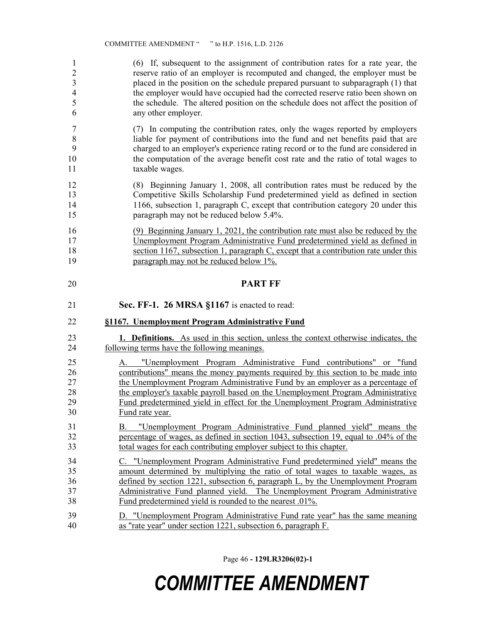1 (6) If, subsequent to the assignment of contribution rates for a rate year, the 2 reserve ratio of an employer is recomputed and changed, the employer must be 3 placed in the position on the schedule prepared pursuant to subparagraph (1) that 4 the employer would have occupied had the corrected reserve ratio been shown on 5 the schedule. The altered position on the schedule does not affect the position of 6 any other employer.

7 (7) In computing the contribution rates, only the wages reported by employers 8 liable for payment of contributions into the fund and net benefits paid that are 9 charged to an employer's experience rating record or to the fund are considered in 10 the computation of the average benefit cost rate and the ratio of total wages to 11 taxable wages.

12 (8) Beginning January 1, 2008, all contribution rates must be reduced by the 13 Competitive Skills Scholarship Fund predetermined yield as defined in section 14 1166, subsection 1, paragraph C, except that contribution category 20 under this 15 paragraph may not be reduced below 5.4%.

16 (9) Beginning January 1, 2021, the contribution rate must also be reduced by the 17 Unemployment Program Administrative Fund predetermined yield as defined in 18 section 1167, subsection 1, paragraph C, except that a contribution rate under this 19 paragraph may not be reduced below 1%.

## 20 PART FF

21 **Sec. FF-1. 26 MRSA §1167** is enacted to read:

### 22 §1167. Unemployment Program Administrative Fund

23 1. **Definitions.** As used in this section, unless the context otherwise indicates, the 24 following terms have the following meanings.

25 A. "Unemployment Program Administrative Fund contributions" or "fund 26 contributions" means the money payments required by this section to be made into 27 the Unemployment Program Administrative Fund by an employer as a percentage of 28 the employer's taxable payroll based on the Unemployment Program Administrative 29 Fund predetermined yield in effect for the Unemployment Program Administrative 30 Fund rate year.

- 31 B. "Unemployment Program Administrative Fund planned yield" means the 32 percentage of wages, as defined in section 1043, subsection 19, equal to .04% of the 33 total wages for each contributing employer subject to this chapter.
- 34 C. "Unemployment Program Administrative Fund predetermined yield" means the 35 amount determined by multiplying the ratio of total wages to taxable wages, as 36 defined by section 1221, subsection 6, paragraph L, by the Unemployment Program 37 Administrative Fund planned yield. The Unemployment Program Administrative 38 Fund predetermined yield is rounded to the nearest .01%.

39 D. "Unemployment Program Administrative Fund rate year" has the same meaning 40 as "rate year" under section 1221, subsection 6, paragraph F.

Page 46 - 129LR3206(02)-1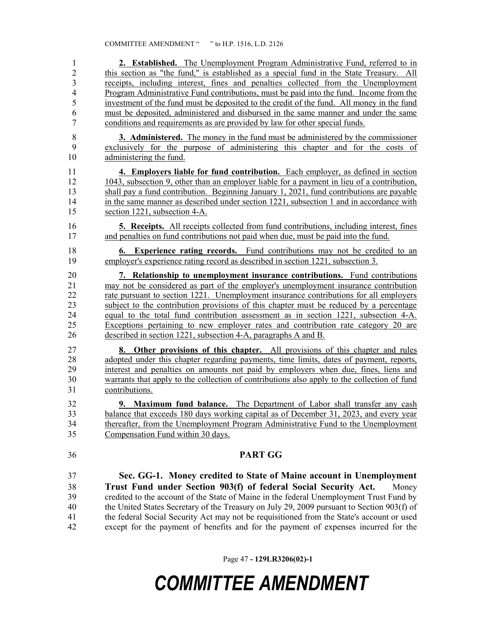| $\mathbf{1}$   | 2. Established. The Unemployment Program Administrative Fund, referred to in                  |
|----------------|-----------------------------------------------------------------------------------------------|
| $\overline{2}$ | this section as "the fund," is established as a special fund in the State Treasury. All       |
| 3              | receipts, including interest, fines and penalties collected from the Unemployment             |
| 4              | Program Administrative Fund contributions, must be paid into the fund. Income from the        |
| 5              | investment of the fund must be deposited to the credit of the fund. All money in the fund     |
| 6              | must be deposited, administered and disbursed in the same manner and under the same           |
| 7              | conditions and requirements as are provided by law for other special funds.                   |
| 8              | <b>3. Administered.</b> The money in the fund must be administered by the commissioner        |
| 9              | exclusively for the purpose of administering this chapter and for the costs of                |
| 10             | administering the fund.                                                                       |
| 11             | 4. Employers liable for fund contribution. Each employer, as defined in section               |
| 12             | 1043, subsection 9, other than an employer liable for a payment in lieu of a contribution,    |
| 13             | shall pay a fund contribution. Beginning January 1, 2021, fund contributions are payable      |
| 14             | in the same manner as described under section 1221, subsection 1 and in accordance with       |
| 15             | section 1221, subsection 4-A.                                                                 |
| 16             | <b>5. Receipts.</b> All receipts collected from fund contributions, including interest, fines |
| 17             | and penalties on fund contributions not paid when due, must be paid into the fund.            |
|                |                                                                                               |
| 18             | <b>6.</b> Experience rating records. Fund contributions may not be credited to an             |
| 19             | employer's experience rating record as described in section 1221, subsection 3.               |
| 20             | 7. Relationship to unemployment insurance contributions. Fund contributions                   |
| 21             | may not be considered as part of the employer's unemployment insurance contribution           |
| 22             | rate pursuant to section 1221. Unemployment insurance contributions for all employers         |
| 23             | subject to the contribution provisions of this chapter must be reduced by a percentage        |
| 24             | equal to the total fund contribution assessment as in section 1221, subsection 4-A.           |
| 25             | Exceptions pertaining to new employer rates and contribution rate category 20 are             |
| 26             | described in section 1221, subsection 4-A, paragraphs A and B.                                |
| 27             | <b>8.</b> Other provisions of this chapter. All provisions of this chapter and rules          |
| 28             | adopted under this chapter regarding payments, time limits, dates of payment, reports,        |
| 29             | interest and penalties on amounts not paid by employers when due, fines, liens and            |
| 30             | warrants that apply to the collection of contributions also apply to the collection of fund   |
| 31             | contributions.                                                                                |
|                |                                                                                               |
| 32             | <b>9. Maximum fund balance.</b> The Department of Labor shall transfer any cash               |
| 33             | balance that exceeds 180 days working capital as of December 31, 2023, and every year         |
| 34             | thereafter, from the Unemployment Program Administrative Fund to the Unemployment             |
| 35             | Compensation Fund within 30 days.                                                             |
| 36             | <b>PART GG</b>                                                                                |
| 37             | Sec. GG-1. Money credited to State of Maine account in Unemployment                           |
| 38             | Trust Fund under Section 903(f) of federal Social Security Act.<br>Money                      |
| 39             | credited to the account of the State of Maine in the federal Unemployment Trust Fund by       |
| 40             | the United States Secretary of the Treasury on July 29, 2009 pursuant to Section 903(f) of    |
| 41             | the federal Social Security Act may not be requisitioned from the State's account or used     |
|                |                                                                                               |

Page 47 - 129LR3206(02)-1

42 except for the payment of benefits and for the payment of expenses incurred for the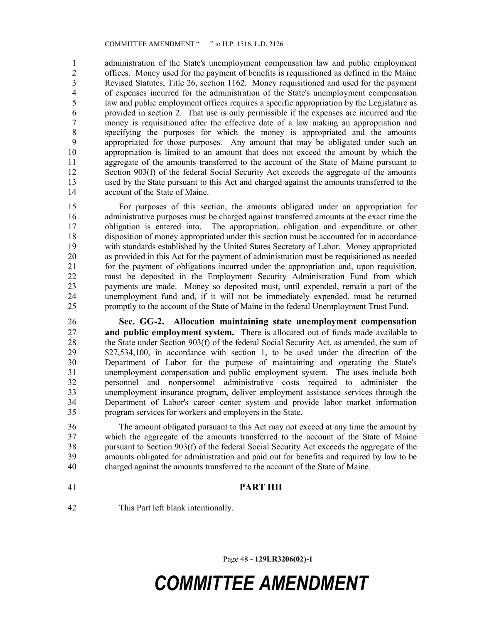1 administration of the State's unemployment compensation law and public employment 2 offices. Money used for the payment of benefits is requisitioned as defined in the Maine<br>2 Revised Statutes, Title 26, section 1162. Money requisitioned and used for the payment Revised Statutes, Title 26, section 1162. Money requisitioned and used for the payment 4 of expenses incurred for the administration of the State's unemployment compensation 5 law and public employment offices requires a specific appropriation by the Legislature as 6 provided in section 2. That use is only permissible if the expenses are incurred and the 7 money is requisitioned after the effective date of a law making an appropriation and 8 specifying the purposes for which the money is appropriated and the amounts 9 appropriated for those purposes. Any amount that may be obligated under such an 10 appropriation is limited to an amount that does not exceed the amount by which the 11 aggregate of the amounts transferred to the account of the State of Maine pursuant to 12 Section 903(f) of the federal Social Security Act exceeds the aggregate of the amounts 13 used by the State pursuant to this Act and charged against the amounts transferred to the 14 account of the State of Maine.

15 For purposes of this section, the amounts obligated under an appropriation for 16 administrative purposes must be charged against transferred amounts at the exact time the 17 obligation is entered into. The appropriation, obligation and expenditure or other 18 disposition of money appropriated under this section must be accounted for in accordance 19 with standards established by the United States Secretary of Labor. Money appropriated 20 as provided in this Act for the payment of administration must be requisitioned as needed 21 for the payment of obligations incurred under the appropriation and, upon requisition, 22 must be deposited in the Employment Security Administration Fund from which 23 payments are made. Money so deposited must, until expended, remain a part of the 24 unemployment fund and, if it will not be immediately expended, must be returned 25 promptly to the account of the State of Maine in the federal Unemployment Trust Fund.

26 Sec. GG-2. Allocation maintaining state unemployment compensation 27 and public employment system. There is allocated out of funds made available to 28 the State under Section 903(f) of the federal Social Security Act, as amended, the sum of 29 \$27,534,100, in accordance with section 1, to be used under the direction of the 30 Department of Labor for the purpose of maintaining and operating the State's 31 unemployment compensation and public employment system. The uses include both 32 personnel and nonpersonnel administrative costs required to administer the 33 unemployment insurance program, deliver employment assistance services through the 34 Department of Labor's career center system and provide labor market information 35 program services for workers and employers in the State.

36 The amount obligated pursuant to this Act may not exceed at any time the amount by 37 which the aggregate of the amounts transferred to the account of the State of Maine 38 pursuant to Section 903(f) of the federal Social Security Act exceeds the aggregate of the 39 amounts obligated for administration and paid out for benefits and required by law to be 40 charged against the amounts transferred to the account of the State of Maine.

41 PART HH

42 This Part left blank intentionally.

Page 48 - 129LR3206(02)-1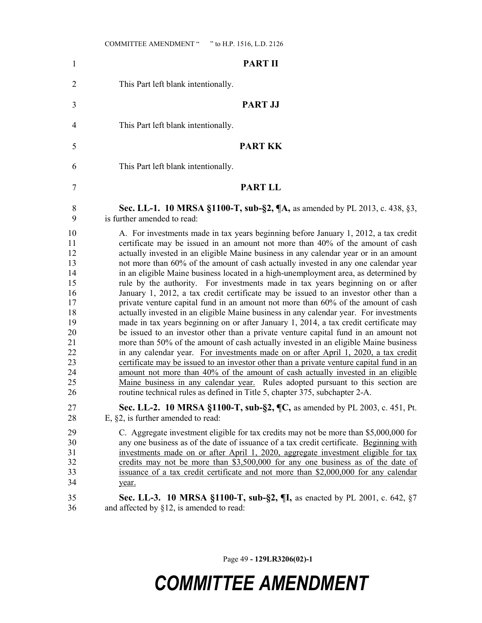| $\mathbf{1}$                                                                                       | <b>PART II</b>                                                                                                                                                                                                                                                                                                                                                                                                                                                                                                                                                                                                                                                                                                                                                                                                                                                                                                                                                                                                                                                                                                                                                                                                                                                                                                                                                                                                                                                                                                  |
|----------------------------------------------------------------------------------------------------|-----------------------------------------------------------------------------------------------------------------------------------------------------------------------------------------------------------------------------------------------------------------------------------------------------------------------------------------------------------------------------------------------------------------------------------------------------------------------------------------------------------------------------------------------------------------------------------------------------------------------------------------------------------------------------------------------------------------------------------------------------------------------------------------------------------------------------------------------------------------------------------------------------------------------------------------------------------------------------------------------------------------------------------------------------------------------------------------------------------------------------------------------------------------------------------------------------------------------------------------------------------------------------------------------------------------------------------------------------------------------------------------------------------------------------------------------------------------------------------------------------------------|
| $\overline{2}$                                                                                     | This Part left blank intentionally.                                                                                                                                                                                                                                                                                                                                                                                                                                                                                                                                                                                                                                                                                                                                                                                                                                                                                                                                                                                                                                                                                                                                                                                                                                                                                                                                                                                                                                                                             |
| 3                                                                                                  | <b>PART JJ</b>                                                                                                                                                                                                                                                                                                                                                                                                                                                                                                                                                                                                                                                                                                                                                                                                                                                                                                                                                                                                                                                                                                                                                                                                                                                                                                                                                                                                                                                                                                  |
| 4                                                                                                  | This Part left blank intentionally.                                                                                                                                                                                                                                                                                                                                                                                                                                                                                                                                                                                                                                                                                                                                                                                                                                                                                                                                                                                                                                                                                                                                                                                                                                                                                                                                                                                                                                                                             |
| 5                                                                                                  | <b>PART KK</b>                                                                                                                                                                                                                                                                                                                                                                                                                                                                                                                                                                                                                                                                                                                                                                                                                                                                                                                                                                                                                                                                                                                                                                                                                                                                                                                                                                                                                                                                                                  |
| 6                                                                                                  | This Part left blank intentionally.                                                                                                                                                                                                                                                                                                                                                                                                                                                                                                                                                                                                                                                                                                                                                                                                                                                                                                                                                                                                                                                                                                                                                                                                                                                                                                                                                                                                                                                                             |
| 7                                                                                                  | <b>PART LL</b>                                                                                                                                                                                                                                                                                                                                                                                                                                                                                                                                                                                                                                                                                                                                                                                                                                                                                                                                                                                                                                                                                                                                                                                                                                                                                                                                                                                                                                                                                                  |
| 8<br>9                                                                                             | Sec. LL-1. 10 MRSA §1100-T, sub-§2, ¶A, as amended by PL 2013, c. 438, §3,<br>is further amended to read:                                                                                                                                                                                                                                                                                                                                                                                                                                                                                                                                                                                                                                                                                                                                                                                                                                                                                                                                                                                                                                                                                                                                                                                                                                                                                                                                                                                                       |
| 10<br>11<br>12<br>13<br>14<br>15<br>16<br>17<br>18<br>19<br>20<br>21<br>22<br>23<br>24<br>25<br>26 | A. For investments made in tax years beginning before January 1, 2012, a tax credit<br>certificate may be issued in an amount not more than 40% of the amount of cash<br>actually invested in an eligible Maine business in any calendar year or in an amount<br>not more than 60% of the amount of cash actually invested in any one calendar year<br>in an eligible Maine business located in a high-unemployment area, as determined by<br>rule by the authority. For investments made in tax years beginning on or after<br>January 1, 2012, a tax credit certificate may be issued to an investor other than a<br>private venture capital fund in an amount not more than 60% of the amount of cash<br>actually invested in an eligible Maine business in any calendar year. For investments<br>made in tax years beginning on or after January 1, 2014, a tax credit certificate may<br>be issued to an investor other than a private venture capital fund in an amount not<br>more than 50% of the amount of cash actually invested in an eligible Maine business<br>in any calendar year. For investments made on or after April 1, 2020, a tax credit<br>certificate may be issued to an investor other than a private venture capital fund in an<br>amount not more than 40% of the amount of cash actually invested in an eligible<br>Maine business in any calendar year. Rules adopted pursuant to this section are<br>routine technical rules as defined in Title 5, chapter 375, subchapter 2-A. |
| 27<br>28                                                                                           | Sec. LL-2. 10 MRSA §1100-T, sub-§2, ¶C, as amended by PL 2003, c. 451, Pt.<br>E, $\S2$ , is further amended to read:                                                                                                                                                                                                                                                                                                                                                                                                                                                                                                                                                                                                                                                                                                                                                                                                                                                                                                                                                                                                                                                                                                                                                                                                                                                                                                                                                                                            |
| 29<br>30<br>31<br>32<br>33<br>34<br>35                                                             | C. Aggregate investment eligible for tax credits may not be more than \$5,000,000 for<br>any one business as of the date of issuance of a tax credit certificate. Beginning with<br>investments made on or after April 1, 2020, aggregate investment eligible for tax<br>credits may not be more than \$3,500,000 for any one business as of the date of<br>issuance of a tax credit certificate and not more than \$2,000,000 for any calendar<br>year.<br>Sec. LL-3. 10 MRSA §1100-T, sub-§2, ¶I, as enacted by PL 2001, c. 642, §7                                                                                                                                                                                                                                                                                                                                                                                                                                                                                                                                                                                                                                                                                                                                                                                                                                                                                                                                                                           |
| 36                                                                                                 | and affected by $\S12$ , is amended to read:                                                                                                                                                                                                                                                                                                                                                                                                                                                                                                                                                                                                                                                                                                                                                                                                                                                                                                                                                                                                                                                                                                                                                                                                                                                                                                                                                                                                                                                                    |

Page 49 - 129LR3206(02)-1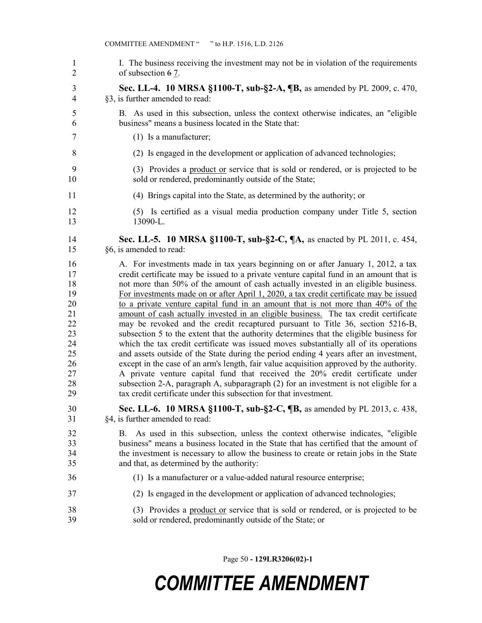| $\mathbf{1}$         | I. The business receiving the investment may not be in violation of the requirements                                                                                                                                                                                                                                 |
|----------------------|----------------------------------------------------------------------------------------------------------------------------------------------------------------------------------------------------------------------------------------------------------------------------------------------------------------------|
| $\overline{2}$       | of subsection 67.                                                                                                                                                                                                                                                                                                    |
| 3                    | Sec. LL-4. 10 MRSA §1100-T, sub-§2-A, ¶B, as amended by PL 2009, c. 470,                                                                                                                                                                                                                                             |
| $\overline{4}$       | §3, is further amended to read:                                                                                                                                                                                                                                                                                      |
| 5                    | B. As used in this subsection, unless the context otherwise indicates, an "eligible"                                                                                                                                                                                                                                 |
| 6                    | business" means a business located in the State that:                                                                                                                                                                                                                                                                |
| 7                    | $(1)$ Is a manufacturer;                                                                                                                                                                                                                                                                                             |
| 8                    | (2) Is engaged in the development or application of advanced technologies;                                                                                                                                                                                                                                           |
| 9                    | (3) Provides a product or service that is sold or rendered, or is projected to be                                                                                                                                                                                                                                    |
| 10                   | sold or rendered, predominantly outside of the State;                                                                                                                                                                                                                                                                |
| 11                   | (4) Brings capital into the State, as determined by the authority; or                                                                                                                                                                                                                                                |
| 12                   | (5) Is certified as a visual media production company under Title 5, section                                                                                                                                                                                                                                         |
| 13                   | 13090-L.                                                                                                                                                                                                                                                                                                             |
| 14                   | Sec. LL-5. 10 MRSA §1100-T, sub-§2-C, ¶A, as enacted by PL 2011, c. 454,                                                                                                                                                                                                                                             |
| 15                   | §6, is amended to read:                                                                                                                                                                                                                                                                                              |
| 16                   | A. For investments made in tax years beginning on or after January 1, 2012, a tax                                                                                                                                                                                                                                    |
| 17                   | credit certificate may be issued to a private venture capital fund in an amount that is                                                                                                                                                                                                                              |
| 18                   | not more than 50% of the amount of cash actually invested in an eligible business.                                                                                                                                                                                                                                   |
| 19                   | For investments made on or after April 1, 2020, a tax credit certificate may be issued                                                                                                                                                                                                                               |
| 20                   | to a private venture capital fund in an amount that is not more than 40% of the                                                                                                                                                                                                                                      |
| 21                   | amount of cash actually invested in an eligible business. The tax credit certificate                                                                                                                                                                                                                                 |
| 22                   | may be revoked and the credit recaptured pursuant to Title 36, section 5216-B,                                                                                                                                                                                                                                       |
| 23                   | subsection 5 to the extent that the authority determines that the eligible business for                                                                                                                                                                                                                              |
| 24                   | which the tax credit certificate was issued moves substantially all of its operations                                                                                                                                                                                                                                |
| 25                   | and assets outside of the State during the period ending 4 years after an investment,                                                                                                                                                                                                                                |
| 26                   | except in the case of an arm's length, fair value acquisition approved by the authority.                                                                                                                                                                                                                             |
| 27                   | A private venture capital fund that received the 20% credit certificate under                                                                                                                                                                                                                                        |
| 28                   | subsection 2-A, paragraph A, subparagraph (2) for an investment is not eligible for a                                                                                                                                                                                                                                |
| 29                   | tax credit certificate under this subsection for that investment.                                                                                                                                                                                                                                                    |
| 30                   | Sec. LL-6. 10 MRSA §1100-T, sub-§2-C, ¶B, as amended by PL 2013, c. 438,                                                                                                                                                                                                                                             |
| 31                   | §4, is further amended to read:                                                                                                                                                                                                                                                                                      |
| 32<br>33<br>34<br>35 | As used in this subsection, unless the context otherwise indicates, "eligible<br>В.<br>business" means a business located in the State that has certified that the amount of<br>the investment is necessary to allow the business to create or retain jobs in the State<br>and that, as determined by the authority: |
| 36                   | (1) Is a manufacturer or a value-added natural resource enterprise;                                                                                                                                                                                                                                                  |
| 37                   | (2) Is engaged in the development or application of advanced technologies;                                                                                                                                                                                                                                           |
| 38                   | (3) Provides a product or service that is sold or rendered, or is projected to be                                                                                                                                                                                                                                    |
| 39                   | sold or rendered, predominantly outside of the State; or                                                                                                                                                                                                                                                             |

Page 50 - 129LR3206(02)-1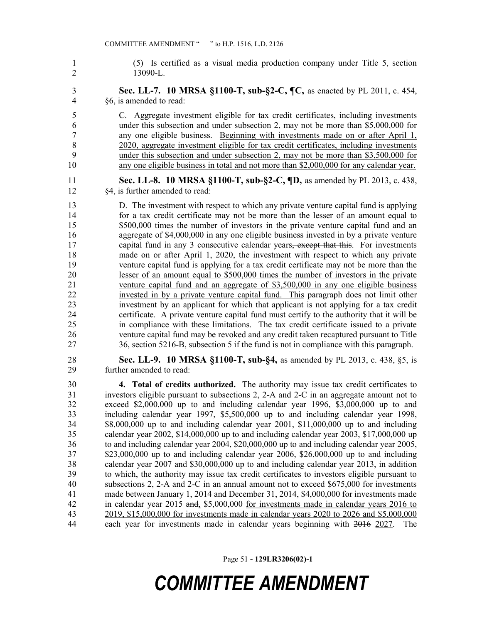1 (5) Is certified as a visual media production company under Title 5, section 2 13090-L.

3 Sec. LL-7. 10 MRSA §1100-T, sub-§2-C, ¶C, as enacted by PL 2011, c. 454, 4 §6, is amended to read:

5 C. Aggregate investment eligible for tax credit certificates, including investments 6 under this subsection and under subsection 2, may not be more than \$5,000,000 for 7 any one eligible business. Beginning with investments made on or after April 1, 8 2020, aggregate investment eligible for tax credit certificates, including investments 9 under this subsection and under subsection 2, may not be more than \$3,500,000 for 10 any one eligible business in total and not more than \$2,000,000 for any calendar year.

11 **Sec. LL-8. 10 MRSA §1100-T, sub-§2-C, ¶D,** as amended by PL 2013, c. 438, 12 §4, is further amended to read:

13 D. The investment with respect to which any private venture capital fund is applying 14 for a tax credit certificate may not be more than the lesser of an amount equal to 15 \$500,000 times the number of investors in the private venture capital fund and an 16 aggregate of \$4,000,000 in any one eligible business invested in by a private venture 17 capital fund in any 3 consecutive calendar years, except that this. For investments 18 made on or after April 1, 2020, the investment with respect to which any private 19 venture capital fund is applying for a tax credit certificate may not be more than the 20 lesser of an amount equal to \$500,000 times the number of investors in the private 21 venture capital fund and an aggregate of \$3,500,000 in any one eligible business 22 invested in by a private venture capital fund. This paragraph does not limit other 23 investment by an applicant for which that applicant is not applying for a tax credit 24 certificate. A private venture capital fund must certify to the authority that it will be 25 in compliance with these limitations. The tax credit certificate issued to a private 26 venture capital fund may be revoked and any credit taken recaptured pursuant to Title 27 36, section 5216-B, subsection 5 if the fund is not in compliance with this paragraph.

28 Sec. LL-9. 10 MRSA §1100-T, sub-§4, as amended by PL 2013, c. 438, §5, is 29 further amended to read:

30 4. Total of credits authorized. The authority may issue tax credit certificates to 31 investors eligible pursuant to subsections 2, 2-A and 2-C in an aggregate amount not to 32 exceed \$2,000,000 up to and including calendar year 1996, \$3,000,000 up to and 33 including calendar year 1997, \$5,500,000 up to and including calendar year 1998, 34 \$8,000,000 up to and including calendar year 2001, \$11,000,000 up to and including 35 calendar year 2002, \$14,000,000 up to and including calendar year 2003, \$17,000,000 up 36 to and including calendar year 2004, \$20,000,000 up to and including calendar year 2005, 37 \$23,000,000 up to and including calendar year 2006, \$26,000,000 up to and including 38 calendar year 2007 and \$30,000,000 up to and including calendar year 2013, in addition 39 to which, the authority may issue tax credit certificates to investors eligible pursuant to 40 subsections 2, 2-A and 2-C in an annual amount not to exceed \$675,000 for investments 41 made between January 1, 2014 and December 31, 2014, \$4,000,000 for investments made 42 in calendar year 2015 and, \$5,000,000 for investments made in calendar years 2016 to 43 2019, \$15,000,000 for investments made in calendar years 2020 to 2026 and \$5,000,000 44 each year for investments made in calendar years beginning with 2016 2027. The

Page 51 - 129LR3206(02)-1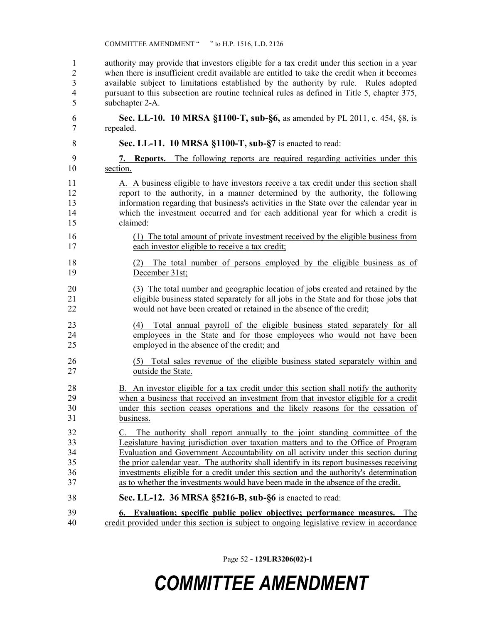1 authority may provide that investors eligible for a tax credit under this section in a year 2 when there is insufficient credit available are entitled to take the credit when it becomes 3 available subject to limitations established by the authority by rule. Rules adopted 4 pursuant to this subsection are routine technical rules as defined in Title 5, chapter 375, 5 subchapter 2-A.

6 Sec. LL-10. 10 MRSA §1100-T, sub- $\S6$ , as amended by PL 2011, c. 454,  $\S8$ , is 7 repealed.

- 8 Sec. LL-11. 10 MRSA §1100-T, sub-§7 is enacted to read:
- 9 7. Reports. The following reports are required regarding activities under this 10 section.

11 A. A business eligible to have investors receive a tax credit under this section shall 12 report to the authority, in a manner determined by the authority, the following 13 information regarding that business's activities in the State over the calendar year in 14 which the investment occurred and for each additional year for which a credit is 15 claimed:

- 16 (1) The total amount of private investment received by the eligible business from 17 each investor eligible to receive a tax credit;
- 18 (2) The total number of persons employed by the eligible business as of 19 December 31st;
- 20 (3) The total number and geographic location of jobs created and retained by the 21 eligible business stated separately for all jobs in the State and for those jobs that 22 would not have been created or retained in the absence of the credit;
- 23 (4) Total annual payroll of the eligible business stated separately for all 24 employees in the State and for those employees who would not have been 25 employed in the absence of the credit; and
- 26 (5) Total sales revenue of the eligible business stated separately within and 27 outside the State.

28 B. An investor eligible for a tax credit under this section shall notify the authority 29 when a business that received an investment from that investor eligible for a credit 30 under this section ceases operations and the likely reasons for the cessation of 31 business.

32 C. The authority shall report annually to the joint standing committee of the 33 Legislature having jurisdiction over taxation matters and to the Office of Program 34 Evaluation and Government Accountability on all activity under this section during 35 the prior calendar year. The authority shall identify in its report businesses receiving 36 investments eligible for a credit under this section and the authority's determination 37 as to whether the investments would have been made in the absence of the credit.

## 38 Sec. LL-12. 36 MRSA §5216-B, sub-§6 is enacted to read:

39 6. Evaluation; specific public policy objective; performance measures. The 40 credit provided under this section is subject to ongoing legislative review in accordance

Page 52 - 129LR3206(02)-1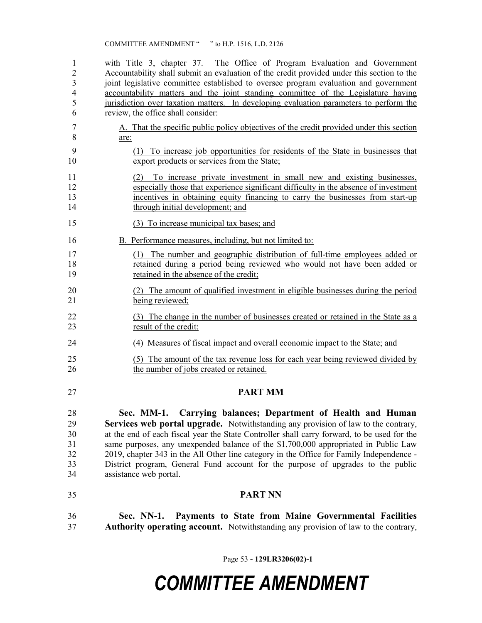| $\mathbf{1}$            | with Title 3, chapter 37. The Office of Program Evaluation and Government                                                                                |
|-------------------------|----------------------------------------------------------------------------------------------------------------------------------------------------------|
| $\overline{2}$          | Accountability shall submit an evaluation of the credit provided under this section to the                                                               |
| $\overline{\mathbf{3}}$ | joint legislative committee established to oversee program evaluation and government                                                                     |
| $\overline{4}$          | accountability matters and the joint standing committee of the Legislature having                                                                        |
| 5                       | jurisdiction over taxation matters. In developing evaluation parameters to perform the                                                                   |
| 6                       | review, the office shall consider:                                                                                                                       |
| 7                       | A. That the specific public policy objectives of the credit provided under this section                                                                  |
| 8                       | are:                                                                                                                                                     |
| 9<br>10                 | To increase job opportunities for residents of the State in businesses that<br>(1)<br>export products or services from the State;                        |
| 11                      | (2) To increase private investment in small new and existing businesses,                                                                                 |
| 12                      | especially those that experience significant difficulty in the absence of investment                                                                     |
| 13                      | incentives in obtaining equity financing to carry the businesses from start-up                                                                           |
| 14                      | through initial development; and                                                                                                                         |
| 15                      | (3) To increase municipal tax bases; and                                                                                                                 |
| 16                      | B. Performance measures, including, but not limited to:                                                                                                  |
| 17                      | (1) The number and geographic distribution of full-time employees added or                                                                               |
| 18                      | retained during a period being reviewed who would not have been added or                                                                                 |
| 19                      | retained in the absence of the credit;                                                                                                                   |
| 20                      | (2) The amount of qualified investment in eligible businesses during the period                                                                          |
| 21                      | being reviewed;                                                                                                                                          |
| 22                      | (3) The change in the number of businesses created or retained in the State as a                                                                         |
| 23                      | result of the credit;                                                                                                                                    |
| 24                      | (4) Measures of fiscal impact and overall economic impact to the State; and                                                                              |
| 25                      | (5) The amount of the tax revenue loss for each year being reviewed divided by                                                                           |
| 26                      | the number of jobs created or retained.                                                                                                                  |
| 27                      | <b>PART MM</b>                                                                                                                                           |
| 28                      | Sec. MM-1. Carrying balances; Department of Health and Human                                                                                             |
| 29                      | Services web portal upgrade. Notwithstanding any provision of law to the contrary,                                                                       |
| 30                      | at the end of each fiscal year the State Controller shall carry forward, to be used for the                                                              |
| 31                      | same purposes, any unexpended balance of the \$1,700,000 appropriated in Public Law                                                                      |
| 32                      | 2019, chapter 343 in the All Other line category in the Office for Family Independence -                                                                 |
| 33                      | District program, General Fund account for the purpose of upgrades to the public                                                                         |
| 34                      | assistance web portal.                                                                                                                                   |
| 35                      | <b>PART NN</b>                                                                                                                                           |
| 36<br>37                | Sec. NN-1.<br>Payments to State from Maine Governmental Facilities<br>Authority operating account. Notwithstanding any provision of law to the contrary, |

Page 53 - 129LR3206(02)-1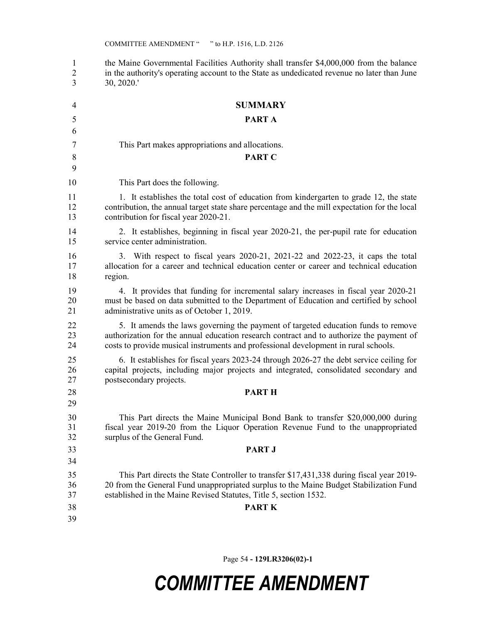1 the Maine Governmental Facilities Authority shall transfer \$4,000,000 from the balance 2 in the authority's operating account to the State as undedicated revenue no later than June 3 30, 2020.' 4 SUMMARY 5 PART A 6 7 This Part makes appropriations and allocations. 8 PART C 9 10 This Part does the following. 11 1. It establishes the total cost of education from kindergarten to grade 12, the state 12 contribution, the annual target state share percentage and the mill expectation for the local 13 contribution for fiscal year 2020-21. 14 2. It establishes, beginning in fiscal year 2020-21, the per-pupil rate for education 15 service center administration. 16 3. With respect to fiscal years 2020-21, 2021-22 and 2022-23, it caps the total 17 allocation for a career and technical education center or career and technical education 18 region. 19 4. It provides that funding for incremental salary increases in fiscal year 2020-21 20 must be based on data submitted to the Department of Education and certified by school 21 administrative units as of October 1, 2019. 22 5. It amends the laws governing the payment of targeted education funds to remove 23 authorization for the annual education research contract and to authorize the payment of 24 costs to provide musical instruments and professional development in rural schools. 25 6. It establishes for fiscal years 2023-24 through 2026-27 the debt service ceiling for 26 capital projects, including major projects and integrated, consolidated secondary and 27 postsecondary projects. 28 PART H 29 30 This Part directs the Maine Municipal Bond Bank to transfer \$20,000,000 during 31 fiscal year 2019-20 from the Liquor Operation Revenue Fund to the unappropriated 32 surplus of the General Fund. 33 PART J 34 35 This Part directs the State Controller to transfer \$17,431,338 during fiscal year 2019- 36 20 from the General Fund unappropriated surplus to the Maine Budget Stabilization Fund 37 established in the Maine Revised Statutes, Title 5, section 1532. 38 PART K 39

Page 54 - 129LR3206(02)-1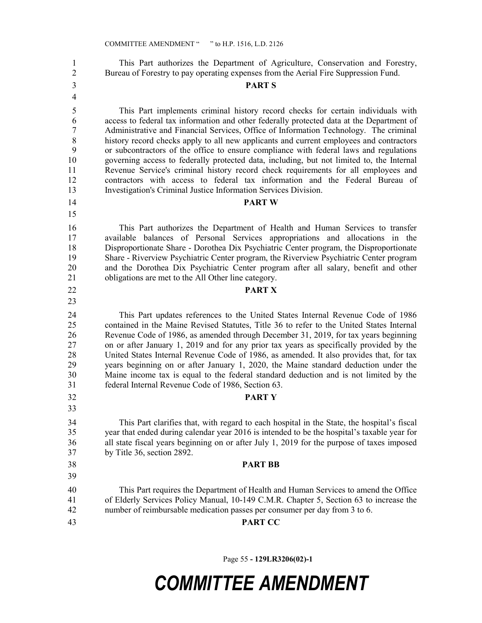1 This Part authorizes the Department of Agriculture, Conservation and Forestry, 2 Bureau of Forestry to pay operating expenses from the Aerial Fire Suppression Fund.

## 3 PART S

5 This Part implements criminal history record checks for certain individuals with 6 access to federal tax information and other federally protected data at the Department of 7 Administrative and Financial Services, Office of Information Technology. The criminal 8 history record checks apply to all new applicants and current employees and contractors 9 or subcontractors of the office to ensure compliance with federal laws and regulations 10 governing access to federally protected data, including, but not limited to, the Internal 11 Revenue Service's criminal history record check requirements for all employees and 12 contractors with access to federal tax information and the Federal Bureau of 13 Investigation's Criminal Justice Information Services Division.

#### 14 PART W

16 This Part authorizes the Department of Health and Human Services to transfer 17 available balances of Personal Services appropriations and allocations in the 18 Disproportionate Share - Dorothea Dix Psychiatric Center program, the Disproportionate 19 Share - Riverview Psychiatric Center program, the Riverview Psychiatric Center program 20 and the Dorothea Dix Psychiatric Center program after all salary, benefit and other 21 obligations are met to the All Other line category.

#### 22 PART X

24 This Part updates references to the United States Internal Revenue Code of 1986 25 contained in the Maine Revised Statutes, Title 36 to refer to the United States Internal 26 Revenue Code of 1986, as amended through December 31, 2019, for tax years beginning 27 on or after January 1, 2019 and for any prior tax years as specifically provided by the 28 United States Internal Revenue Code of 1986, as amended. It also provides that, for tax 29 years beginning on or after January 1, 2020, the Maine standard deduction under the 30 Maine income tax is equal to the federal standard deduction and is not limited by the 31 federal Internal Revenue Code of 1986, Section 63.

32 PART Y

34 This Part clarifies that, with regard to each hospital in the State, the hospital's fiscal 35 year that ended during calendar year 2016 is intended to be the hospital's taxable year for 36 all state fiscal years beginning on or after July 1, 2019 for the purpose of taxes imposed 37 by Title 36, section 2892.

#### 38 PART BB

40 This Part requires the Department of Health and Human Services to amend the Office 41 of Elderly Services Policy Manual, 10-149 C.M.R. Chapter 5, Section 63 to increase the 42 number of reimbursable medication passes per consumer per day from 3 to 6.

39

4

15

23

33

43 PART CC

Page 55 - 129LR3206(02)-1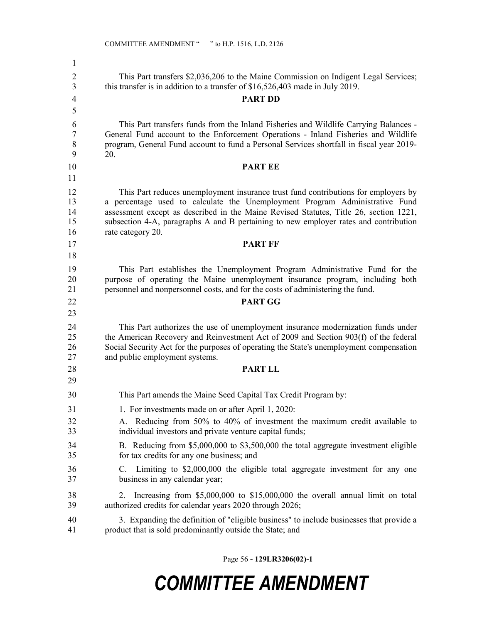| 1                          |                                                                                                                                                                                                                                                                                                                                                                         |
|----------------------------|-------------------------------------------------------------------------------------------------------------------------------------------------------------------------------------------------------------------------------------------------------------------------------------------------------------------------------------------------------------------------|
| 2<br>3                     | This Part transfers \$2,036,206 to the Maine Commission on Indigent Legal Services;<br>this transfer is in addition to a transfer of $$16,526,403$ made in July 2019.                                                                                                                                                                                                   |
| 4                          | <b>PART DD</b>                                                                                                                                                                                                                                                                                                                                                          |
| 5                          |                                                                                                                                                                                                                                                                                                                                                                         |
| 6<br>7<br>8<br>9           | This Part transfers funds from the Inland Fisheries and Wildlife Carrying Balances -<br>General Fund account to the Enforcement Operations - Inland Fisheries and Wildlife<br>program, General Fund account to fund a Personal Services shortfall in fiscal year 2019-<br>20.                                                                                           |
| 10                         | <b>PART EE</b>                                                                                                                                                                                                                                                                                                                                                          |
| 11                         |                                                                                                                                                                                                                                                                                                                                                                         |
| 12<br>13<br>14<br>15<br>16 | This Part reduces unemployment insurance trust fund contributions for employers by<br>a percentage used to calculate the Unemployment Program Administrative Fund<br>assessment except as described in the Maine Revised Statutes, Title 26, section 1221,<br>subsection 4-A, paragraphs A and B pertaining to new employer rates and contribution<br>rate category 20. |
| 17                         | <b>PART FF</b>                                                                                                                                                                                                                                                                                                                                                          |
| 18                         |                                                                                                                                                                                                                                                                                                                                                                         |
| 19<br>20<br>21             | This Part establishes the Unemployment Program Administrative Fund for the<br>purpose of operating the Maine unemployment insurance program, including both<br>personnel and nonpersonnel costs, and for the costs of administering the fund.                                                                                                                           |
| 22                         | <b>PART GG</b>                                                                                                                                                                                                                                                                                                                                                          |
| 23                         |                                                                                                                                                                                                                                                                                                                                                                         |
| 24<br>25<br>26<br>27       | This Part authorizes the use of unemployment insurance modernization funds under<br>the American Recovery and Reinvestment Act of 2009 and Section 903(f) of the federal<br>Social Security Act for the purposes of operating the State's unemployment compensation<br>and public employment systems.                                                                   |
| 28                         | <b>PART LL</b>                                                                                                                                                                                                                                                                                                                                                          |
| 29                         |                                                                                                                                                                                                                                                                                                                                                                         |
| 30                         | This Part amends the Maine Seed Capital Tax Credit Program by:                                                                                                                                                                                                                                                                                                          |
| 31                         | 1. For investments made on or after April 1, 2020:                                                                                                                                                                                                                                                                                                                      |
| 32<br>33                   | A. Reducing from 50% to 40% of investment the maximum credit available to<br>individual investors and private venture capital funds;                                                                                                                                                                                                                                    |
| 34<br>35                   | B. Reducing from \$5,000,000 to \$3,500,000 the total aggregate investment eligible<br>for tax credits for any one business; and                                                                                                                                                                                                                                        |
| 36<br>37                   | Limiting to \$2,000,000 the eligible total aggregate investment for any one<br>C.<br>business in any calendar year;                                                                                                                                                                                                                                                     |
| 38<br>39                   | Increasing from \$5,000,000 to \$15,000,000 the overall annual limit on total<br>2.<br>authorized credits for calendar years 2020 through 2026;                                                                                                                                                                                                                         |
| 40<br>41                   | 3. Expanding the definition of "eligible business" to include businesses that provide a<br>product that is sold predominantly outside the State; and                                                                                                                                                                                                                    |

Page 56 - 129LR3206(02)-1